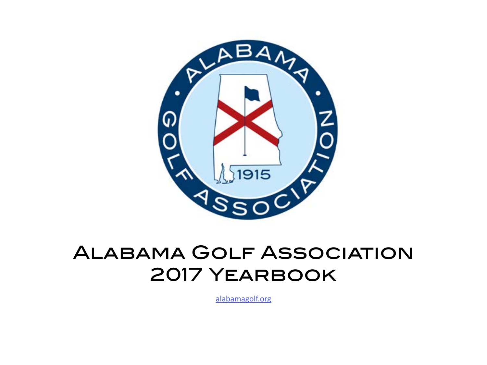

# Alabama Golf Association 2017 Yearbook

[alabamagolf.org](http://alabamagolf.org)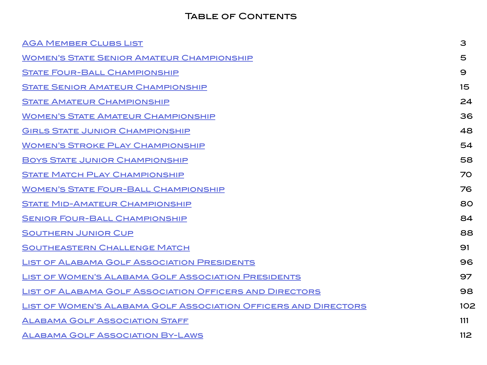# TABLE OF CONTENTS

| <b>AGA MEMBER CLUBS LIST</b>                                    | 3   |
|-----------------------------------------------------------------|-----|
| <b>WOMEN'S STATE SENIOR AMATEUR CHAMPIONSHIP</b>                | 5   |
| <b>STATE FOUR-BALL CHAMPIONSHIP</b>                             | 9   |
| <b>STATE SENIOR AMATEUR CHAMPIONSHIP</b>                        | 15  |
| <b>STATE AMATEUR CHAMPIONSHIP</b>                               | 24  |
| <b>WOMEN'S STATE AMATEUR CHAMPIONSHIP</b>                       | 36  |
| <b>GIRLS STATE JUNIOR CHAMPIONSHIP</b>                          | 48  |
| <b>WOMEN'S STROKE PLAY CHAMPIONSHIP</b>                         | 54  |
| <b>BOYS STATE JUNIOR CHAMPIONSHIP</b>                           | 58  |
| <b>STATE MATCH PLAY CHAMPIONSHIP</b>                            | 70  |
| <b>WOMEN'S STATE FOUR-BALL CHAMPIONSHIP</b>                     | 76  |
| <b>STATE MID-AMATEUR CHAMPIONSHIP</b>                           | 80  |
| <b>SENIOR FOUR-BALL CHAMPIONSHIP</b>                            | 84  |
| <b>SOUTHERN JUNIOR CUP</b>                                      | 88  |
| <b>SOUTHEASTERN CHALLENGE MATCH</b>                             | 91  |
| <b>LIST OF ALABAMA GOLF ASSOCIATION PRESIDENTS</b>              | 96  |
| <b>LIST OF WOMEN'S ALABAMA GOLF ASSOCIATION PRESIDENTS</b>      | 97  |
| <b>LIST OF ALABAMA GOLF ASSOCIATION OFFICERS AND DIRECTORS</b>  | 98  |
| LIST OF WOMEN'S ALABAMA GOLF ASSOCIATION OFFICERS AND DIRECTORS | 102 |
| <b>ALABAMA GOLF ASSOCIATION STAFF</b>                           | 111 |
| <b>ALABAMA GOLF ASSOCIATION BY-LAWS</b>                         | 112 |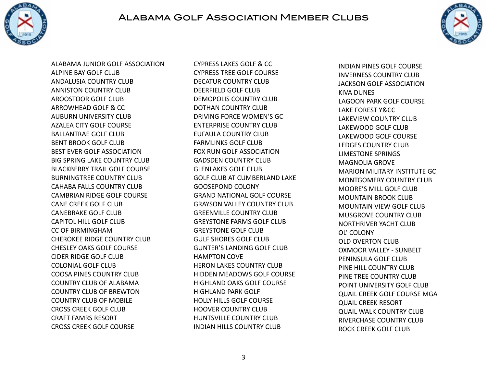<span id="page-2-0"></span>

# Alabama Golf Association Member Clubs



ALABAMA JUNIOR GOLF ASSOCIATION ALPINE BAY GOLF CLUB ANDALUSIA COUNTRY CLUB ANNISTON COUNTRY CLUB AROOSTOOR GOLF CLUB ARROWHEAD GOLF & CC AUBURN UNIVERSITY CLUB AZALEA CITY GOLF COURSE BALLANTRAE GOLF CLUB BENT BROOK GOLF CLUB BEST EVER GOLF ASSOCIATION BIG SPRING LAKE COUNTRY CLUB BLACKBERRY TRAIL GOLF COURSE BURNINGTREE COUNTRY CLUB CAHABA FALLS COUNTRY CLUB CAMBRIAN RIDGE GOLF COURSE CANE CREEK GOLF CLUB CANEBRAKE GOLF CLUB CAPITOL HILL GOLF CLUB CC OF BIRMINGHAM CHEROKEE RIDGE COUNTRY CLUB CHESLEY OAKS GOLF COURSE CIDER RIDGE GOLF CLUB COLONIAL GOLF CLUB COOSA PINES COUNTRY CLUB COUNTRY CLUB OF ALABAMA COUNTRY CLUB OF BREWTON COUNTRY CLUB OF MOBILE CROSS CREEK GOLF CLUB CRAFT FAMRS RESORT CROSS CREEK GOLF COURSE

CYPRESS LAKES GOLF & CC CYPRESS TREE GOLF COURSE DECATUR COUNTRY CLUB DEERFIELD GOLF CLUB DEMOPOLIS COUNTRY CLUB DOTHAN COUNTRY CLUB DRIVING FORCE WOMEN'S GC ENTERPRISE COUNTRY CLUB EUFAULA COUNTRY CLUB FARMLINKS GOLF CLUB FOX RUN GOLF ASSOCIATION GADSDEN COUNTRY CLUB GLENLAKES GOLF CLUB GOLF CLUB AT CUMBERLAND LAKE GOOSEPOND COLONY GRAND NATIONAL GOLF COURSE GRAYSON VALLEY COUNTRY CLUB GREENVILLE COUNTRY CLUB GREYSTONE FARMS GOLF CLUB GREYSTONE GOLF CLUB GULF SHORES GOLF CLUB GUNTER'S LANDING GOLF CLUB HAMPTON COVE HERON LAKES COUNTRY CLUB HIDDEN MEADOWS GOLF COURSE HIGHLAND OAKS GOLF COURSE HIGHLAND PARK GOLF HOLLY HILLS GOLF COURSE HOOVER COUNTRY CLUB HUNTSVILLE COUNTRY CLUB INDIAN HILLS COUNTRY CLUB

INDIAN PINES GOLF COURSE INVERNESS COUNTRY CLUB JACKSON GOLF ASSOCIATION KIVA DUNES LAGOON PARK GOLF COURSE LAKE FOREST Y&CC LAKEVIEW COUNTRY CLUB LAKEWOOD GOLF CLUB LAKEWOOD GOLF COURSE LEDGES COUNTRY CLUB LIMESTONE SPRINGS MAGNOLIA GROVE MARION MILITARY INSTITUTE GC MONTGOMERY COUNTRY CLUB MOORE'S MILL GOLF CLUB MOUNTAIN BROOK CLUB MOUNTAIN VIEW GOLF CLUB MUSGROVE COUNTRY CLUB NORTHRIVER YACHT CLUB OL' COLONY OLD OVERTON CLUB OXMOOR VALLEY - SUNBELT PENINSULA GOLF CLUB PINE HILL COUNTRY CLUB PINE TREE COUNTRY CLUB POINT UNIVERSITY GOLF CLUB QUAIL CREEK GOLF COURSE MGA QUAIL CREEK RESORT QUAIL WALK COUNTRY CLUB RIVERCHASE COUNTRY CLUB ROCK CREEK GOLF CLUB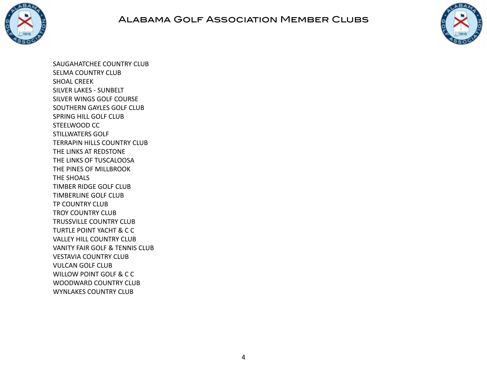

# Alabama Golf Association Member Clubs



SAUGAHATCHEE COUNTRY CLUB SELMA COUNTRY CLUB SHOAL CREEK SILVER LAKES - SUNBELT SILVER WINGS GOLF COURSE SOUTHERN GAYLES GOLF CLUB SPRING HILL GOLF CLUB STEELWOOD CC STILLWATERS GOLF TERRAPIN HILLS COUNTRY CLUB THE LINKS AT REDSTONE THE LINKS OF TUSCALOOSA THE PINES OF MILLBROOK THE SHOALS TIMBER RIDGE GOLF CLUB TIMBERLINE GOLF CLUB TP COUNTRY CLUB TROY COUNTRY CLUB TRUSSVILLE COUNTRY CLUB TURTLE POINT YACHT & C C VALLEY HILL COUNTRY CLUB VANITY FAIR GOLF & TENNIS CLUB VESTAVIA COUNTRY CLUB VULCAN GOLF CLUB WILLOW POINT GOLF & C C WOODWARD COUNTRY CLUB WYNLAKES COUNTRY CLUB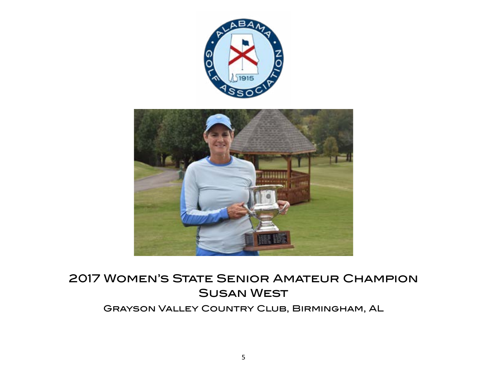<span id="page-4-0"></span>

# 2017 Women's State Senior Amateur Champion Susan West Grayson Valley Country Club, Birmingham, AL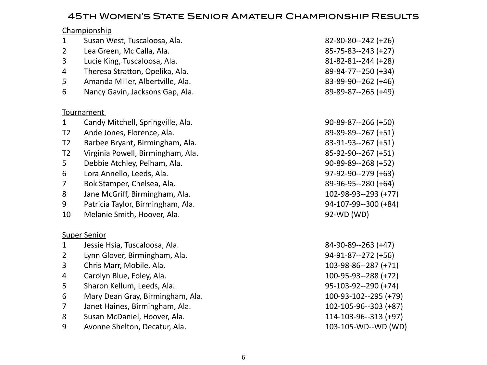# 45th Women's State Senior Amateur Championship Results

|                | Championship                      |                            |
|----------------|-----------------------------------|----------------------------|
| $\mathbf{1}$   | Susan West, Tuscaloosa, Ala.      | $82 - 80 - 80 - 242 (+26)$ |
| $\overline{2}$ | Lea Green, Mc Calla, Ala.         | $85 - 75 - 83 - 243 (+27)$ |
| 3              | Lucie King, Tuscaloosa, Ala.      | $81 - 82 - 81 - 244$ (+28) |
| 4              | Theresa Stratton, Opelika, Ala.   | 89-84-77--250 (+34)        |
| 5              | Amanda Miller, Albertville, Ala.  | 83-89-90--262 (+46)        |
| 6              | Nancy Gavin, Jacksons Gap, Ala.   | 89-89-87--265 (+49)        |
|                | Tournament                        |                            |
| $\mathbf{1}$   | Candy Mitchell, Springville, Ala. | $90 - 89 - 87 - 266 (+50)$ |
| T <sub>2</sub> | Ande Jones, Florence, Ala.        | 89-89-89--267 (+51)        |
| T <sub>2</sub> | Barbee Bryant, Birmingham, Ala.   | 83-91-93--267 (+51)        |
| T <sub>2</sub> | Virginia Powell, Birmingham, Ala. | 85-92-90--267 (+51)        |
| 5              | Debbie Atchley, Pelham, Ala.      | $90-89-89-268 (+52)$       |
| 6              | Lora Annello, Leeds, Ala.         | 97-92-90--279 (+63)        |
| 7              | Bok Stamper, Chelsea, Ala.        | 89-96-95--280 (+64)        |
| 8              | Jane McGriff, Birmingham, Ala.    | 102-98-93--293 (+77)       |
| 9              | Patricia Taylor, Birmingham, Ala. | 94-107-99--300 (+84)       |
| 10             | Melanie Smith, Hoover, Ala.       | 92-WD (WD)                 |
|                | <b>Super Senior</b>               |                            |
| $\mathbf{1}$   | Jessie Hsia, Tuscaloosa, Ala.     | 84-90-89--263 (+47)        |
| $\overline{2}$ | Lynn Glover, Birmingham, Ala.     | $94-91-87-272$ (+56)       |
| 3              | Chris Marr, Mobile, Ala.          | 103-98-86--287 (+71)       |
| 4              | Carolyn Blue, Foley, Ala.         | 100-95-93--288 (+72)       |
| 5              | Sharon Kellum, Leeds, Ala.        | 95-103-92--290 (+74)       |
| 6              | Mary Dean Gray, Birmingham, Ala.  | 100-93-102--295 (+79)      |
| $\overline{7}$ | Janet Haines, Birmingham, Ala.    | 102-105-96--303 (+87)      |
| 8              | Susan McDaniel, Hoover, Ala.      | 114-103-96--313 (+97)      |
| 9              | Avonne Shelton, Decatur, Ala.     | 103-105-WD--WD (WD)        |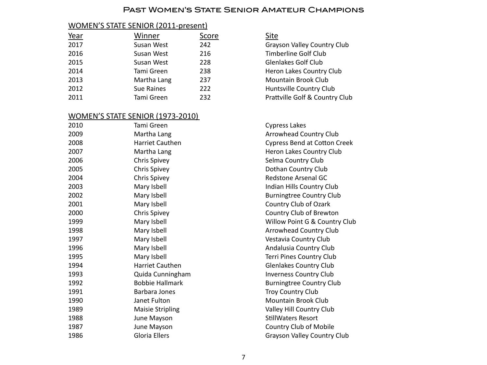#### Past Women's State Senior Amateur Champions

#### WOMEN'S STATE SENIOR (2011-present)

| Winner      | Score | <u>Site</u>  |
|-------------|-------|--------------|
| Susan West  | 242   | Grays        |
| Susan West  | 216   | Timb         |
| Susan West  | 228   | Glenl        |
| Tami Green  | 238   | Hero         |
| Martha Lang | 237   | Mou          |
| Sue Raines  | 222   | Hunt         |
| Tami Green  | 232   | <b>Pratt</b> |
|             |       |              |

#### WOMEN'S STATE SENIOR (1973-2010)

| 2010 | Tami Green              |
|------|-------------------------|
| 2009 | Martha Lang             |
| 2008 | <b>Harriet Cauthen</b>  |
| 2007 | Martha Lang             |
| 2006 | <b>Chris Spivey</b>     |
| 2005 | <b>Chris Spivey</b>     |
| 2004 | <b>Chris Spivey</b>     |
| 2003 | Mary Isbell             |
| 2002 | Mary Isbell             |
| 2001 | Mary Isbell             |
| 2000 | <b>Chris Spivey</b>     |
| 1999 | Mary Isbell             |
| 1998 | Mary Isbell             |
| 1997 | Mary Isbell             |
| 1996 | Mary Isbell             |
| 1995 | Mary Isbell             |
| 1994 | <b>Harriet Cauthen</b>  |
| 1993 | Quida Cunningham        |
| 1992 | <b>Bobbie Hallmark</b>  |
| 1991 | Barbara Jones           |
| 1990 | Janet Fulton            |
| 1989 | <b>Maisie Stripling</b> |
| 1988 | June Mayson             |
| 1987 | June Mayson             |
| 1986 | Gloria Ellers           |

Grayson Valley Country Club **Timberline Golf Club** Glenlakes Golf Club Heron Lakes Country Club Mountain Brook Club Huntsville Country Club Prattville Golf & Country Club

Cypress Lakes Arrowhead Country Club Cypress Bend at Cotton Creek Heron Lakes Country Club Selma Country Club Dothan Country Club Redstone Arsenal GC Indian Hills Country Club Burningtree Country Club Country Club of Ozark Country Club of Brewton Willow Point G & Country Club Arrowhead Country Club Vestavia Country Club Andalusia Country Club Terri Pines Country Club Glenlakes Country Club **Inverness Country Club** Burningtree Country Club Troy Country Club Mountain Brook Club Valley Hill Country Club StillWaters Resort Country Club of Mobile Grayson Valley Country Club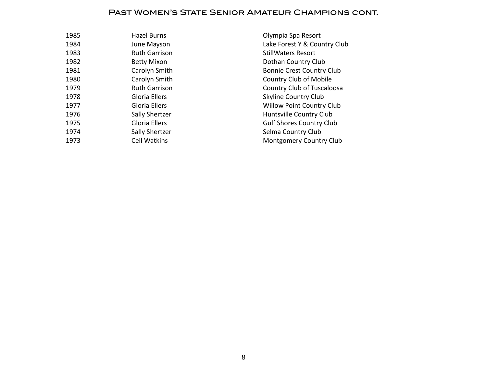#### Past Women's State Senior Amateur Champions cont.

| 1985 | Hazel Burns          |
|------|----------------------|
| 1984 | June Mayson          |
| 1983 | <b>Ruth Garrison</b> |
| 1982 | <b>Betty Mixon</b>   |
| 1981 | Carolyn Smith        |
| 1980 | Carolyn Smith        |
| 1979 | <b>Ruth Garrison</b> |
| 1978 | Gloria Ellers        |
| 1977 | Gloria Ellers        |
| 1976 | Sally Shertzer       |
| 1975 | Gloria Ellers        |
| 1974 | Sally Shertzer       |
| 1973 | Ceil Watkins         |
|      |                      |

Olympia Spa Resort Lake Forest Y & Country Club StillWaters Resort Dothan Country Club Bonnie Crest Country Club Country Club of Mobile Country Club of Tuscaloosa Skyline Country Club Willow Point Country Club Huntsville Country Club Gulf Shores Country Club Selma Country Club Montgomery Country Club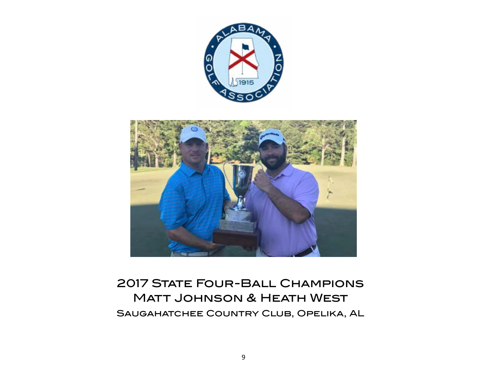

<span id="page-8-0"></span>

# 2017 STATE FOUR-BALL CHAMPIONS Matt Johnson & Heath West Saugahatchee Country Club, Opelika, AL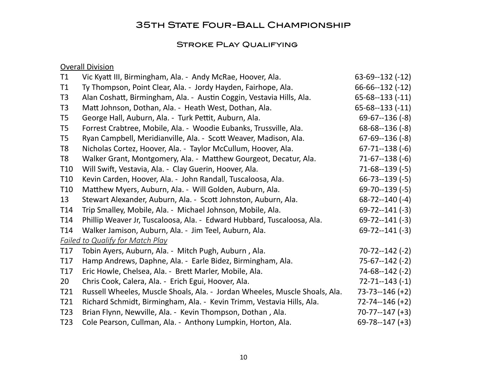# **35TH STATE FOUR-BALL CHAMPIONSHIP**

# STROKE PLAY QUALIFYING

# **Overall Division**

| T1              | Vic Kyatt III, Birmingham, Ala. - Andy McRae, Hoover, Ala.                 | $63-69-132$ (-12)     |
|-----------------|----------------------------------------------------------------------------|-----------------------|
| T1              | Ty Thompson, Point Clear, Ala. - Jordy Hayden, Fairhope, Ala.              | $66 - 66 - 132 (-12)$ |
| T <sub>3</sub>  | Alan Coshatt, Birmingham, Ala. - Austin Coggin, Vestavia Hills, Ala.       | $65 - 68 - 133 (-11)$ |
| T <sub>3</sub>  | Matt Johnson, Dothan, Ala. - Heath West, Dothan, Ala.                      | $65 - 68 - 133 (-11)$ |
| T <sub>5</sub>  | George Hall, Auburn, Ala. - Turk Pettit, Auburn, Ala.                      | $69-67-136(-8)$       |
| T <sub>5</sub>  | Forrest Crabtree, Mobile, Ala. - Woodie Eubanks, Trussville, Ala.          | $68 - 68 - 136 (-8)$  |
| T <sub>5</sub>  | Ryan Campbell, Meridianville, Ala. - Scott Weaver, Madison, Ala.           | $67-69-136(-8)$       |
| T <sub>8</sub>  | Nicholas Cortez, Hoover, Ala. - Taylor McCullum, Hoover, Ala.              | $67 - 71 - 138$ (-6)  |
| T <sub>8</sub>  | Walker Grant, Montgomery, Ala. - Matthew Gourgeot, Decatur, Ala.           | $71-67-138(-6)$       |
| T <sub>10</sub> | Will Swift, Vestavia, Ala. - Clay Guerin, Hoover, Ala.                     | $71-68-139(-5)$       |
| T <sub>10</sub> | Kevin Carden, Hoover, Ala. - John Randall, Tuscaloosa, Ala.                | $66 - 73 - 139 (-5)$  |
| T <sub>10</sub> | Matthew Myers, Auburn, Ala. - Will Golden, Auburn, Ala.                    | $69 - 70 - 139 (-5)$  |
| 13              | Stewart Alexander, Auburn, Ala. - Scott Johnston, Auburn, Ala.             | $68 - 72 - 140(-4)$   |
| T <sub>14</sub> | Trip Smalley, Mobile, Ala. - Michael Johnson, Mobile, Ala.                 | $69 - 72 - 141 (-3)$  |
| T14             | Phillip Weaver Jr, Tuscaloosa, Ala. - Edward Hubbard, Tuscaloosa, Ala.     | $69 - 72 - 141 (-3)$  |
| T <sub>14</sub> | Walker Jamison, Auburn, Ala. - Jim Teel, Auburn, Ala.                      | $69 - 72 - 141 (-3)$  |
|                 | <b>Failed to Qualify for Match Play</b>                                    |                       |
| T <sub>17</sub> | Tobin Ayers, Auburn, Ala. - Mitch Pugh, Auburn, Ala.                       | $70 - 72 - 142 (-2)$  |
| T <sub>17</sub> | Hamp Andrews, Daphne, Ala. - Earle Bidez, Birmingham, Ala.                 | $75-67-142$ (-2)      |
| T <sub>17</sub> | Eric Howle, Chelsea, Ala. - Brett Marler, Mobile, Ala.                     | $74-68-142$ (-2)      |
| 20              | Chris Cook, Calera, Ala. - Erich Egui, Hoover, Ala.                        | $72 - 71 - 143 (-1)$  |
| T21             | Russell Wheeles, Muscle Shoals, Ala. - Jordan Wheeles, Muscle Shoals, Ala. | $73 - 73 - 146 (+2)$  |
| T21             | Richard Schmidt, Birmingham, Ala. - Kevin Trimm, Vestavia Hills, Ala.      | $72 - 74 - 146 (+2)$  |
| T <sub>23</sub> | Brian Flynn, Newville, Ala. - Kevin Thompson, Dothan, Ala.                 | $70 - 77 - 147 (+3)$  |
| T <sub>23</sub> | Cole Pearson, Cullman, Ala. - Anthony Lumpkin, Horton, Ala.                | $69 - 78 - 147 (+3)$  |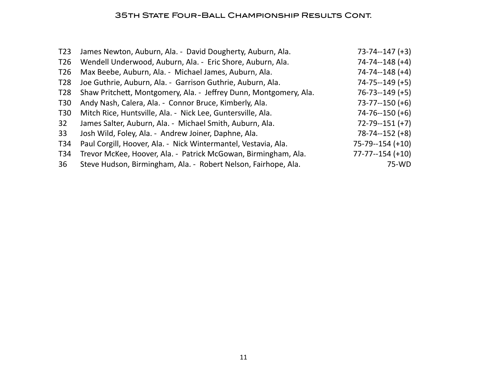# 35th State Four-Ball Championship Results Cont.

| T23             | James Newton, Auburn, Ala. - David Dougherty, Auburn, Ala.        | $73 - 74 - 147 (+3)$  |
|-----------------|-------------------------------------------------------------------|-----------------------|
| T <sub>26</sub> | Wendell Underwood, Auburn, Ala. - Eric Shore, Auburn, Ala.        | $74 - 74 - 148$ (+4)  |
| T <sub>26</sub> | Max Beebe, Auburn, Ala. - Michael James, Auburn, Ala.             | $74 - 74 - 148$ (+4)  |
| T <sub>28</sub> | Joe Guthrie, Auburn, Ala. - Garrison Guthrie, Auburn, Ala.        | $74 - 75 - 149$ (+5)  |
| T <sub>28</sub> | Shaw Pritchett, Montgomery, Ala. - Jeffrey Dunn, Montgomery, Ala. | $76 - 73 - 149$ (+5)  |
| <b>T30</b>      | Andy Nash, Calera, Ala. - Connor Bruce, Kimberly, Ala.            | $73 - 77 - 150$ (+6)  |
| T30             | Mitch Rice, Huntsville, Ala. - Nick Lee, Guntersville, Ala.       | $74 - 76 - 150$ (+6)  |
| 32              | James Salter, Auburn, Ala. - Michael Smith, Auburn, Ala.          | $72 - 79 - 151 (+7)$  |
| 33              | Josh Wild, Foley, Ala. - Andrew Joiner, Daphne, Ala.              | $78 - 74 - 152$ (+8)  |
| T34             | Paul Corgill, Hoover, Ala. - Nick Wintermantel, Vestavia, Ala.    | $75 - 79 - 154 (+10)$ |
| T34             | Trevor McKee, Hoover, Ala. - Patrick McGowan, Birmingham, Ala.    | $77 - 77 - 154 (+10)$ |
| 36              | Steve Hudson, Birmingham, Ala. - Robert Nelson, Fairhope, Ala.    | 75-WD                 |
|                 |                                                                   |                       |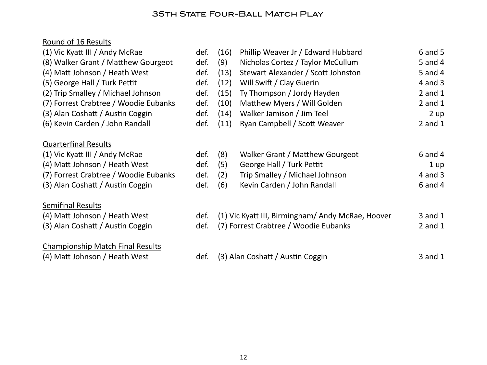# **35TH STATE FOUR-BALL MATCH PLAY**

# Round of 16 Results

| (1) Vic Kyatt III / Andy McRae                                                                                                                                              | def.                         | (16)                     | Phillip Weaver Jr / Edward Hubbard                                                                                            | $6$ and $5$                                       |
|-----------------------------------------------------------------------------------------------------------------------------------------------------------------------------|------------------------------|--------------------------|-------------------------------------------------------------------------------------------------------------------------------|---------------------------------------------------|
| (8) Walker Grant / Matthew Gourgeot                                                                                                                                         | def.                         | (9)                      | Nicholas Cortez / Taylor McCullum                                                                                             | 5 and 4                                           |
| (4) Matt Johnson / Heath West                                                                                                                                               | def.                         | (13)                     | Stewart Alexander / Scott Johnston                                                                                            | 5 and 4                                           |
| (5) George Hall / Turk Pettit                                                                                                                                               | def.                         | (12)                     | Will Swift / Clay Guerin                                                                                                      | $4$ and $3$                                       |
| (2) Trip Smalley / Michael Johnson                                                                                                                                          | def.                         | (15)                     | Ty Thompson / Jordy Hayden                                                                                                    | $2$ and $1$                                       |
| (7) Forrest Crabtree / Woodie Eubanks                                                                                                                                       | def.                         | (10)                     | Matthew Myers / Will Golden                                                                                                   | $2$ and $1$                                       |
| (3) Alan Coshatt / Austin Coggin                                                                                                                                            | def.                         | (14)                     | Walker Jamison / Jim Teel                                                                                                     | 2 up                                              |
| (6) Kevin Carden / John Randall                                                                                                                                             | def.                         | (11)                     | Ryan Campbell / Scott Weaver                                                                                                  | $2$ and $1$                                       |
| <b>Quarterfinal Results</b><br>(1) Vic Kyatt III / Andy McRae<br>(4) Matt Johnson / Heath West<br>(7) Forrest Crabtree / Woodie Eubanks<br>(3) Alan Coshatt / Austin Coggin | def.<br>def.<br>def.<br>def. | (8)<br>(5)<br>(2)<br>(6) | Walker Grant / Matthew Gourgeot<br>George Hall / Turk Pettit<br>Trip Smalley / Michael Johnson<br>Kevin Carden / John Randall | $6$ and $4$<br>1 up<br>$4$ and $3$<br>$6$ and $4$ |
| <b>Semifinal Results</b><br>(4) Matt Johnson / Heath West<br>(3) Alan Coshatt / Austin Coggin                                                                               | def.<br>def.                 |                          | (1) Vic Kyatt III, Birmingham/ Andy McRae, Hoover<br>(7) Forrest Crabtree / Woodie Eubanks                                    | $3$ and $1$<br>$2$ and $1$                        |
| <b>Championship Match Final Results</b><br>(4) Matt Johnson / Heath West                                                                                                    | def.                         |                          | (3) Alan Coshatt / Austin Coggin                                                                                              | $3$ and $1$                                       |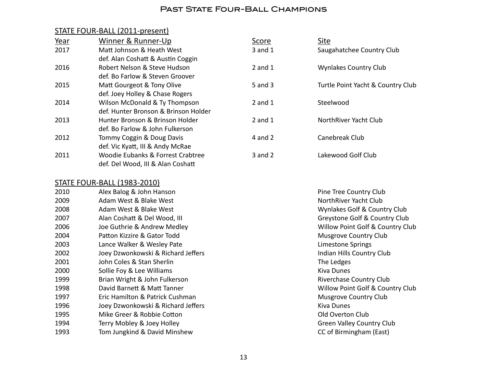#### PAST STATE FOUR-BALL CHAMPIONS

### STATE FOUR-BALL (2011-present)

| Year | Winner & Runner-Up                   | Score       | Site                              |
|------|--------------------------------------|-------------|-----------------------------------|
| 2017 | Matt Johnson & Heath West            | 3 and 1     | Saugahatchee Country Club         |
|      | def. Alan Coshatt & Austin Coggin    |             |                                   |
| 2016 | Robert Nelson & Steve Hudson         | 2 and $1$   | <b>Wynlakes Country Club</b>      |
|      | def. Bo Farlow & Steven Groover      |             |                                   |
| 2015 | Matt Gourgeot & Tony Olive           | 5 and 3     | Turtle Point Yacht & Country Club |
|      | def. Joey Holley & Chase Rogers      |             |                                   |
| 2014 | Wilson McDonald & Ty Thompson        | $2$ and $1$ | Steelwood                         |
|      | def. Hunter Bronson & Brinson Holder |             |                                   |
| 2013 | Hunter Bronson & Brinson Holder      | 2 and $1$   | NorthRiver Yacht Club             |
|      | def. Bo Farlow & John Fulkerson      |             |                                   |
| 2012 | Tommy Coggin & Doug Davis            | 4 and $2$   | Canebreak Club                    |
|      | def. Vic Kyatt, III & Andy McRae     |             |                                   |
| 2011 | Woodie Eubanks & Forrest Crabtree    | $3$ and $2$ | Lakewood Golf Club                |
|      | def. Del Wood, III & Alan Coshatt    |             |                                   |

#### STATE FOUR-BALL (1983-2010)

| 2010 | Alex Balog & John Hanson           | Pine Tree Country Club           |
|------|------------------------------------|----------------------------------|
| 2009 | Adam West & Blake West             | NorthRiver Yacht Club            |
| 2008 | Adam West & Blake West             | Wynlakes Golf & Country Club     |
| 2007 | Alan Coshatt & Del Wood, III       | Greystone Golf & Country Club    |
| 2006 | Joe Guthrie & Andrew Medley        | Willow Point Golf & Country Club |
| 2004 | Patton Kizzire & Gator Todd        | <b>Musgrove Country Club</b>     |
| 2003 | Lance Walker & Wesley Pate         | Limestone Springs                |
| 2002 | Joey Dzwonkowski & Richard Jeffers | Indian Hills Country Club        |
| 2001 | John Coles & Stan Sherlin          | The Ledges                       |
| 2000 | Sollie Foy & Lee Williams          | <b>Kiva Dunes</b>                |
| 1999 | Brian Wright & John Fulkerson      | <b>Riverchase Country Club</b>   |
| 1998 | David Barnett & Matt Tanner        | Willow Point Golf & Country Club |
| 1997 | Eric Hamilton & Patrick Cushman    | <b>Musgrove Country Club</b>     |
| 1996 | Joey Dzwonkowski & Richard Jeffers | <b>Kiva Dunes</b>                |
| 1995 | Mike Greer & Robbie Cotton         | Old Overton Club                 |
| 1994 | Terry Mobley & Joey Holley         | <b>Green Valley Country Club</b> |
| 1993 | Tom Jungkind & David Minshew       | CC of Birmingham (East)          |
|      |                                    |                                  |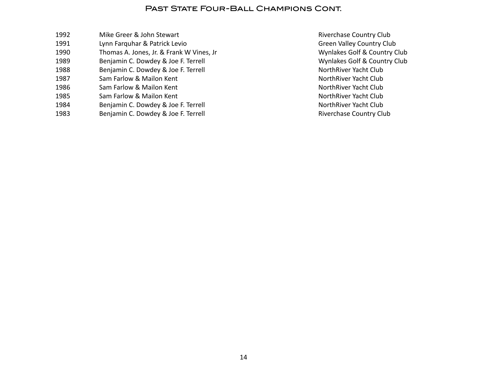#### PAST STATE FOUR-BALL CHAMPIONS CONT.

1992 Mike Greer & John Stewart **Accord 1992** Mike Greer & John Stewart **Mateurs 1992** Mike Green & John Stewart 1991 **Lynn Farquhar & Patrick Levio Country Club Green Valley Country Club** 1990 Thomas A. Jones, Jr. & Frank W Vines, Jr **Music Country Club** Wynlakes Golf & Country Club 1989 Benjamin C. Dowdey & Joe F. Terrell **Burner Country Club Wynlakes Golf & Country Club** 1988 Benjamin C. Dowdey & Joe F. Terrell **Business Communist Club NorthRiver Yacht Club** 1987 **Sam Farlow & Mailon Kent <b>Access** 1987 **Music Club NorthRiver Yacht Club** 1986 **Sam Farlow & Mailon Kent <b>Access** 1986 **Mailon Kent Club NorthRiver Yacht Club** 1985 Sam Farlow & Mailon Kent **Machina and Contract Club NorthRiver Yacht Club** 1984 Benjamin C. Dowdey & Joe F. Terrell **Burger Communist Club NorthRiver Yacht Club** 1983 Benjamin C. Dowdey & Joe F. Terrell **Business Country Club** Riverchase Country Club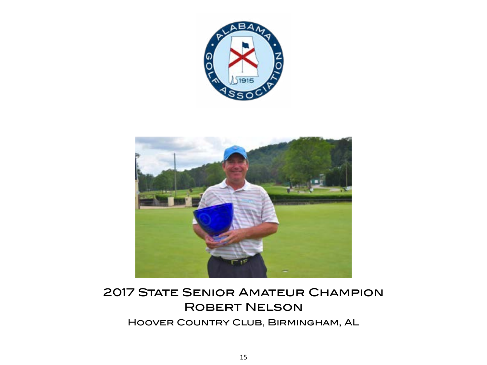

<span id="page-14-0"></span>

# **2017 STATE SENIOR AMATEUR CHAMPION ROBERT NELSON**

Hoover Country Club, Birmingham, AL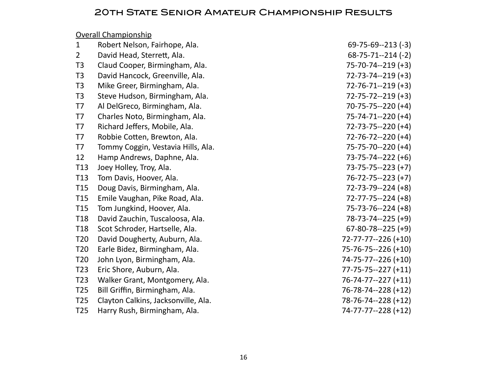# 20th State Senior Amateur Championship Results

|                 | <b>Overall Championship</b>         |                            |
|-----------------|-------------------------------------|----------------------------|
| $\mathbf{1}$    | Robert Nelson, Fairhope, Ala.       | $69 - 75 - 69 - 213 (-3)$  |
| $\overline{2}$  | David Head, Sterrett, Ala.          | $68 - 75 - 71 - 214$ (-2)  |
| T <sub>3</sub>  | Claud Cooper, Birmingham, Ala.      | 75-70-74--219 (+3)         |
| T <sub>3</sub>  | David Hancock, Greenville, Ala.     | $72 - 73 - 74 - 219 (+3)$  |
| T <sub>3</sub>  | Mike Greer, Birmingham, Ala.        | $72 - 76 - 71 - 219 (+3)$  |
| T <sub>3</sub>  | Steve Hudson, Birmingham, Ala.      | $72 - 75 - 72 - 219 (+3)$  |
| T7              | Al DelGreco, Birmingham, Ala.       | $70 - 75 - 75 - 220$ (+4)  |
| T7              | Charles Noto, Birmingham, Ala.      | $75 - 74 - 71 - 220$ (+4)  |
| T7              | Richard Jeffers, Mobile, Ala.       | $72 - 73 - 75 - 220$ (+4)  |
| T7              | Robbie Cotten, Brewton, Ala.        | $72 - 76 - 72 - 220$ (+4)  |
| T7              | Tommy Coggin, Vestavia Hills, Ala.  | 75-75-70--220 (+4)         |
| 12              | Hamp Andrews, Daphne, Ala.          | $73 - 75 - 74 - 222$ (+6)  |
| T13             | Joey Holley, Troy, Ala.             | $73 - 75 - 75 - 223 (+7)$  |
| T13             | Tom Davis, Hoover, Ala.             | $76 - 72 - 75 - 223$ (+7)  |
| T <sub>15</sub> | Doug Davis, Birmingham, Ala.        | $72 - 73 - 79 - 224 (+8)$  |
| T15             | Emile Vaughan, Pike Road, Ala.      | $72 - 77 - 75 - 224 (+8)$  |
| T15             | Tom Jungkind, Hoover, Ala.          | $75 - 73 - 76 - 224 (+8)$  |
| T <sub>18</sub> | David Zauchin, Tuscaloosa, Ala.     | 78-73-74--225 (+9)         |
| T <sub>18</sub> | Scot Schroder, Hartselle, Ala.      | $67 - 80 - 78 - 225 (+9)$  |
| T <sub>20</sub> | David Dougherty, Auburn, Ala.       | $72 - 77 - 77 - 226 (+10)$ |
| T <sub>20</sub> | Earle Bidez, Birmingham, Ala.       | 75-76-75--226 (+10)        |
| T <sub>20</sub> | John Lyon, Birmingham, Ala.         | 74-75-77--226 (+10)        |
| T <sub>23</sub> | Eric Shore, Auburn, Ala.            | $77 - 75 - 75 - 227 (+11)$ |
| T <sub>23</sub> | Walker Grant, Montgomery, Ala.      | $76 - 74 - 77 - 227 (+11)$ |
| T <sub>25</sub> | Bill Griffin, Birmingham, Ala.      | $76 - 78 - 74 - 228 (+12)$ |
| T <sub>25</sub> | Clayton Calkins, Jacksonville, Ala. | 78-76-74--228 (+12)        |
| T <sub>25</sub> | Harry Rush, Birmingham, Ala.        | 74-77-77--228 (+12)        |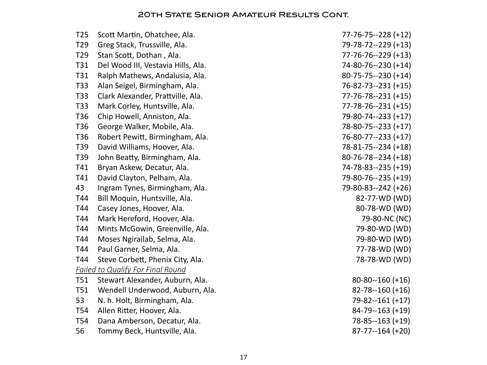| T <sub>25</sub> | Scott Martin, Ohatchee, Ala.             | 77-76-75--228 (+12)        |
|-----------------|------------------------------------------|----------------------------|
| T <sub>29</sub> | Greg Stack, Trussville, Ala.             | 79-78-72--229 (+13)        |
| T <sub>29</sub> | Stan Scott, Dothan, Ala.                 | 77-76-76--229 (+13)        |
| T31             | Del Wood III, Vestavia Hills, Ala.       | 74-80-76--230 (+14)        |
| T31             | Ralph Mathews, Andalusia, Ala.           | 80-75-75--230 (+14)        |
| T33             | Alan Seigel, Birmingham, Ala.            | 76-82-73--231 (+15)        |
| T33             | Clark Alexander, Prattville, Ala.        | $77 - 76 - 78 - 231 (+15)$ |
| T33             | Mark Corley, Huntsville, Ala.            | $77 - 78 - 76 - 231 (+15)$ |
| T <sub>36</sub> | Chip Howell, Anniston, Ala.              | 79-80-74--233 (+17)        |
| T <sub>36</sub> | George Walker, Mobile, Ala.              | 78-80-75--233 (+17)        |
| T <sub>36</sub> | Robert Pewitt, Birmingham, Ala.          | 76-80-77--233 (+17)        |
| T39             | David Williams, Hoover, Ala.             | 78-81-75--234 (+18)        |
| T39             | John Beatty, Birmingham, Ala.            | 80-76-78--234 (+18)        |
| T41             | Bryan Askew, Decatur, Ala.               | 74-78-83--235 (+19)        |
| T41             | David Clayton, Pelham, Ala.              | 79-80-76--235 (+19)        |
| 43              | Ingram Tynes, Birmingham, Ala.           | 79-80-83--242 (+26)        |
| T44             | Bill Moquin, Huntsville, Ala.            | 82-77-WD (WD)              |
| T44             | Casey Jones, Hoover, Ala.                | 80-78-WD (WD)              |
| T44             | Mark Hereford, Hoover, Ala.              | 79-80-NC (NC)              |
| T44             | Mints McGowin, Greenville, Ala.          | 79-80-WD (WD)              |
| T44             | Moses Ngirailab, Selma, Ala.             | 79-80-WD (WD)              |
| T44             | Paul Garner, Selma, Ala.                 | 77-78-WD (WD)              |
| T44             | Steve Corbett, Phenix City, Ala.         | 78-78-WD (WD)              |
|                 | <b>Failed to Qualify For Final Round</b> |                            |
| T51             | Stewart Alexander, Auburn, Ala.          | $80 - 80 - 160 (+16)$      |
| <b>T51</b>      | Wendell Underwood, Auburn, Ala.          | $82 - 78 - 160 (+16)$      |
| 53              | N. h. Holt, Birmingham, Ala.             | 79-82--161 (+17)           |
| T54             | Allen Ritter, Hoover, Ala.               | 84-79--163 (+19)           |
| T <sub>54</sub> | Dana Amberson, Decatur, Ala.             | 78-85--163 (+19)           |
| 56              | Tommy Beck, Huntsville, Ala.             | $87 - 77 - 164 (+20)$      |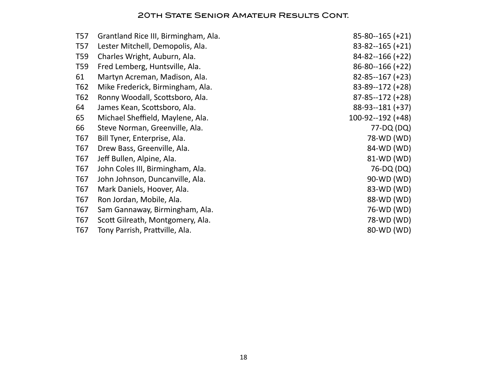| Grantland Rice III, Birmingham, Ala. | $85 - 80 - 165 (+21)$ |
|--------------------------------------|-----------------------|
| Lester Mitchell, Demopolis, Ala.     | $83 - 82 - 165 (+21)$ |
| Charles Wright, Auburn, Ala.         | $84 - 82 - 166 (+22)$ |
| Fred Lemberg, Huntsville, Ala.       | $86 - 80 - 166 (+22)$ |
| Martyn Acreman, Madison, Ala.        | $82 - 85 - 167 (+23)$ |
| Mike Frederick, Birmingham, Ala.     | $83 - 89 - 172 (+28)$ |
| Ronny Woodall, Scottsboro, Ala.      | $87 - 85 - 172$ (+28) |
| James Kean, Scottsboro, Ala.         | 88-93--181 (+37)      |
| Michael Sheffield, Maylene, Ala.     | $100-92-192 (+48)$    |
| Steve Norman, Greenville, Ala.       | 77-DQ (DQ)            |
| Bill Tyner, Enterprise, Ala.         | 78-WD (WD)            |
| Drew Bass, Greenville, Ala.          | 84-WD (WD)            |
| Jeff Bullen, Alpine, Ala.            | 81-WD (WD)            |
| John Coles III, Birmingham, Ala.     | 76-DQ (DQ)            |
| John Johnson, Duncanville, Ala.      | 90-WD (WD)            |
| Mark Daniels, Hoover, Ala.           | 83-WD (WD)            |
| Ron Jordan, Mobile, Ala.             | 88-WD (WD)            |
| Sam Gannaway, Birmingham, Ala.       | 76-WD (WD)            |
| Scott Gilreath, Montgomery, Ala.     | 78-WD (WD)            |
| Tony Parrish, Prattville, Ala.       | 80-WD (WD)            |
|                                      |                       |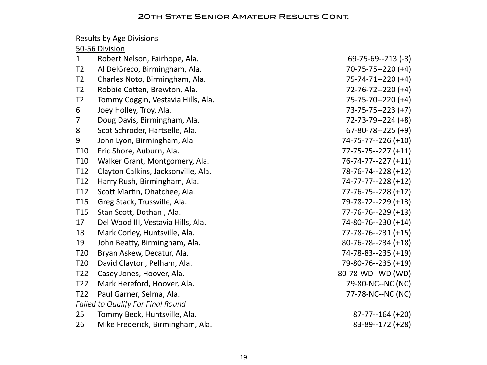# Results by Age Divisions

# 50-56 Division

| $\mathbf{1}$    | Robert Nelson, Fairhope, Ala.            | $69 - 75 - 69 - 213$ (-3)  |
|-----------------|------------------------------------------|----------------------------|
| T <sub>2</sub>  | Al DelGreco, Birmingham, Ala.            | $70 - 75 - 75 - 220$ (+4)  |
| T <sub>2</sub>  | Charles Noto, Birmingham, Ala.           | 75-74-71--220 (+4)         |
| T <sub>2</sub>  | Robbie Cotten, Brewton, Ala.             | $72 - 76 - 72 - 220$ (+4)  |
| T <sub>2</sub>  | Tommy Coggin, Vestavia Hills, Ala.       | 75-75-70--220 (+4)         |
| 6               | Joey Holley, Troy, Ala.                  | $73 - 75 - 75 - 223 (+7)$  |
| 7               | Doug Davis, Birmingham, Ala.             | 72-73-79--224 (+8)         |
| 8               | Scot Schroder, Hartselle, Ala.           | $67 - 80 - 78 - 225 (+9)$  |
| 9               | John Lyon, Birmingham, Ala.              | 74-75-77--226 (+10)        |
| T <sub>10</sub> | Eric Shore, Auburn, Ala.                 | $77 - 75 - 75 - 227 (+11)$ |
| T <sub>10</sub> | Walker Grant, Montgomery, Ala.           | $76 - 74 - 77 - 227 (+11)$ |
| T <sub>12</sub> | Clayton Calkins, Jacksonville, Ala.      | 78-76-74--228 (+12)        |
| T12             | Harry Rush, Birmingham, Ala.             | 74-77-77--228 (+12)        |
| T12             | Scott Martin, Ohatchee, Ala.             | $77 - 76 - 75 - 228 (+12)$ |
| T <sub>15</sub> | Greg Stack, Trussville, Ala.             | 79-78-72--229 (+13)        |
| T <sub>15</sub> | Stan Scott, Dothan, Ala.                 | $77 - 76 - 76 - 229$ (+13) |
| 17              | Del Wood III, Vestavia Hills, Ala.       | 74-80-76--230 (+14)        |
| 18              | Mark Corley, Huntsville, Ala.            | $77 - 78 - 76 - 231 (+15)$ |
| 19              | John Beatty, Birmingham, Ala.            | $80 - 76 - 78 - 234 (+18)$ |
| T <sub>20</sub> | Bryan Askew, Decatur, Ala.               | 74-78-83--235 (+19)        |
| T <sub>20</sub> | David Clayton, Pelham, Ala.              | 79-80-76--235 (+19)        |
| T22             | Casey Jones, Hoover, Ala.                | 80-78-WD--WD (WD)          |
| T <sub>22</sub> | Mark Hereford, Hoover, Ala.              | 79-80-NC--NC (NC)          |
| T <sub>22</sub> | Paul Garner, Selma, Ala.                 | 77-78-NC--NC (NC)          |
|                 | <b>Failed to Qualify For Final Round</b> |                            |
| 25              | Tommy Beck, Huntsville, Ala.             | $87 - 77 - 164 (+20)$      |
| 26              | Mike Frederick, Birmingham, Ala.         | 83-89--172 (+28)           |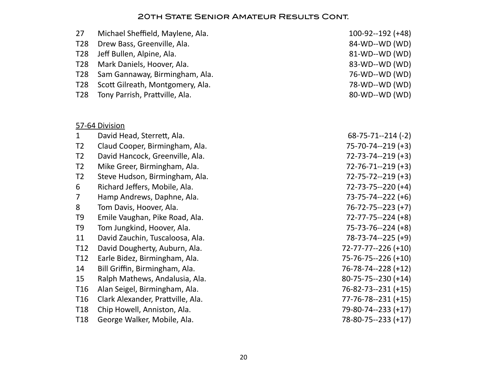| 27              | Michael Sheffield, Maylene, Ala.  | $100 - 92 - 192 (+48)$    |
|-----------------|-----------------------------------|---------------------------|
| T <sub>28</sub> | Drew Bass, Greenville, Ala.       | 84-WD--WD (WD)            |
| T <sub>28</sub> | Jeff Bullen, Alpine, Ala.         | 81-WD--WD (WD)            |
| T <sub>28</sub> | Mark Daniels, Hoover, Ala.        | 83-WD--WD (WD)            |
| T <sub>28</sub> | Sam Gannaway, Birmingham, Ala.    | 76-WD--WD (WD)            |
| T <sub>28</sub> | Scott Gilreath, Montgomery, Ala.  | 78-WD--WD (WD)            |
| <b>T28</b>      | Tony Parrish, Prattville, Ala.    | 80-WD--WD (WD)            |
|                 | 57-64 Division                    |                           |
| $\mathbf{1}$    | David Head, Sterrett, Ala.        | $68 - 75 - 71 - 214$ (-2) |
| T <sub>2</sub>  | Claud Cooper, Birmingham, Ala.    | $75 - 70 - 74 - 219 (+3)$ |
| T <sub>2</sub>  | David Hancock, Greenville, Ala.   | $72 - 73 - 74 - 219 (+3)$ |
| T <sub>2</sub>  | Mike Greer, Birmingham, Ala.      | $72 - 76 - 71 - 219$ (+3) |
| T <sub>2</sub>  | Steve Hudson, Birmingham, Ala.    | $72 - 75 - 72 - 219 (+3)$ |
| 6               | Richard Jeffers, Mobile, Ala.     | $72 - 73 - 75 - 220$ (+4) |
| 7               | Hamp Andrews, Daphne, Ala.        | $73 - 75 - 74 - 222$ (+6) |
| 8               | Tom Davis, Hoover, Ala.           | $76 - 72 - 75 - 223 (+7)$ |
| T <sub>9</sub>  | Emile Vaughan, Pike Road, Ala.    | $72 - 77 - 75 - 224 (+8)$ |
| T <sub>9</sub>  | Tom Jungkind, Hoover, Ala.        | $75 - 73 - 76 - 224 (+8)$ |
| 11              | David Zauchin, Tuscaloosa, Ala.   | $78-73-74-225 (+9)$       |
| T <sub>12</sub> | David Dougherty, Auburn, Ala.     | 72-77-77--226 (+10)       |
| T12             | Earle Bidez, Birmingham, Ala.     | 75-76-75--226 (+10)       |
| 14              | Bill Griffin, Birmingham, Ala.    | 76-78-74--228 (+12)       |
| 15              | Ralph Mathews, Andalusia, Ala.    | 80-75-75--230 (+14)       |
| T <sub>16</sub> | Alan Seigel, Birmingham, Ala.     | 76-82-73--231 (+15)       |
| T <sub>16</sub> | Clark Alexander, Prattville, Ala. | 77-76-78--231 (+15)       |
| T <sub>18</sub> | Chip Howell, Anniston, Ala.       | 79-80-74--233 (+17)       |
| T <sub>18</sub> | George Walker, Mobile, Ala.       | 78-80-75--233 (+17)       |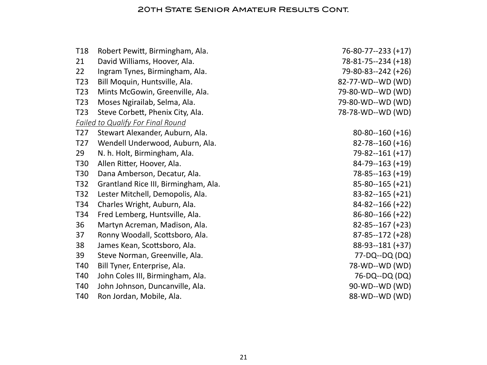| T <sub>18</sub> | Robert Pewitt, Birmingham, Ala.          | 76-80-77--233 (+17)   |
|-----------------|------------------------------------------|-----------------------|
| 21              | David Williams, Hoover, Ala.             | 78-81-75--234 (+18)   |
| 22              | Ingram Tynes, Birmingham, Ala.           | 79-80-83--242 (+26)   |
| T <sub>23</sub> | Bill Moquin, Huntsville, Ala.            | 82-77-WD--WD (WD)     |
| T <sub>23</sub> | Mints McGowin, Greenville, Ala.          | 79-80-WD--WD (WD)     |
| T <sub>23</sub> | Moses Ngirailab, Selma, Ala.             | 79-80-WD--WD (WD)     |
| T <sub>23</sub> | Steve Corbett, Phenix City, Ala.         | 78-78-WD--WD (WD)     |
|                 | <b>Failed to Qualify For Final Round</b> |                       |
| T <sub>27</sub> | Stewart Alexander, Auburn, Ala.          | $80 - 80 - 160 (+16)$ |
| T <sub>27</sub> | Wendell Underwood, Auburn, Ala.          | $82 - 78 - 160 (+16)$ |
| 29              | N. h. Holt, Birmingham, Ala.             | $79 - 82 - 161 (+17)$ |
| T <sub>30</sub> | Allen Ritter, Hoover, Ala.               | $84 - 79 - 163 (+19)$ |
| T <sub>30</sub> | Dana Amberson, Decatur, Ala.             | $78 - 85 - 163 (+19)$ |
| T <sub>32</sub> | Grantland Rice III, Birmingham, Ala.     | $85 - 80 - 165 (+21)$ |
| T <sub>32</sub> | Lester Mitchell, Demopolis, Ala.         | $83 - 82 - 165 (+21)$ |
| T34             | Charles Wright, Auburn, Ala.             | $84 - 82 - 166 (+22)$ |
| T34             | Fred Lemberg, Huntsville, Ala.           | $86 - 80 - 166 (+22)$ |
| 36              | Martyn Acreman, Madison, Ala.            | $82 - 85 - 167 (+23)$ |
| 37              | Ronny Woodall, Scottsboro, Ala.          | $87 - 85 - 172$ (+28) |
| 38              | James Kean, Scottsboro, Ala.             | 88-93--181 (+37)      |
| 39              | Steve Norman, Greenville, Ala.           | 77-DQ--DQ (DQ)        |
| T40             | Bill Tyner, Enterprise, Ala.             | 78-WD--WD (WD)        |
| T40             | John Coles III, Birmingham, Ala.         | 76-DQ--DQ (DQ)        |
| T40             | John Johnson, Duncanville, Ala.          | 90-WD--WD (WD)        |
| T40             | Ron Jordan, Mobile, Ala.                 | 88-WD--WD (WD)        |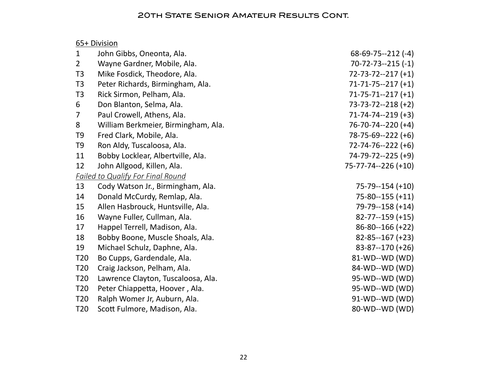# 65+ Division

| $\mathbf{1}$    | John Gibbs, Oneonta, Ala.                | $68-69-75-212$ (-4)       |
|-----------------|------------------------------------------|---------------------------|
| $\overline{2}$  | Wayne Gardner, Mobile, Ala.              | $70 - 72 - 73 - 215(-1)$  |
| T <sub>3</sub>  | Mike Fosdick, Theodore, Ala.             | $72 - 73 - 72 - 217 (+1)$ |
| T <sub>3</sub>  | Peter Richards, Birmingham, Ala.         | $71 - 71 - 75 - 217 (+1)$ |
| T <sub>3</sub>  | Rick Sirmon, Pelham, Ala.                | $71 - 75 - 71 - 217 (+1)$ |
| 6               | Don Blanton, Selma, Ala.                 | $73-73-72-218 (+2)$       |
| 7               | Paul Crowell, Athens, Ala.               | $71-74-74-219 (+3)$       |
| 8               | William Berkmeier, Birmingham, Ala.      | $76 - 70 - 74 - 220$ (+4) |
| T <sub>9</sub>  | Fred Clark, Mobile, Ala.                 | $78-75-69-222 (+6)$       |
| T <sub>9</sub>  | Ron Aldy, Tuscaloosa, Ala.               | $72 - 74 - 76 - 222$ (+6) |
| 11              | Bobby Locklear, Albertville, Ala.        | 74-79-72--225 (+9)        |
| 12              | John Allgood, Killen, Ala.               | 75-77-74--226 (+10)       |
|                 | <b>Failed to Qualify For Final Round</b> |                           |
| 13              | Cody Watson Jr., Birmingham, Ala.        | $75-79-154 (+10)$         |
| 14              | Donald McCurdy, Remlap, Ala.             | $75 - 80 - 155 (+11)$     |
| 15              | Allen Hasbrouck, Huntsville, Ala.        | 79-79--158 (+14)          |
| 16              | Wayne Fuller, Cullman, Ala.              | $82 - 77 - 159 (+15)$     |
| 17              | Happel Terrell, Madison, Ala.            | $86 - 80 - 166 (+22)$     |
| 18              | Bobby Boone, Muscle Shoals, Ala.         | $82 - 85 - 167 (+23)$     |
| 19              | Michael Schulz, Daphne, Ala.             | $83 - 87 - 170 (+26)$     |
| T <sub>20</sub> | Bo Cupps, Gardendale, Ala.               | 81-WD--WD (WD)            |
| T <sub>20</sub> | Craig Jackson, Pelham, Ala.              | 84-WD--WD (WD)            |
| T <sub>20</sub> | Lawrence Clayton, Tuscaloosa, Ala.       | 95-WD--WD (WD)            |
| T <sub>20</sub> | Peter Chiappetta, Hoover, Ala.           | 95-WD--WD (WD)            |
| T <sub>20</sub> | Ralph Womer Jr, Auburn, Ala.             | 91-WD--WD (WD)            |
| T <sub>20</sub> | Scott Fulmore, Madison, Ala.             | 80-WD--WD (WD)            |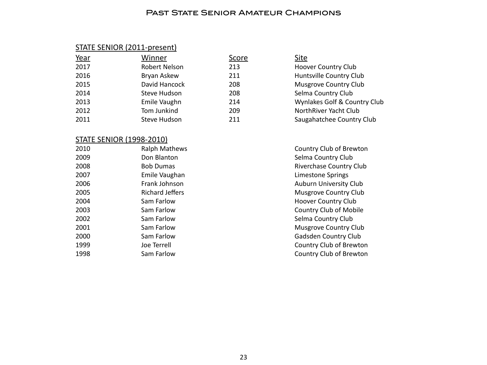#### PAST STATE SENIOR AMATEUR CHAMPIONS

#### STATE SENIOR (2011-present)

| Year | Winner              | <u>Score</u> | <u>Site</u>                  |
|------|---------------------|--------------|------------------------------|
| 2017 | Robert Nelson       | 213          | <b>Hoover Country Club</b>   |
| 2016 | Bryan Askew         | 211          | Huntsville Country Club      |
| 2015 | David Hancock       | 208          | Musgrove Country Club        |
| 2014 | <b>Steve Hudson</b> | 208          | Selma Country Club           |
| 2013 | Emile Vaughn        | 214          | Wynlakes Golf & Country Club |
| 2012 | Tom Junkind         | 209          | NorthRiver Yacht Club        |
| 2011 | <b>Steve Hudson</b> | 211          | Saugahatchee Country Club    |

#### STATE SENIOR (1998-2010)

| 2010 | <b>Ralph Mathew</b> |
|------|---------------------|
| 2009 | Don Blanton         |
| 2008 | Bob Dumas           |
| 2007 | Emile Vaughan       |
| 2006 | Frank Johnson       |
| 2005 | Richard Jeffers     |
| 2004 | Sam Farlow          |
| 2003 | Sam Farlow          |
| 2002 | Sam Farlow          |
| 2001 | Sam Farlow          |
| 2000 | Sam Farlow          |
| 1999 | Joe Terrell         |
| 1998 | Sam Farlow          |
|      |                     |

| Site                         |
|------------------------------|
| <b>Hoover Country Club</b>   |
| Huntsville Country Club      |
| <b>Musgrove Country Club</b> |
| Selma Country Club           |
| Wynlakes Golf & Country Club |
| NorthRiver Yacht Club        |
| Saugahatchee Country Club    |
|                              |

<sup>2</sup>2010 Ralph Mathem Mathem Country Club of Brewton Selma Country Club Riverchase Country Club Limestone Springs Auburn University Club Musgrove Country Club Hoover Country Club Country Club of Mobile Selma Country Club Musgrove Country Club Gadsden Country Club Country Club of Brewton Country Club of Brewton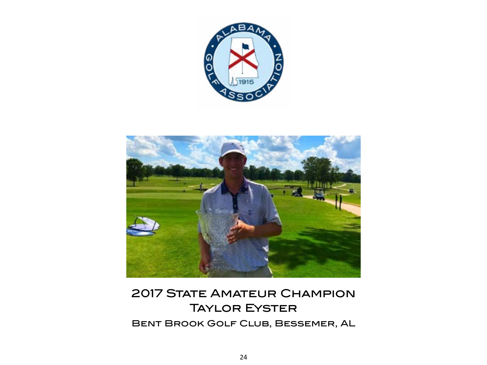

<span id="page-23-0"></span>

# **2017 STATE AMATEUR CHAMPION** Taylor Eyster Bent Brook Golf Club, Bessemer, AL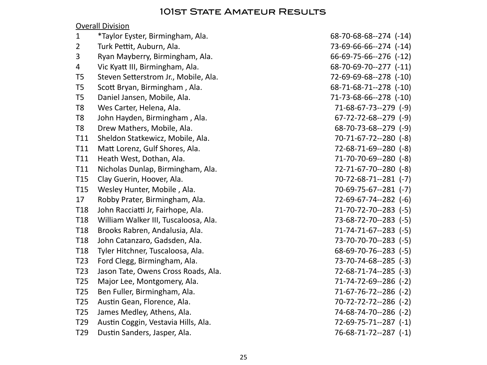# 101ST STATE AMATEUR RESULTS

# **Overall Division**

| $\mathbf{1}$    | *Taylor Eyster, Birmingham, Ala.     | $68 - 70 - 68 - 68 - 274$ (-14) |
|-----------------|--------------------------------------|---------------------------------|
| $\overline{2}$  | Turk Pettit, Auburn, Ala.            | 73-69-66-66--274 (-14)          |
| 3               | Ryan Mayberry, Birmingham, Ala.      | $66-69-75-66--276$ $(-12)$      |
| 4               | Vic Kyatt III, Birmingham, Ala.      | $68 - 70 - 69 - 70 - 277$ (-11) |
| T <sub>5</sub>  | Steven Setterstrom Jr., Mobile, Ala. | 72-69-69-68--278 (-10)          |
| T <sub>5</sub>  | Scott Bryan, Birmingham, Ala.        | $68 - 71 - 68 - 71 - 278$ (-10) |
| T <sub>5</sub>  | Daniel Jansen, Mobile, Ala.          | 71-73-68-66--278 (-10)          |
| T <sub>8</sub>  | Wes Carter, Helena, Ala.             | $71-68-67-73-279$ (-9)          |
| T <sub>8</sub>  | John Hayden, Birmingham, Ala.        | $67 - 72 - 72 - 68 - 279$ (-9)  |
| T <sub>8</sub>  | Drew Mathers, Mobile, Ala.           | $68 - 70 - 73 - 68 - 279$ (-9)  |
| T11             | Sheldon Statkewicz, Mobile, Ala.     | 70-71-67-72--280 (-8)           |
| T11             | Matt Lorenz, Gulf Shores, Ala.       | $72 - 68 - 71 - 69 - 280$ (-8)  |
| T11             | Heath West, Dothan, Ala.             | 71-70-70-69--280 (-8)           |
| T11             | Nicholas Dunlap, Birmingham, Ala.    | 72-71-67-70--280 (-8)           |
| T <sub>15</sub> | Clay Guerin, Hoover, Ala.            | 70-72-68-71--281 (-7)           |
| T <sub>15</sub> | Wesley Hunter, Mobile, Ala.          | $70-69-75-67-281$ (-7)          |
| 17              | Robby Prater, Birmingham, Ala.       | $72-69-67-74-282$ (-6)          |
| T <sub>18</sub> | John Racciatti Jr, Fairhope, Ala.    | 71-70-72-70--283 (-5)           |
| T <sub>18</sub> | William Walker III, Tuscaloosa, Ala. | 73-68-72-70--283 (-5)           |
| T <sub>18</sub> | Brooks Rabren, Andalusia, Ala.       | $71-74-71-67-283$ (-5)          |
| T <sub>18</sub> | John Catanzaro, Gadsden, Ala.        | 73-70-70-70--283 (-5)           |
| T <sub>18</sub> | Tyler Hitchner, Tuscaloosa, Ala.     | $68-69-70-76-283$ (-5)          |
| T <sub>23</sub> | Ford Clegg, Birmingham, Ala.         | $73 - 70 - 74 - 68 - -285$ (-3) |
| T <sub>23</sub> | Jason Tate, Owens Cross Roads, Ala.  | 72-68-71-74--285 (-3)           |
| T <sub>25</sub> | Major Lee, Montgomery, Ala.          | 71-74-72-69--286 (-2)           |
| T <sub>25</sub> | Ben Fuller, Birmingham, Ala.         | 71-67-76-72--286 (-2)           |
| T <sub>25</sub> | Austin Gean, Florence, Ala.          | 70-72-72-72--286 (-2)           |
| T <sub>25</sub> | James Medley, Athens, Ala.           | 74-68-74-70--286 (-2)           |
| T <sub>29</sub> | Austin Coggin, Vestavia Hills, Ala.  | 72-69-75-71--287 (-1)           |
| T <sub>29</sub> | Dustin Sanders, Jasper, Ala.         | 76-68-71-72--287 (-1)           |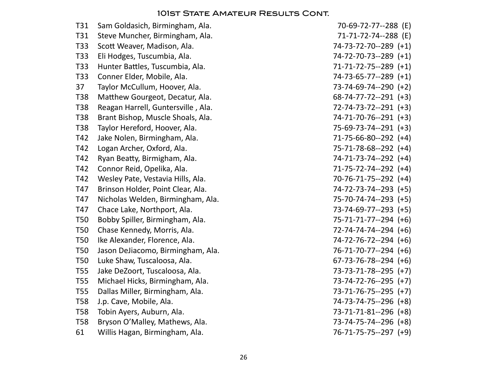| T31        | Sam Goldasich, Birmingham, Ala.    | 70-69-72-77--288 (E)           |
|------------|------------------------------------|--------------------------------|
| T31        | Steve Muncher, Birmingham, Ala.    | 71-71-72-74--288 (E)           |
| T33        | Scott Weaver, Madison, Ala.        | 74-73-72-70--289 (+1)          |
| T33        | Eli Hodges, Tuscumbia, Ala.        | 74-72-70-73--289 (+1)          |
| T33        | Hunter Battles, Tuscumbia, Ala.    | 71-71-72-75--289 (+1)          |
| T33        | Conner Elder, Mobile, Ala.         | 74-73-65-77--289 (+1)          |
| 37         | Taylor McCullum, Hoover, Ala.      | 73-74-69-74--290 (+2)          |
| <b>T38</b> | Matthew Gourgeot, Decatur, Ala.    | $68-74-77-72-291$ (+3)         |
| T38        | Reagan Harrell, Guntersville, Ala. | 72-74-73-72--291 (+3)          |
| T38        | Brant Bishop, Muscle Shoals, Ala.  | 74-71-70-76--291 (+3)          |
| T38        | Taylor Hereford, Hoover, Ala.      | 75-69-73-74--291 (+3)          |
| T42        | Jake Nolen, Birmingham, Ala.       | $71-75-66-80-292$ (+4)         |
| T42        | Logan Archer, Oxford, Ala.         | 75-71-78-68--292 (+4)          |
| T42        | Ryan Beatty, Birmigham, Ala.       | 74-71-73-74--292 (+4)          |
| T42        | Connor Reid, Opelika, Ala.         | 71-75-72-74--292 (+4)          |
| T42        | Wesley Pate, Vestavia Hills, Ala.  | 70-76-71-75--292 (+4)          |
| T47        | Brinson Holder, Point Clear, Ala.  | 74-72-73-74--293 (+5)          |
| T47        | Nicholas Welden, Birmingham, Ala.  | 75-70-74-74--293 (+5)          |
| T47        | Chace Lake, Northport, Ala.        | 73-74-69-77--293 (+5)          |
| <b>T50</b> | Bobby Spiller, Birmingham, Ala.    | $75 - 71 - 71 - 77 - 294$ (+6) |
| <b>T50</b> | Chase Kennedy, Morris, Ala.        | $72 - 74 - 74 - 74 - 294$ (+6) |
| <b>T50</b> | Ike Alexander, Florence, Ala.      | 74-72-76-72--294 (+6)          |
| <b>T50</b> | Jason DeJiacomo, Birmingham, Ala.  | 76-71-70-77--294 (+6)          |
| <b>T50</b> | Luke Shaw, Tuscaloosa, Ala.        | $67 - 73 - 76 - 78 - 294$ (+6) |
| <b>T55</b> | Jake DeZoort, Tuscaloosa, Ala.     | 73-73-71-78--295 (+7)          |
| <b>T55</b> | Michael Hicks, Birmingham, Ala.    | 73-74-72-76--295 (+7)          |
| <b>T55</b> | Dallas Miller, Birmingham, Ala.    | 73-71-76-75--295 (+7)          |
| <b>T58</b> | J.p. Cave, Mobile, Ala.            | 74-73-74-75--296 (+8)          |
| <b>T58</b> | Tobin Ayers, Auburn, Ala.          | 73-71-71-81--296 (+8)          |
| <b>T58</b> | Bryson O'Malley, Mathews, Ala.     | 73-74-75-74--296 (+8)          |
| 61         | Willis Hagan, Birmingham, Ala.     | 76-71-75-75--297 (+9)          |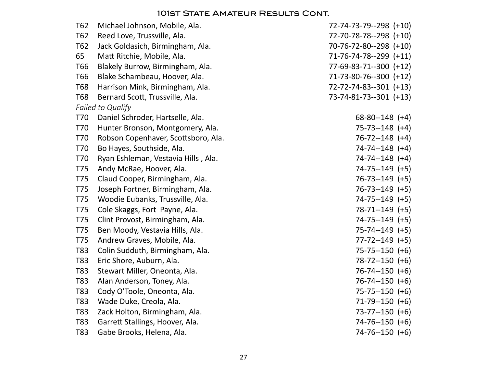| T62        | Michael Johnson, Mobile, Ala.       | 72-74-73-79--298 (+10)  |
|------------|-------------------------------------|-------------------------|
| T62        | Reed Love, Trussville, Ala.         | 72-70-78-78--298 (+10)  |
| T62        | Jack Goldasich, Birmingham, Ala.    | 70-76-72-80--298 (+10)  |
| 65         | Matt Ritchie, Mobile, Ala.          | 71-76-74-78--299 (+11)  |
| T66        | Blakely Burrow, Birmingham, Ala.    | 77-69-83-71--300 (+12)  |
| T66        | Blake Schambeau, Hoover, Ala.       | 71-73-80-76--300 (+12)  |
| <b>T68</b> | Harrison Mink, Birmingham, Ala.     | 72-72-74-83--301 (+13)  |
| <b>T68</b> | Bernard Scott, Trussville, Ala.     | $73-74-81-73-301$ (+13) |
|            | <b>Failed to Qualify</b>            |                         |
| T70        | Daniel Schroder, Hartselle, Ala.    | $68 - 80 - 148$ (+4)    |
| T70        | Hunter Bronson, Montgomery, Ala.    | $75 - 73 - 148$ (+4)    |
| T70        | Robson Copenhaver, Scottsboro, Ala. | $76 - 72 - 148$ (+4)    |
| <b>T70</b> | Bo Hayes, Southside, Ala.           | $74 - 74 - 148$ (+4)    |
| T70        | Ryan Eshleman, Vestavia Hills, Ala. | $74 - 74 - 148$ (+4)    |
| T75        | Andy McRae, Hoover, Ala.            | $74 - 75 - 149$ (+5)    |
| T75        | Claud Cooper, Birmingham, Ala.      | $76 - 73 - 149$ (+5)    |
| T75        | Joseph Fortner, Birmingham, Ala.    | $76 - 73 - 149$ (+5)    |
| T75        | Woodie Eubanks, Trussville, Ala.    | $74 - 75 - 149$ (+5)    |
| <b>T75</b> | Cole Skaggs, Fort Payne, Ala.       | $78-71-149$ (+5)        |
| T75        | Clint Provost, Birmingham, Ala.     | $74 - 75 - 149$ (+5)    |
| T75        | Ben Moody, Vestavia Hills, Ala.     | $75 - 74 - 149$ (+5)    |
| <b>T75</b> | Andrew Graves, Mobile, Ala.         | $77 - 72 - 149$ (+5)    |
| T83        | Colin Sudduth, Birmingham, Ala.     | $75 - 75 - 150$ (+6)    |
| T83        | Eric Shore, Auburn, Ala.            | $78-72-150 (+6)$        |
| T83        | Stewart Miller, Oneonta, Ala.       | $76 - 74 - 150$ (+6)    |
| T83        | Alan Anderson, Toney, Ala.          | $76 - 74 - 150$ (+6)    |
| T83        | Cody O'Toole, Oneonta, Ala.         | $75 - 75 - 150$ (+6)    |
| T83        | Wade Duke, Creola, Ala.             | $71-79-150$ (+6)        |
| T83        | Zack Holton, Birmingham, Ala.       | $73 - 77 - 150$ (+6)    |
| T83        | Garrett Stallings, Hoover, Ala.     | $74 - 76 - 150$ (+6)    |
| T83        | Gabe Brooks, Helena, Ala.           | $74-76-150 (+6)$        |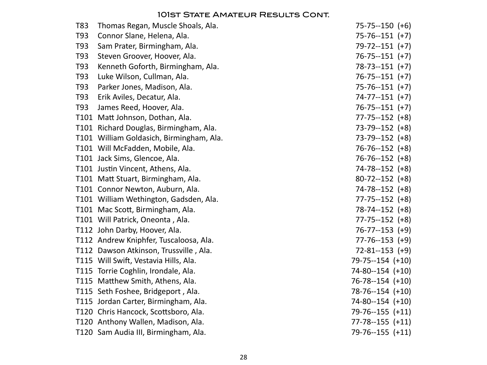| T83 | Thomas Regan, Muscle Shoals, Ala.        | $75 - 75 - 150$ (+6)    |
|-----|------------------------------------------|-------------------------|
| T93 | Connor Slane, Helena, Ala.               | $75 - 76 - 151 (+7)$    |
| T93 | Sam Prater, Birmingham, Ala.             | $79 - 72 - 151$ (+7)    |
| T93 | Steven Groover, Hoover, Ala.             | $76 - 75 - 151 (+7)$    |
| T93 | Kenneth Goforth, Birmingham, Ala.        | $78 - 73 - 151 (+7)$    |
| T93 | Luke Wilson, Cullman, Ala.               | $76 - 75 - 151 (+7)$    |
| T93 | Parker Jones, Madison, Ala.              | $75 - 76 - 151 (+7)$    |
| T93 | Erik Aviles, Decatur, Ala.               | $74 - 77 - 151$ (+7)    |
| T93 | James Reed, Hoover, Ala.                 | $76 - 75 - 151 (+7)$    |
|     | T101 Matt Johnson, Dothan, Ala.          | $77 - 75 - 152$ (+8)    |
|     | T101 Richard Douglas, Birmingham, Ala.   | $73-79-152$ (+8)        |
|     | T101 William Goldasich, Birmingham, Ala. | $73-79-152$ $(+8)$      |
|     | T101 Will McFadden, Mobile, Ala.         | $76 - 76 - 152$ (+8)    |
|     | T101 Jack Sims, Glencoe, Ala.            | $76 - 76 - 152$ (+8)    |
|     | T101 Justin Vincent, Athens, Ala.        | $74 - 78 - 152$ (+8)    |
|     | T101 Matt Stuart, Birmingham, Ala.       | $80 - 72 - 152$ (+8)    |
|     | T101 Connor Newton, Auburn, Ala.         | $74 - 78 - 152$ (+8)    |
|     | T101 William Wethington, Gadsden, Ala.   | $77 - 75 - 152$ (+8)    |
|     | T101 Mac Scott, Birmingham, Ala.         | 78-74--152 (+8)         |
|     | T101 Will Patrick, Oneonta, Ala.         | $77 - 75 - 152$ (+8)    |
|     | T112 John Darby, Hoover, Ala.            | $76 - 77 - 153$ (+9)    |
|     | T112 Andrew Kniphfer, Tuscaloosa, Ala.   | $77 - 76 - 153$ (+9)    |
|     | T112 Dawson Atkinson, Trussville, Ala.   | $72 - 81 - 153$ (+9)    |
|     | T115 Will Swift, Vestavia Hills, Ala.    | $79 - 75 - 154 (+10)$   |
|     | T115 Torrie Coghlin, Irondale, Ala.      | $74 - 80 - 154$ $(+10)$ |
|     | T115 Matthew Smith, Athens, Ala.         | $76 - 78 - 154$ (+10)   |
|     | T115 Seth Foshee, Bridgeport, Ala.       | $78-76-154$ $(+10)$     |
|     | T115 Jordan Carter, Birmingham, Ala.     | $74 - 80 - 154$ $(+10)$ |
|     | T120 Chris Hancock, Scottsboro, Ala.     | $79-76-155 (+11)$       |
|     | T120 Anthony Wallen, Madison, Ala.       | $77 - 78 - 155 (+11)$   |
|     | T120 Sam Audia III, Birmingham, Ala.     | $79 - 76 - 155 (+11)$   |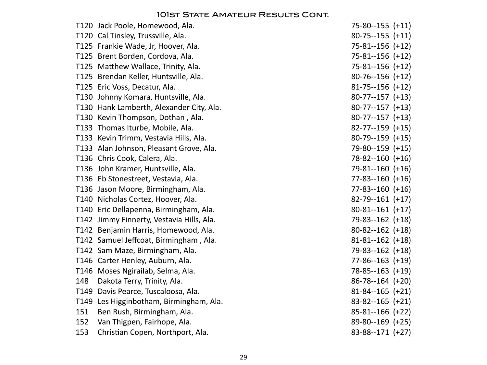| T120 Jack Poole, Homewood, Ala.           | $75 - 80 - 155$ $(+11)$ |
|-------------------------------------------|-------------------------|
| T120 Cal Tinsley, Trussville, Ala.        | $80-75-155 (+11)$       |
| T125 Frankie Wade, Jr, Hoover, Ala.       | $75 - 81 - 156 (+12)$   |
| T125 Brent Borden, Cordova, Ala.          | $75 - 81 - 156 (+12)$   |
| T125 Matthew Wallace, Trinity, Ala.       | $75 - 81 - 156 (+12)$   |
| T125 Brendan Keller, Huntsville, Ala.     | $80-76-156 (+12)$       |
| T125 Eric Voss, Decatur, Ala.             | $81 - 75 - 156 (+12)$   |
| T130 Johnny Komara, Huntsville, Ala.      | $80-77-157 (+13)$       |
| T130 Hank Lamberth, Alexander City, Ala.  | $80-77-157 (+13)$       |
| T130 Kevin Thompson, Dothan, Ala.         | $80-77-157 (+13)$       |
| T133 Thomas Iturbe, Mobile, Ala.          | $82 - 77 - 159$ (+15)   |
| T133 Kevin Trimm, Vestavia Hills, Ala.    | $80-79-159$ (+15)       |
| T133 Alan Johnson, Pleasant Grove, Ala.   | $79-80-159$ (+15)       |
| T136 Chris Cook, Calera, Ala.             | $78 - 82 - 160 (+16)$   |
| T136 John Kramer, Huntsville, Ala.        | $79-81-160 (+16)$       |
| T136 Eb Stonestreet, Vestavia, Ala.       | $77 - 83 - 160 (+16)$   |
| T136 Jason Moore, Birmingham, Ala.        | $77 - 83 - 160$ $(+16)$ |
| T140 Nicholas Cortez, Hoover, Ala.        | $82-79-161$ (+17)       |
| T140 Eric Dellapenna, Birmingham, Ala.    | $80-81-161$ (+17)       |
| T142 Jimmy Finnerty, Vestavia Hills, Ala. | $79 - 83 - 162$ (+18)   |
| T142 Benjamin Harris, Homewood, Ala.      | $80-82-162$ (+18)       |
| T142 Samuel Jeffcoat, Birmingham, Ala.    | $81 - 81 - 162$ (+18)   |
| T142 Sam Maze, Birmingham, Ala.           | 79-83--162 (+18)        |
| T146 Carter Henley, Auburn, Ala.          | $77 - 86 - 163 (+19)$   |
| T146 Moses Ngirailab, Selma, Ala.         | $78 - 85 - 163$ (+19)   |
| 148<br>Dakota Terry, Trinity, Ala.        | $86 - 78 - 164$ (+20)   |
| T149 Davis Pearce, Tuscaloosa, Ala.       | $81 - 84 - 165$ (+21)   |
| T149 Les Higginbotham, Birmingham, Ala.   | $83 - 82 - 165 (+21)$   |
| Ben Rush, Birmingham, Ala.<br>151         | $85 - 81 - 166$ (+22)   |
| Van Thigpen, Fairhope, Ala.<br>152        | $89-80-169$ (+25)       |
| 153<br>Christian Copen, Northport, Ala.   | $83 - 88 - 171$ (+27)   |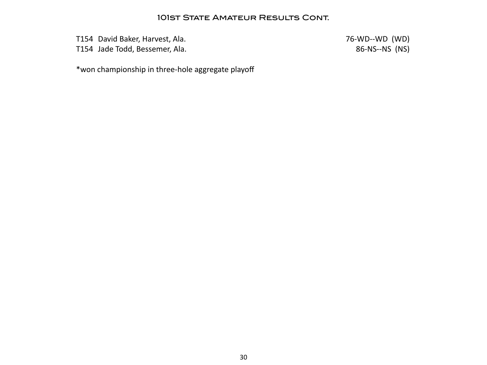T154 David Baker, Harvest, Ala. 2008 2014 12:30 12:30 13:40 14:40 1546 1647 16-WD (WD)

T154 Jade Todd, Bessemer, Ala. 68 and 2012 12:30 and 2013 12:30 and 36-NS--NS (NS)

\*won championship in three-hole aggregate playoff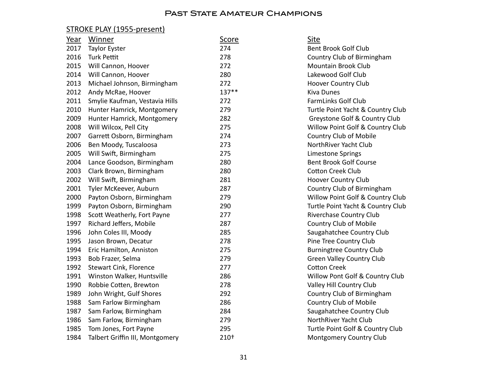# STROKE PLAY (1955-present)

| Year | Winner                          | <u>Score</u> | Site                              |
|------|---------------------------------|--------------|-----------------------------------|
| 2017 | <b>Taylor Eyster</b>            | 274          | <b>Bent Brook Golf Club</b>       |
| 2016 | <b>Turk Pettit</b>              | 278          | Country Club of Birmingham        |
| 2015 | Will Cannon, Hoover             | 272          | Mountain Brook Club               |
| 2014 | Will Cannon, Hoover             | 280          | Lakewood Golf Club                |
| 2013 | Michael Johnson, Birmingham     | 272          | <b>Hoover Country Club</b>        |
| 2012 | Andy McRae, Hoover              | $137**$      | <b>Kiva Dunes</b>                 |
| 2011 | Smylie Kaufman, Vestavia Hills  | 272          | <b>FarmLinks Golf Club</b>        |
| 2010 | Hunter Hamrick, Montgomery      | 279          | Turtle Point Yacht & Country Club |
| 2009 | Hunter Hamrick, Montgomery      | 282          | Greystone Golf & Country Club     |
| 2008 | Will Wilcox, Pell City          | 275          | Willow Point Golf & Country Club  |
| 2007 | Garrett Osborn, Birmingham      | 274          | Country Club of Mobile            |
| 2006 | Ben Moody, Tuscaloosa           | 273          | NorthRiver Yacht Club             |
| 2005 | Will Swift, Birmingham          | 275          | <b>Limestone Springs</b>          |
| 2004 | Lance Goodson, Birmingham       | 280          | <b>Bent Brook Golf Course</b>     |
| 2003 | Clark Brown, Birmingham         | 280          | <b>Cotton Creek Club</b>          |
| 2002 | Will Swift, Birmingham          | 281          | <b>Hoover Country Club</b>        |
| 2001 | Tyler McKeever, Auburn          | 287          | Country Club of Birmingham        |
| 2000 | Payton Osborn, Birmingham       | 279          | Willow Point Golf & Country Club  |
| 1999 | Payton Osborn, Birmingham       | 290          | Turtle Point Yacht & Country Club |
| 1998 | Scott Weatherly, Fort Payne     | 277          | Riverchase Country Club           |
| 1997 | Richard Jeffers, Mobile         | 287          | <b>Country Club of Mobile</b>     |
| 1996 | John Coles III, Moody           | 285          | Saugahatchee Country Club         |
| 1995 | Jason Brown, Decatur            | 278          | Pine Tree Country Club            |
| 1994 | Eric Hamilton, Anniston         | 275          | <b>Burningtree Country Club</b>   |
| 1993 | Bob Frazer, Selma               | 279          | <b>Green Valley Country Club</b>  |
| 1992 | <b>Stewart Cink, Florence</b>   | 277          | <b>Cotton Creek</b>               |
| 1991 | Winston Walker, Huntsville      | 286          | Willow Pont Golf & Country Club   |
| 1990 | Robbie Cotten, Brewton          | 278          | Valley Hill Country Club          |
| 1989 | John Wright, Gulf Shores        | 292          | Country Club of Birmingham        |
| 1988 | Sam Farlow Birmingham           | 286          | Country Club of Mobile            |
| 1987 | Sam Farlow, Birmingham          | 284          | Saugahatchee Country Club         |
| 1986 | Sam Farlow, Birmingham          | 279          | NorthRiver Yacht Club             |
| 1985 | Tom Jones, Fort Payne           | 295          | Turtle Point Golf & Country Club  |
| 1984 | Talbert Griffin III, Montgomery | 210+         | <b>Montgomery Country Club</b>    |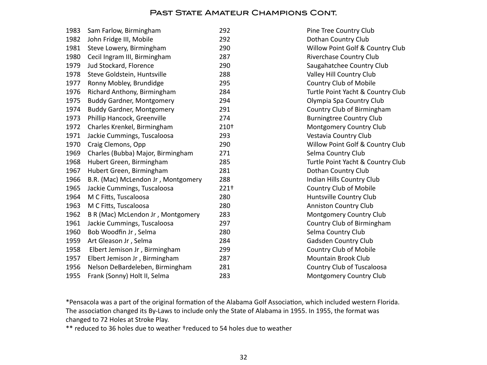| 1983 | Sam Farlow, Birmingham             | 292  | Pine Tree Country Club            |
|------|------------------------------------|------|-----------------------------------|
| 1982 | John Fridge III, Mobile            | 292  | Dothan Country Club               |
| 1981 | Steve Lowery, Birmingham           | 290  | Willow Point Golf & Country Club  |
| 1980 | Cecil Ingram III, Birmingham       | 287  | <b>Riverchase Country Club</b>    |
| 1979 | Jud Stockard, Florence             | 290  | Saugahatchee Country Club         |
| 1978 | Steve Goldstein, Huntsville        | 288  | Valley Hill Country Club          |
| 1977 | Ronny Mobley, Brundidge            | 295  | <b>Country Club of Mobile</b>     |
| 1976 | Richard Anthony, Birmingham        | 284  | Turtle Point Yacht & Country Club |
| 1975 | <b>Buddy Gardner, Montgomery</b>   | 294  | Olympia Spa Country Club          |
| 1974 | <b>Buddy Gardner, Montgomery</b>   | 291  | Country Club of Birmingham        |
| 1973 | Phillip Hancock, Greenville        | 274  | <b>Burningtree Country Club</b>   |
| 1972 | Charles Krenkel, Birmingham        | 210+ | <b>Montgomery Country Club</b>    |
| 1971 | Jackie Cummings, Tuscaloosa        | 293  | Vestavia Country Club             |
| 1970 | Craig Clemons, Opp                 | 290  | Willow Point Golf & Country Club  |
| 1969 | Charles (Bubba) Major, Birmingham  | 271  | Selma Country Club                |
| 1968 | Hubert Green, Birmingham           | 285  | Turtle Point Yacht & Country Club |
| 1967 | Hubert Green, Birmingham           | 281  | Dothan Country Club               |
| 1966 | B.R. (Mac) McLendon Jr, Montgomery | 288  | Indian Hills Country Club         |
| 1965 | Jackie Cummings, Tuscaloosa        | 221+ | Country Club of Mobile            |
| 1964 | M C Fitts, Tuscaloosa              | 280  | Huntsville Country Club           |
| 1963 | M C Fitts, Tuscaloosa              | 280  | <b>Anniston Country Club</b>      |
| 1962 | B R (Mac) McLendon Jr, Montgomery  | 283  | <b>Montgomery Country Club</b>    |
| 1961 | Jackie Cummings, Tuscaloosa        | 297  | Country Club of Birmingham        |
| 1960 | Bob Woodfin Jr, Selma              | 280  | Selma Country Club                |
| 1959 | Art Gleason Jr, Selma              | 284  | Gadsden Country Club              |
| 1958 | Elbert Jemison Jr, Birmingham      | 299  | Country Club of Mobile            |
| 1957 | Elbert Jemison Jr, Birmingham      | 287  | <b>Mountain Brook Club</b>        |
| 1956 | Nelson DeBardeleben, Birmingham    | 281  | Country Club of Tuscaloosa        |
| 1955 | Frank (Sonny) Holt II, Selma       | 283  | <b>Montgomery Country Club</b>    |
|      |                                    |      |                                   |

\*Pensacola was a part of the original formation of the Alabama Golf Association, which included western Florida. The association changed its By-Laws to include only the State of Alabama in 1955. In 1955, the format was changed to 72 Holes at Stroke Play.

\*\* reduced to 36 holes due to weather †reduced to 54 holes due to weather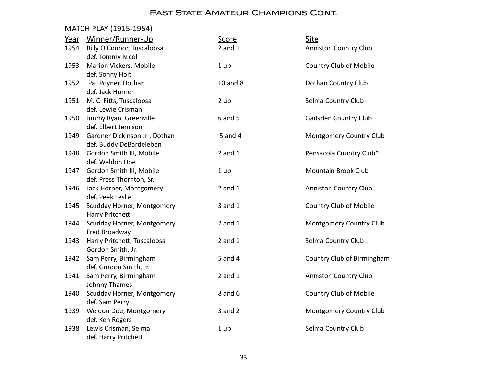# MATCH PLAY (1915-1954)

| Year | Winner/Runner-Up             | <b>Score</b> | Site                          |
|------|------------------------------|--------------|-------------------------------|
| 1954 | Billy O'Connor, Tuscaloosa   | $2$ and $1$  | <b>Anniston Country Club</b>  |
|      | def. Tommy Nicol             |              |                               |
| 1953 | Marion Vickers, Mobile       | 1 up         | <b>Country Club of Mobile</b> |
|      | def. Sonny Holt              |              |                               |
| 1952 | Pat Poyner, Dothan           | 10 and 8     | Dothan Country Club           |
|      | def. Jack Horner             |              |                               |
| 1951 | M. C. Fitts, Tuscaloosa      | 2 up         | Selma Country Club            |
|      | def. Lewie Crisman           |              |                               |
| 1950 | Jimmy Ryan, Greenville       | 6 and 5      | Gadsden Country Club          |
|      | def. Elbert Jemison          |              |                               |
| 1949 | Gardner Dickinson Jr, Dothan | 5 and 4      | Montgomery Country Club       |
|      | def. Buddy DeBardeleben      |              |                               |
| 1948 | Gordon Smith III, Mobile     | $2$ and $1$  | Pensacola Country Club*       |
|      | def. Weldon Doe              |              |                               |
| 1947 | Gordon Smith III, Mobile     | 1 up         | Mountain Brook Club           |
|      | def. Press Thornton, Sr.     |              |                               |
| 1946 | Jack Horner, Montgomery      | $2$ and $1$  | <b>Anniston Country Club</b>  |
|      | def. Peek Leslie             |              |                               |
| 1945 | Scudday Horner, Montgomery   | $3$ and $1$  | <b>Country Club of Mobile</b> |
|      | Harry Pritchett              |              |                               |
| 1944 | Scudday Horner, Montgomery   | $2$ and $1$  | Montgomery Country Club       |
|      | Fred Broadway                |              |                               |
| 1943 | Harry Pritchett, Tuscaloosa  | $2$ and $1$  | Selma Country Club            |
|      | Gordon Smith, Jr.            |              |                               |
| 1942 | Sam Perry, Birmingham        | 5 and 4      | Country Club of Birmingham    |
|      | def. Gordon Smith, Jr.       |              |                               |
| 1941 | Sam Perry, Birmingham        | $2$ and $1$  | <b>Anniston Country Club</b>  |
|      | Johnny Thames                |              |                               |
| 1940 | Scudday Horner, Montgomery   | 8 and 6      | Country Club of Mobile        |
|      | def. Sam Perry               |              |                               |
| 1939 | Weldon Doe, Montgomery       | $3$ and $2$  | Montgomery Country Club       |
|      | def. Ken Rogers              |              |                               |
| 1938 | Lewis Crisman, Selma         | 1 up         | Selma Country Club            |
|      | def. Harry Pritchett         |              |                               |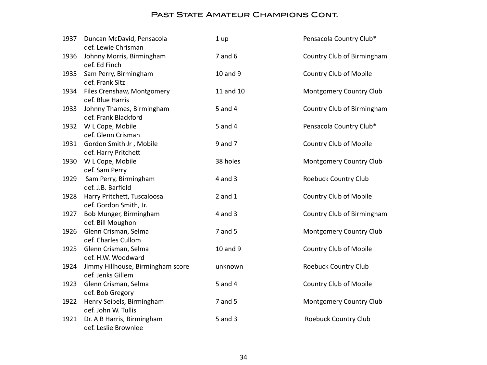| 1937 | Duncan McDavid, Pensacola<br>def. Lewie Chrisman       | 1 up        | Pensacola Country Club*    |
|------|--------------------------------------------------------|-------------|----------------------------|
| 1936 | Johnny Morris, Birmingham<br>def. Ed Finch             | $7$ and $6$ | Country Club of Birmingham |
| 1935 | Sam Perry, Birmingham<br>def. Frank Sitz               | 10 and 9    | Country Club of Mobile     |
| 1934 | Files Crenshaw, Montgomery<br>def. Blue Harris         | 11 and 10   | Montgomery Country Club    |
| 1933 | Johnny Thames, Birmingham<br>def. Frank Blackford      | 5 and 4     | Country Club of Birmingham |
| 1932 | W L Cope, Mobile<br>def. Glenn Crisman                 | 5 and 4     | Pensacola Country Club*    |
| 1931 | Gordon Smith Jr, Mobile<br>def. Harry Pritchett        | 9 and 7     | Country Club of Mobile     |
| 1930 | W L Cope, Mobile<br>def. Sam Perry                     | 38 holes    | Montgomery Country Club    |
| 1929 | Sam Perry, Birmingham<br>def. J.B. Barfield            | $4$ and $3$ | Roebuck Country Club       |
| 1928 | Harry Pritchett, Tuscaloosa<br>def. Gordon Smith, Jr.  | $2$ and $1$ | Country Club of Mobile     |
| 1927 | Bob Munger, Birmingham<br>def. Bill Moughon            | $4$ and $3$ | Country Club of Birmingham |
| 1926 | Glenn Crisman, Selma<br>def. Charles Cullom            | $7$ and $5$ | Montgomery Country Club    |
| 1925 | Glenn Crisman, Selma<br>def. H.W. Woodward             | 10 and 9    | Country Club of Mobile     |
| 1924 | Jimmy Hillhouse, Birmingham score<br>def. Jenks Gillem | unknown     | Roebuck Country Club       |
| 1923 | Glenn Crisman, Selma<br>def. Bob Gregory               | 5 and 4     | Country Club of Mobile     |
| 1922 | Henry Seibels, Birmingham<br>def. John W. Tullis       | $7$ and $5$ | Montgomery Country Club    |
| 1921 | Dr. A B Harris, Birmingham<br>def. Leslie Brownlee     | $5$ and $3$ | Roebuck Country Club       |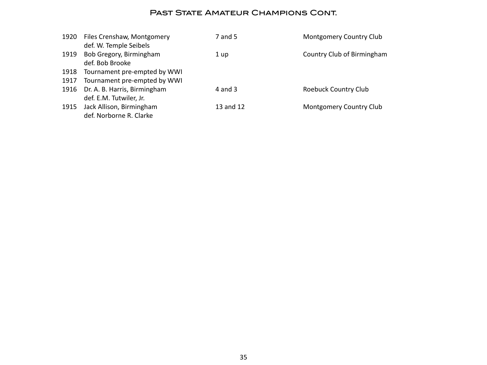| 1920 | Files Crenshaw, Montgomery   | 7 and 5   | <b>Montgomery Country Club</b> |
|------|------------------------------|-----------|--------------------------------|
|      | def. W. Temple Seibels       |           |                                |
| 1919 | Bob Gregory, Birmingham      | 1 up      | Country Club of Birmingham     |
|      | def. Bob Brooke              |           |                                |
| 1918 | Tournament pre-empted by WWI |           |                                |
| 1917 | Tournament pre-empted by WWI |           |                                |
| 1916 | Dr. A. B. Harris, Birmingham | 4 and 3   | Roebuck Country Club           |
|      | def. E.M. Tutwiler, Jr.      |           |                                |
| 1915 | Jack Allison, Birmingham     | 13 and 12 | <b>Montgomery Country Club</b> |
|      | def. Norborne R. Clarke      |           |                                |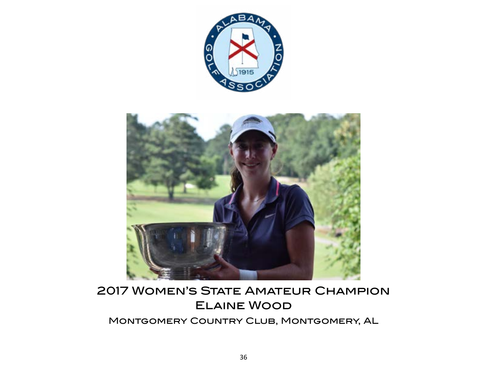

<span id="page-35-0"></span>

# 2017 Women's State Amateur Champion Elaine Wood

Montgomery Country Club, Montgomery, AL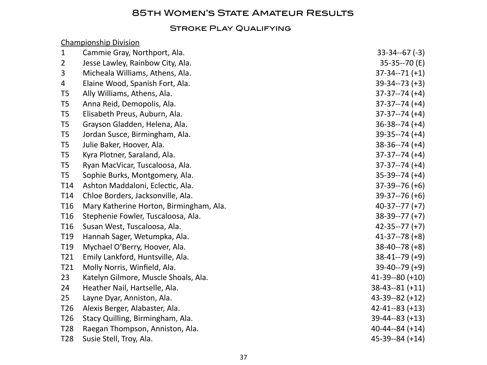# 85th Women's State Amateur Results

#### STROKE PLAY QUALIFYING

#### Championship Division

| $\mathbf{1}$    | Cammie Gray, Northport, Ala.            | $33-34-67(-3)$        |
|-----------------|-----------------------------------------|-----------------------|
| $\overline{2}$  | Jesse Lawley, Rainbow City, Ala.        | 35-35--70 (E)         |
| 3               | Micheala Williams, Athens, Ala.         | $37-34-71 (+1)$       |
| 4               | Elaine Wood, Spanish Fort, Ala.         | $39-34-73 (+3)$       |
| T <sub>5</sub>  | Ally Williams, Athens, Ala.             | $37-37-74 (+4)$       |
| T <sub>5</sub>  | Anna Reid, Demopolis, Ala.              | $37-37-74 (+4)$       |
| T <sub>5</sub>  | Elisabeth Preus, Auburn, Ala.           | $37-37-74 (+4)$       |
| T <sub>5</sub>  | Grayson Gladden, Helena, Ala.           | $36-38-74 (+4)$       |
| T <sub>5</sub>  | Jordan Susce, Birmingham, Ala.          | $39-35--74 (+4)$      |
| T <sub>5</sub>  | Julie Baker, Hoover, Ala.               | $38-36-74 (+4)$       |
| T <sub>5</sub>  | Kyra Plotner, Saraland, Ala.            | $37-37-74 (+4)$       |
| T <sub>5</sub>  | Ryan MacVicar, Tuscaloosa, Ala.         | $37-37-74 (+4)$       |
| T <sub>5</sub>  | Sophie Burks, Montgomery, Ala.          | $35-39-74 (+4)$       |
| T <sub>14</sub> | Ashton Maddaloni, Eclectic, Ala.        | $37-39-76 (+6)$       |
| T14             | Chloe Borders, Jacksonville, Ala.       | $39-37-76 (+6)$       |
| T <sub>16</sub> | Mary Katherine Horton, Birmingham, Ala. | $40-37--77 (+7)$      |
| T <sub>16</sub> | Stephenie Fowler, Tuscaloosa, Ala.      | $38-39-77 (+7)$       |
| T <sub>16</sub> | Susan West, Tuscaloosa, Ala.            | $42 - 35 - -77$ (+7)  |
| T <sub>19</sub> | Hannah Sager, Wetumpka, Ala.            | $41-37-78$ (+8)       |
| T19             | Mychael O'Berry, Hoover, Ala.           | $38-40-78$ (+8)       |
| T21             | Emily Lankford, Huntsville, Ala.        | $38 - 41 - 79$ (+9)   |
| T21             | Molly Norris, Winfield, Ala.            | $39-40-79$ (+9)       |
| 23              | Katelyn Gilmore, Muscle Shoals, Ala.    | $41-39-80 (+10)$      |
| 24              | Heather Nail, Hartselle, Ala.           | $38-43-81 (+11)$      |
| 25              | Layne Dyar, Anniston, Ala.              | $43-39-82 (+12)$      |
| T <sub>26</sub> | Alexis Berger, Alabaster, Ala.          | $42 - 41 - -83 (+13)$ |
| T <sub>26</sub> | Stacy Quilling, Birmingham, Ala.        | $39-44-83 (+13)$      |
| T <sub>28</sub> | Raegan Thompson, Anniston, Ala.         | $40 - 44 - 84 (+14)$  |
| T <sub>28</sub> | Susie Stell, Troy, Ala.                 | $45-39-84 (+14)$      |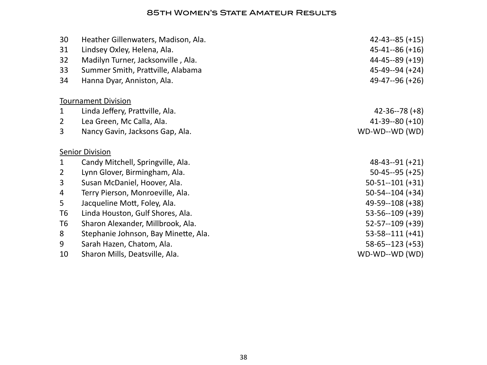#### 85th Women's State Amateur Results

| 30             | Heather Gillenwaters, Madison, Ala.  | $42 - 43 - -85 (+15)$ |
|----------------|--------------------------------------|-----------------------|
| 31             | Lindsey Oxley, Helena, Ala.          | $45 - 41 - -86 (+16)$ |
| 32             | Madilyn Turner, Jacksonville, Ala.   | $44 - 45 - -89$ (+19) |
| 33             | Summer Smith, Prattville, Alabama    | $45-49-94 (+24)$      |
| 34             | Hanna Dyar, Anniston, Ala.           | $49-47-96 (+26)$      |
|                | <b>Tournament Division</b>           |                       |
| $\mathbf{1}$   | Linda Jeffery, Prattville, Ala.      | $42 - 36 - 78$ (+8)   |
| $\overline{2}$ | Lea Green, Mc Calla, Ala.            | $41 - 39 - 80 (+10)$  |
| 3              | Nancy Gavin, Jacksons Gap, Ala.      | WD-WD--WD (WD)        |
|                | <b>Senior Division</b>               |                       |
| $\mathbf{1}$   | Candy Mitchell, Springville, Ala.    | $48-43-91 (+21)$      |
| $\overline{2}$ | Lynn Glover, Birmingham, Ala.        | $50-45-95 (+25)$      |
| 3              | Susan McDaniel, Hoover, Ala.         | $50-51-101 (+31)$     |
| 4              | Terry Pierson, Monroeville, Ala.     | $50-54-104 (+34)$     |
| 5              | Jacqueline Mott, Foley, Ala.         | 49-59--108 (+38)      |
| T6             | Linda Houston, Gulf Shores, Ala.     | $53 - 56 - 109$ (+39) |
| T6             | Sharon Alexander, Millbrook, Ala.    | $52 - 57 - 109 (+39)$ |
| 8              | Stephanie Johnson, Bay Minette, Ala. | $53 - 58 - 111 (+41)$ |
| 9              | Sarah Hazen, Chatom, Ala.            | $58 - 65 - 123 (+53)$ |
| 10             | Sharon Mills, Deatsville, Ala.       | WD-WD--WD (WD)        |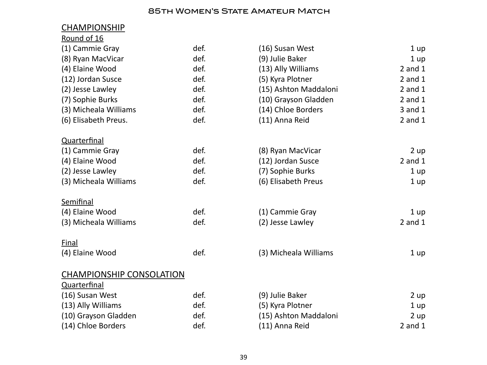### **85TH WOMEN'S STATE AMATEUR MATCH**

| <b>CHAMPIONSHIP</b>                                                                                              |      |                                           |             |
|------------------------------------------------------------------------------------------------------------------|------|-------------------------------------------|-------------|
| Round of 16                                                                                                      |      |                                           |             |
| (1) Cammie Gray                                                                                                  | def. | (16) Susan West                           | 1 up        |
| (8) Ryan MacVicar                                                                                                | def. | (9) Julie Baker                           | 1 up        |
| (4) Elaine Wood                                                                                                  | def. | (13) Ally Williams                        | $2$ and $1$ |
| (12) Jordan Susce                                                                                                | def. | (5) Kyra Plotner                          | $2$ and $1$ |
| (2) Jesse Lawley                                                                                                 | def. | (15) Ashton Maddaloni                     | $2$ and $1$ |
| (7) Sophie Burks                                                                                                 | def. | (10) Grayson Gladden                      | $2$ and $1$ |
| (3) Micheala Williams                                                                                            | def. | (14) Chloe Borders                        | 3 and 1     |
| (6) Elisabeth Preus.                                                                                             | def. | (11) Anna Reid                            | $2$ and $1$ |
| Quarterfinal                                                                                                     |      |                                           |             |
| (1) Cammie Gray                                                                                                  | def. | (8) Ryan MacVicar                         | 2 up        |
| (4) Elaine Wood                                                                                                  | def. | (12) Jordan Susce                         | $2$ and $1$ |
| (2) Jesse Lawley                                                                                                 | def. | (7) Sophie Burks                          | 1 up        |
| (3) Micheala Williams                                                                                            | def. | (6) Elisabeth Preus                       | 1 up        |
| Semifinal                                                                                                        |      |                                           |             |
| (4) Elaine Wood                                                                                                  | def. | (1) Cammie Gray                           | 1 up        |
| (3) Micheala Williams                                                                                            | def. | (2) Jesse Lawley                          | $2$ and $1$ |
| Final                                                                                                            |      |                                           |             |
| (4) Elaine Wood                                                                                                  | def. | (3) Micheala Williams                     | 1 up        |
|                                                                                                                  |      |                                           |             |
|                                                                                                                  |      |                                           |             |
|                                                                                                                  | def. | (9) Julie Baker                           | 2 up        |
|                                                                                                                  | def. |                                           | 1 up        |
|                                                                                                                  | def. |                                           | 2 up        |
| (14) Chloe Borders                                                                                               | def. | (11) Anna Reid                            | $2$ and $1$ |
| <b>CHAMPIONSHIP CONSOLATION</b><br>Quarterfinal<br>(16) Susan West<br>(13) Ally Williams<br>(10) Grayson Gladden |      | (5) Kyra Plotner<br>(15) Ashton Maddaloni |             |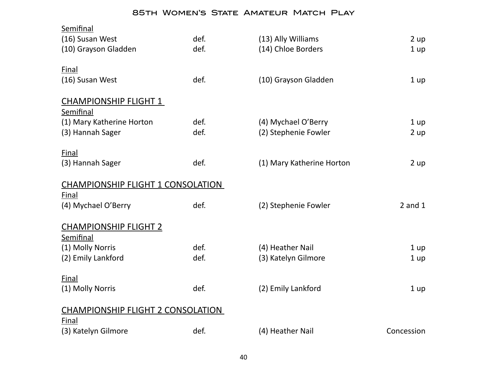#### 85th Women's State Amateur Match Play

| Semifinal                                |      |                           |             |  |  |
|------------------------------------------|------|---------------------------|-------------|--|--|
| (16) Susan West                          | def. | (13) Ally Williams        | 2 up        |  |  |
| (10) Grayson Gladden                     | def. | (14) Chloe Borders        | 1 up        |  |  |
| <b>Final</b>                             |      |                           |             |  |  |
| (16) Susan West                          | def. | (10) Grayson Gladden      |             |  |  |
|                                          |      |                           | 1 up        |  |  |
| <b>CHAMPIONSHIP FLIGHT 1</b>             |      |                           |             |  |  |
| Semifinal                                |      |                           |             |  |  |
| (1) Mary Katherine Horton                | def. | (4) Mychael O'Berry       | 1 up        |  |  |
| (3) Hannah Sager                         | def. | (2) Stephenie Fowler      | 2 up        |  |  |
| Final                                    |      |                           |             |  |  |
| (3) Hannah Sager                         | def. | (1) Mary Katherine Horton | 2 up        |  |  |
|                                          |      |                           |             |  |  |
| <b>CHAMPIONSHIP FLIGHT 1 CONSOLATION</b> |      |                           |             |  |  |
| Final                                    |      |                           |             |  |  |
| (4) Mychael O'Berry                      | def. | (2) Stephenie Fowler      | $2$ and $1$ |  |  |
|                                          |      |                           |             |  |  |
| <b>CHAMPIONSHIP FLIGHT 2</b>             |      |                           |             |  |  |
| Semifinal                                |      |                           |             |  |  |
| (1) Molly Norris                         | def. | (4) Heather Nail          | 1 up        |  |  |
| (2) Emily Lankford                       | def. | (3) Katelyn Gilmore       | 1 up        |  |  |
|                                          |      |                           |             |  |  |
| Final                                    |      |                           |             |  |  |
| (1) Molly Norris                         | def. | (2) Emily Lankford        | 1 up        |  |  |
| <b>CHAMPIONSHIP FLIGHT 2 CONSOLATION</b> |      |                           |             |  |  |
| Final                                    |      |                           |             |  |  |
| (3) Katelyn Gilmore                      | def. | (4) Heather Nail          | Concession  |  |  |
|                                          |      |                           |             |  |  |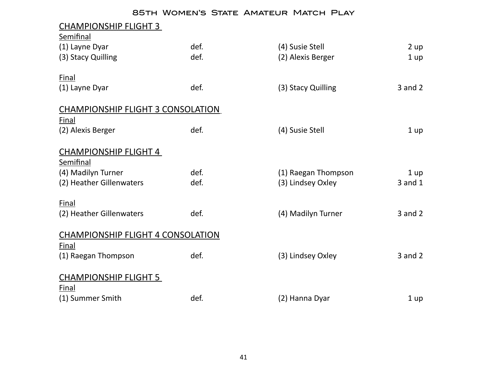#### 85th Women's State Amateur Match Play

| <u>CHAMPIONSHIP FLIGHT 3</u>             |      |                     |                 |
|------------------------------------------|------|---------------------|-----------------|
| Semifinal                                |      |                     |                 |
| (1) Layne Dyar                           | def. | (4) Susie Stell     | 2 up            |
| (3) Stacy Quilling                       | def. | (2) Alexis Berger   | 1 <sub>up</sub> |
| Final                                    |      |                     |                 |
| (1) Layne Dyar                           | def. | (3) Stacy Quilling  | $3$ and $2$     |
| <b>CHAMPIONSHIP FLIGHT 3 CONSOLATION</b> |      |                     |                 |
| Final                                    |      |                     |                 |
| (2) Alexis Berger                        | def. | (4) Susie Stell     | 1 up            |
| <b>CHAMPIONSHIP FLIGHT 4</b>             |      |                     |                 |
| Semifinal                                |      |                     |                 |
| (4) Madilyn Turner                       | def. | (1) Raegan Thompson | 1 up            |
| (2) Heather Gillenwaters                 | def. | (3) Lindsey Oxley   | 3 and 1         |
| Final                                    |      |                     |                 |
| (2) Heather Gillenwaters                 | def. | (4) Madilyn Turner  | $3$ and $2$     |
| <b>CHAMPIONSHIP FLIGHT 4 CONSOLATION</b> |      |                     |                 |
| Final                                    |      |                     |                 |
| (1) Raegan Thompson                      | def. | (3) Lindsey Oxley   | $3$ and $2$     |
| <b>CHAMPIONSHIP FLIGHT 5</b>             |      |                     |                 |
| Final                                    |      |                     |                 |
| (1) Summer Smith                         | def. | (2) Hanna Dyar      | 1 <sub>up</sub> |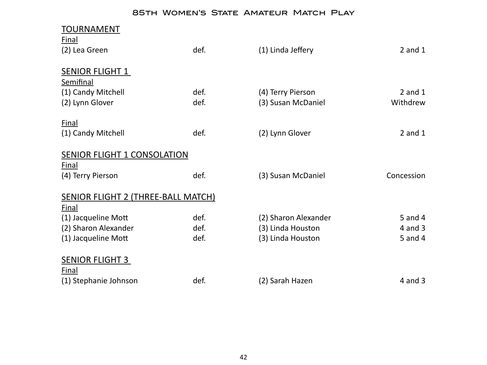### 85th Women's State Amateur Match Play

| <b>TOURNAMENT</b>                   |      |                      |             |
|-------------------------------------|------|----------------------|-------------|
| <b>Final</b>                        |      |                      |             |
| (2) Lea Green                       | def. | (1) Linda Jeffery    | $2$ and $1$ |
|                                     |      |                      |             |
| <b>SENIOR FLIGHT 1</b>              |      |                      |             |
| Semifinal                           |      |                      |             |
| (1) Candy Mitchell                  | def. | (4) Terry Pierson    | $2$ and $1$ |
| (2) Lynn Glover                     | def. | (3) Susan McDaniel   | Withdrew    |
|                                     |      |                      |             |
| Final                               |      |                      |             |
| (1) Candy Mitchell                  | def. | (2) Lynn Glover      | $2$ and $1$ |
|                                     |      |                      |             |
| <b>SENIOR FLIGHT 1 CONSOLATION</b>  |      |                      |             |
| <b>Final</b>                        |      |                      |             |
| (4) Terry Pierson                   | def. | (3) Susan McDaniel   | Concession  |
|                                     |      |                      |             |
| SENIOR FLIGHT 2 (THREE-BALL MATCH)  |      |                      |             |
| <b>Final</b><br>(1) Jacqueline Mott | def. | (2) Sharon Alexander | 5 and 4     |
| (2) Sharon Alexander                | def. | (3) Linda Houston    | $4$ and $3$ |
| (1) Jacqueline Mott                 | def. | (3) Linda Houston    | 5 and 4     |
|                                     |      |                      |             |
| <b>SENIOR FLIGHT 3</b>              |      |                      |             |
| Final                               |      |                      |             |
| (1) Stephanie Johnson               | def. | (2) Sarah Hazen      | $4$ and $3$ |
|                                     |      |                      |             |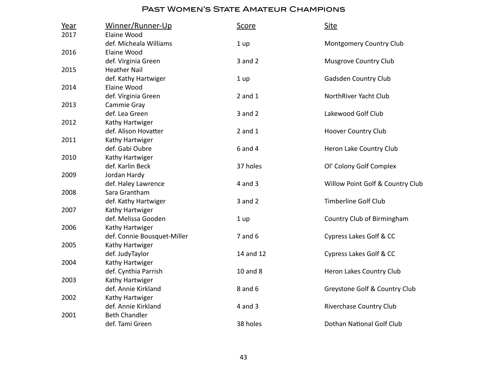| Year | Winner/Runner-Up            | <u>Score</u> | <b>Site</b>                      |
|------|-----------------------------|--------------|----------------------------------|
| 2017 | Elaine Wood                 |              |                                  |
|      | def. Micheala Williams      | 1 up         | <b>Montgomery Country Club</b>   |
| 2016 | Elaine Wood                 |              |                                  |
|      | def. Virginia Green         | $3$ and $2$  | <b>Musgrove Country Club</b>     |
| 2015 | <b>Heather Nail</b>         |              |                                  |
|      | def. Kathy Hartwiger        | 1 up         | Gadsden Country Club             |
| 2014 | Elaine Wood                 |              |                                  |
|      | def. Virginia Green         | $2$ and $1$  | NorthRiver Yacht Club            |
| 2013 | Cammie Gray                 |              |                                  |
|      | def. Lea Green              | $3$ and $2$  | Lakewood Golf Club               |
| 2012 | Kathy Hartwiger             |              |                                  |
|      | def. Alison Hovatter        | $2$ and $1$  | <b>Hoover Country Club</b>       |
| 2011 | Kathy Hartwiger             |              |                                  |
|      | def. Gabi Oubre             | $6$ and $4$  | Heron Lake Country Club          |
| 2010 | Kathy Hartwiger             |              |                                  |
|      | def. Karlin Beck            | 37 holes     | Ol' Colony Golf Complex          |
| 2009 | Jordan Hardy                |              |                                  |
|      | def. Haley Lawrence         | $4$ and $3$  | Willow Point Golf & Country Club |
| 2008 | Sara Grantham               |              |                                  |
|      | def. Kathy Hartwiger        | $3$ and $2$  | <b>Timberline Golf Club</b>      |
| 2007 | Kathy Hartwiger             |              |                                  |
|      | def. Melissa Gooden         | 1 up         | Country Club of Birmingham       |
| 2006 | Kathy Hartwiger             |              |                                  |
|      | def. Connie Bousquet-Miller | $7$ and $6$  | Cypress Lakes Golf & CC          |
| 2005 | Kathy Hartwiger             |              |                                  |
|      | def. JudyTaylor             | 14 and 12    | Cypress Lakes Golf & CC          |
| 2004 | Kathy Hartwiger             |              |                                  |
|      | def. Cynthia Parrish        | 10 and 8     | Heron Lakes Country Club         |
| 2003 | Kathy Hartwiger             |              |                                  |
|      | def. Annie Kirkland         | 8 and 6      | Greystone Golf & Country Club    |
| 2002 | Kathy Hartwiger             |              |                                  |
|      | def. Annie Kirkland         | $4$ and $3$  | Riverchase Country Club          |
| 2001 | <b>Beth Chandler</b>        |              |                                  |
|      | def. Tami Green             | 38 holes     | Dothan National Golf Club        |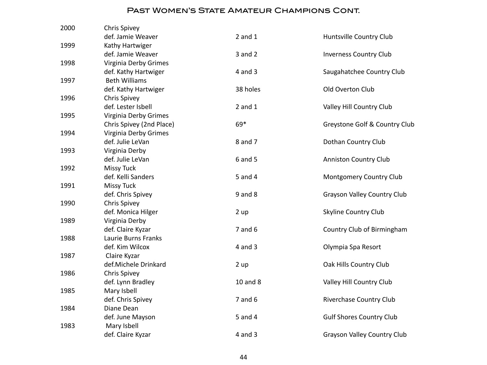| 2000 | Chris Spivey                             |             |                                    |
|------|------------------------------------------|-------------|------------------------------------|
|      | def. Jamie Weaver                        | $2$ and $1$ | Huntsville Country Club            |
| 1999 | Kathy Hartwiger                          |             |                                    |
|      | def. Jamie Weaver                        | 3 and 2     | <b>Inverness Country Club</b>      |
| 1998 | Virginia Derby Grimes                    |             |                                    |
|      | def. Kathy Hartwiger                     | $4$ and $3$ | Saugahatchee Country Club          |
| 1997 | <b>Beth Williams</b>                     |             |                                    |
|      | def. Kathy Hartwiger                     | 38 holes    | Old Overton Club                   |
| 1996 | <b>Chris Spivey</b>                      |             |                                    |
|      | def. Lester Isbell                       | $2$ and $1$ | Valley Hill Country Club           |
| 1995 | Virginia Derby Grimes                    |             |                                    |
|      | Chris Spivey (2nd Place)                 | 69*         | Greystone Golf & Country Club      |
| 1994 | Virginia Derby Grimes                    |             |                                    |
|      | def. Julie LeVan                         | 8 and 7     | Dothan Country Club                |
| 1993 | Virginia Derby                           |             |                                    |
|      | def. Julie LeVan                         | 6 and 5     | <b>Anniston Country Club</b>       |
| 1992 | <b>Missy Tuck</b>                        |             |                                    |
|      | def. Kelli Sanders                       | 5 and 4     | Montgomery Country Club            |
| 1991 | <b>Missy Tuck</b>                        |             |                                    |
|      | def. Chris Spivey                        | $9$ and $8$ | <b>Grayson Valley Country Club</b> |
| 1990 | <b>Chris Spivey</b>                      |             |                                    |
|      | def. Monica Hilger                       | 2 up        | <b>Skyline Country Club</b>        |
| 1989 | Virginia Derby                           |             |                                    |
|      | def. Claire Kyzar<br>Laurie Burns Franks | $7$ and $6$ | Country Club of Birmingham         |
| 1988 | def. Kim Wilcox                          | $4$ and $3$ |                                    |
| 1987 |                                          |             | Olympia Spa Resort                 |
|      | Claire Kyzar<br>def.Michele Drinkard     | 2 up        | Oak Hills Country Club             |
| 1986 | Chris Spivey                             |             |                                    |
|      | def. Lynn Bradley                        | 10 and 8    | Valley Hill Country Club           |
| 1985 | Mary Isbell                              |             |                                    |
|      | def. Chris Spivey                        | $7$ and $6$ | Riverchase Country Club            |
| 1984 | Diane Dean                               |             |                                    |
|      | def. June Mayson                         | 5 and 4     | <b>Gulf Shores Country Club</b>    |
| 1983 | Mary Isbell                              |             |                                    |
|      | def. Claire Kyzar                        | $4$ and $3$ | <b>Grayson Valley Country Club</b> |
|      |                                          |             |                                    |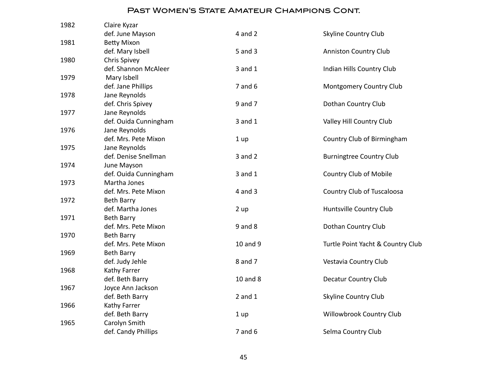| 1982 | Claire Kyzar          |             |                                   |
|------|-----------------------|-------------|-----------------------------------|
|      | def. June Mayson      | $4$ and $2$ | <b>Skyline Country Club</b>       |
| 1981 | <b>Betty Mixon</b>    |             |                                   |
|      | def. Mary Isbell      | 5 and 3     | <b>Anniston Country Club</b>      |
| 1980 | <b>Chris Spivey</b>   |             |                                   |
|      | def. Shannon McAleer  | $3$ and $1$ | Indian Hills Country Club         |
| 1979 | Mary Isbell           |             |                                   |
|      | def. Jane Phillips    | $7$ and $6$ | Montgomery Country Club           |
| 1978 | Jane Reynolds         |             |                                   |
|      | def. Chris Spivey     | 9 and 7     | Dothan Country Club               |
| 1977 | Jane Reynolds         |             |                                   |
|      | def. Ouida Cunningham | $3$ and $1$ | Valley Hill Country Club          |
| 1976 | Jane Reynolds         |             |                                   |
|      | def. Mrs. Pete Mixon  | 1 up        | Country Club of Birmingham        |
| 1975 | Jane Reynolds         |             |                                   |
|      | def. Denise Snellman  | $3$ and $2$ | <b>Burningtree Country Club</b>   |
| 1974 | June Mayson           |             |                                   |
|      | def. Ouida Cunningham | $3$ and $1$ | Country Club of Mobile            |
| 1973 | Martha Jones          |             |                                   |
|      | def. Mrs. Pete Mixon  | $4$ and $3$ | Country Club of Tuscaloosa        |
| 1972 | <b>Beth Barry</b>     |             |                                   |
|      | def. Martha Jones     | 2 up        | Huntsville Country Club           |
| 1971 | Beth Barry            |             |                                   |
|      | def. Mrs. Pete Mixon  | $9$ and $8$ | Dothan Country Club               |
| 1970 | Beth Barry            |             |                                   |
|      | def. Mrs. Pete Mixon  | 10 and 9    | Turtle Point Yacht & Country Club |
| 1969 | Beth Barry            |             |                                   |
|      | def. Judy Jehle       | 8 and 7     | Vestavia Country Club             |
| 1968 | Kathy Farrer          |             |                                   |
|      | def. Beth Barry       | 10 and 8    | Decatur Country Club              |
| 1967 | Joyce Ann Jackson     |             |                                   |
|      | def. Beth Barry       | $2$ and $1$ | <b>Skyline Country Club</b>       |
| 1966 | Kathy Farrer          |             |                                   |
|      | def. Beth Barry       | 1 up        | Willowbrook Country Club          |
| 1965 | Carolyn Smith         |             |                                   |
|      | def. Candy Phillips   | $7$ and $6$ | Selma Country Club                |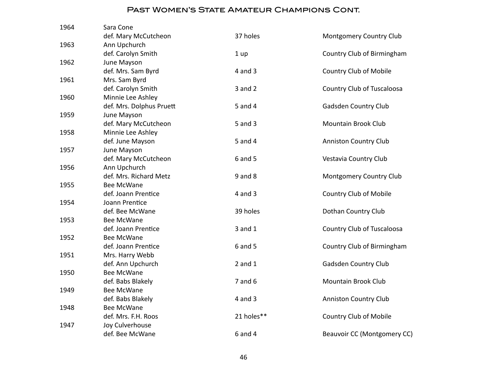| 1964 | Sara Cone                     |             |                                |
|------|-------------------------------|-------------|--------------------------------|
|      | def. Mary McCutcheon          | 37 holes    | <b>Montgomery Country Club</b> |
| 1963 | Ann Upchurch                  |             |                                |
|      | def. Carolyn Smith            | 1 up        | Country Club of Birmingham     |
| 1962 | June Mayson                   |             |                                |
|      | def. Mrs. Sam Byrd            | $4$ and $3$ | <b>Country Club of Mobile</b>  |
| 1961 | Mrs. Sam Byrd                 |             |                                |
|      | def. Carolyn Smith            | $3$ and $2$ | Country Club of Tuscaloosa     |
| 1960 | Minnie Lee Ashley             |             |                                |
|      | def. Mrs. Dolphus Pruett      | 5 and 4     | Gadsden Country Club           |
| 1959 | June Mayson                   |             |                                |
|      | def. Mary McCutcheon          | 5 and 3     | <b>Mountain Brook Club</b>     |
| 1958 | Minnie Lee Ashley             |             |                                |
|      | def. June Mayson              | 5 and 4     | <b>Anniston Country Club</b>   |
| 1957 | June Mayson                   |             |                                |
|      | def. Mary McCutcheon          | 6 and 5     | Vestavia Country Club          |
| 1956 | Ann Upchurch                  |             |                                |
|      | def. Mrs. Richard Metz        | $9$ and $8$ | Montgomery Country Club        |
| 1955 | <b>Bee McWane</b>             |             |                                |
|      | def. Joann Prentice           | 4 and 3     | <b>Country Club of Mobile</b>  |
| 1954 | Joann Prentice                |             |                                |
|      | def. Bee McWane<br>Bee McWane | 39 holes    | Dothan Country Club            |
| 1953 | def. Joann Prentice           |             |                                |
| 1952 | Bee McWane                    | 3 and 1     | Country Club of Tuscaloosa     |
|      | def. Joann Prentice           | 6 and 5     | Country Club of Birmingham     |
| 1951 | Mrs. Harry Webb               |             |                                |
|      | def. Ann Upchurch             | $2$ and $1$ | Gadsden Country Club           |
| 1950 | <b>Bee McWane</b>             |             |                                |
|      | def. Babs Blakely             | $7$ and $6$ | <b>Mountain Brook Club</b>     |
| 1949 | <b>Bee McWane</b>             |             |                                |
|      | def. Babs Blakely             | 4 and 3     | <b>Anniston Country Club</b>   |
| 1948 | Bee McWane                    |             |                                |
|      | def. Mrs. F.H. Roos           | 21 holes**  | Country Club of Mobile         |
| 1947 | Joy Culverhouse               |             |                                |
|      | def. Bee McWane               | 6 and 4     | Beauvoir CC (Montgomery CC)    |
|      |                               |             |                                |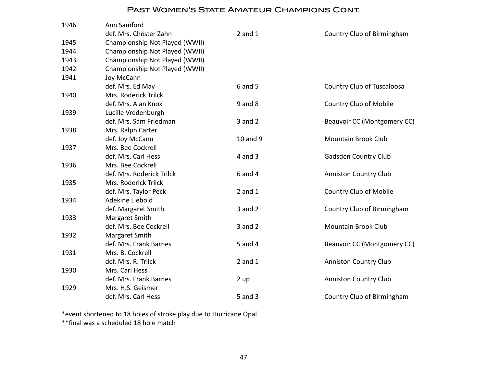| 1946 | Ann Samford                    |             |                               |
|------|--------------------------------|-------------|-------------------------------|
|      | def. Mrs. Chester Zahn         | $2$ and $1$ | Country Club of Birmingham    |
| 1945 | Championship Not Played (WWII) |             |                               |
| 1944 | Championship Not Played (WWII) |             |                               |
| 1943 | Championship Not Played (WWII) |             |                               |
| 1942 | Championship Not Played (WWII) |             |                               |
| 1941 | Joy McCann                     |             |                               |
|      | def. Mrs. Ed May               | 6 and 5     | Country Club of Tuscaloosa    |
| 1940 | Mrs. Roderick Trilck           |             |                               |
|      | def. Mrs. Alan Knox            | $9$ and $8$ | <b>Country Club of Mobile</b> |
| 1939 | Lucille Vredenburgh            |             |                               |
|      | def. Mrs. Sam Friedman         | $3$ and $2$ | Beauvoir CC (Montgomery CC)   |
| 1938 | Mrs. Ralph Carter              |             |                               |
|      | def. Joy McCann                | 10 and 9    | <b>Mountain Brook Club</b>    |
| 1937 | Mrs. Bee Cockrell              |             |                               |
|      | def. Mrs. Carl Hess            | $4$ and $3$ | Gadsden Country Club          |
| 1936 | Mrs. Bee Cockrell              |             |                               |
|      | def. Mrs. Roderick Trilck      | $6$ and $4$ | <b>Anniston Country Club</b>  |
| 1935 | Mrs. Roderick Trilck           |             |                               |
|      | def. Mrs. Taylor Peck          | $2$ and $1$ | <b>Country Club of Mobile</b> |
| 1934 | Adekine Liebold                |             |                               |
|      | def. Margaret Smith            | $3$ and $2$ | Country Club of Birmingham    |
| 1933 | Margaret Smith                 |             |                               |
|      | def. Mrs. Bee Cockrell         | $3$ and $2$ | <b>Mountain Brook Club</b>    |
| 1932 | Margaret Smith                 |             |                               |
|      | def. Mrs. Frank Barnes         | 5 and 4     | Beauvoir CC (Montgomery CC)   |
| 1931 | Mrs. B. Cockrell               |             |                               |
|      | def. Mrs. R. Trilck            | $2$ and $1$ | <b>Anniston Country Club</b>  |
| 1930 | Mrs. Carl Hess                 |             |                               |
|      | def. Mrs. Frank Barnes         | 2 up        | <b>Anniston Country Club</b>  |
| 1929 | Mrs. H.S. Geismer              |             |                               |
|      | def. Mrs. Carl Hess            | 5 and 3     | Country Club of Birmingham    |

\*event shortened to 18 holes of stroke play due to Hurricane Opal \*\*final was a scheduled 18 hole match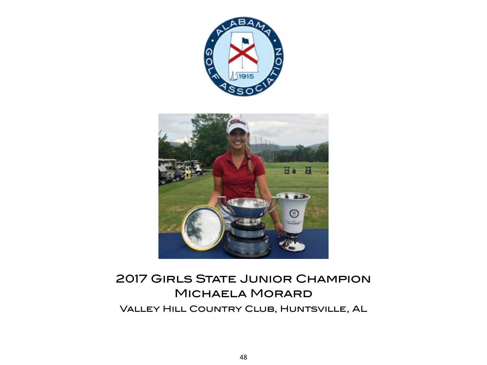

# 2017 Girls State Junior Champion Michaela Morard Valley Hill Country Club, Huntsville, AL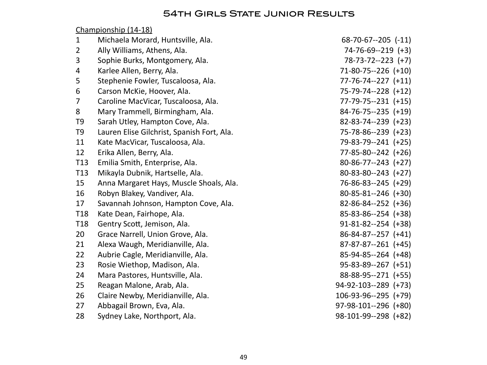# **54TH GIRLS STATE JUNIOR RESULTS**

Championship (14-18)

| $\mathbf{1}$    | Michaela Morard, Huntsville, Ala.          | $68 - 70 - 67 - 205$ $(-11)$ |
|-----------------|--------------------------------------------|------------------------------|
| $\overline{2}$  | Ally Williams, Athens, Ala.                | 74-76-69--219 (+3)           |
| 3               | Sophie Burks, Montgomery, Ala.             | $78-73-72-223$ (+7)          |
| 4               | Karlee Allen, Berry, Ala.                  | $71-80-75-226$ (+10)         |
| 5               | Stephenie Fowler, Tuscaloosa, Ala.         | $77 - 76 - 74 - 227$ (+11)   |
| 6               | Carson McKie, Hoover, Ala.                 | 75-79-74--228 (+12)          |
| 7               | Caroline MacVicar, Tuscaloosa, Ala.        | 77-79-75--231 (+15)          |
| 8               | Mary Trammell, Birmingham, Ala.            | $84-76-75-235 (+19)$         |
| T <sub>9</sub>  | Sarah Utley, Hampton Cove, Ala.            | 82-83-74--239 (+23)          |
| T <sub>9</sub>  | Lauren Elise Gilchrist, Spanish Fort, Ala. | 75-78-86--239 (+23)          |
| 11              | Kate MacVicar, Tuscaloosa, Ala.            | 79-83-79--241 (+25)          |
| 12              | Erika Allen, Berry, Ala.                   | 77-85-80--242 (+26)          |
| T <sub>13</sub> | Emilia Smith, Enterprise, Ala.             | $80-86-77-243$ (+27)         |
| T <sub>13</sub> | Mikayla Dubnik, Hartselle, Ala.            | $80-83-80-243$ (+27)         |
| 15              | Anna Margaret Hays, Muscle Shoals, Ala.    | 76-86-83--245 (+29)          |
| 16              | Robyn Blakey, Vandiver, Ala.               | $80 - 85 - 81 - 246$ (+30)   |
| 17              | Savannah Johnson, Hampton Cove, Ala.       | $82 - 86 - 84 - 252$ (+36)   |
| T <sub>18</sub> | Kate Dean, Fairhope, Ala.                  | $85 - 83 - 86 - 254$ (+38)   |
| T <sub>18</sub> | Gentry Scott, Jemison, Ala.                | $91 - 81 - 82 - 254$ (+38)   |
| 20              | Grace Narrell, Union Grove, Ala.           | $86 - 84 - 87 - 257$ (+41)   |
| 21              | Alexa Waugh, Meridianville, Ala.           | $87-87-87-261$ (+45)         |
| 22              | Aubrie Cagle, Meridianville, Ala.          | $85-94-85-264$ (+48)         |
| 23              | Rosie Wiethop, Madison, Ala.               | $95-83-89-267$ (+51)         |
| 24              | Mara Pastores, Huntsville, Ala.            | 88-88-95--271 (+55)          |
| 25              | Reagan Malone, Arab, Ala.                  | 94-92-103--289 (+73)         |
| 26              | Claire Newby, Meridianville, Ala.          | 106-93-96--295 (+79)         |
| 27              | Abbagail Brown, Eva, Ala.                  | 97-98-101--296 (+80)         |
| 28              | Sydney Lake, Northport, Ala.               | 98-101-99--298 (+82)         |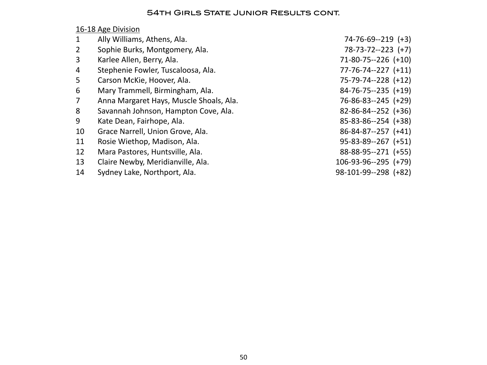#### **54TH GIRLS STATE JUNIOR RESULTS CONT.**

# 16-18 Age Division

| $\mathbf 1$    | Ally Williams, Athens, Ala.             | $74-76-69-219$ (+3)        |
|----------------|-----------------------------------------|----------------------------|
| $\overline{2}$ | Sophie Burks, Montgomery, Ala.          | $78-73-72-223$ (+7)        |
| 3              | Karlee Allen, Berry, Ala.               | $71-80-75-226$ (+10)       |
| 4              | Stephenie Fowler, Tuscaloosa, Ala.      | $77 - 76 - 74 - 227$ (+11) |
| 5              | Carson McKie, Hoover, Ala.              | 75-79-74--228 (+12)        |
| 6              | Mary Trammell, Birmingham, Ala.         | $84-76-75-235 (+19)$       |
| $\overline{7}$ | Anna Margaret Hays, Muscle Shoals, Ala. | $76 - 86 - 83 - 245$ (+29) |
| 8              | Savannah Johnson, Hampton Cove, Ala.    | $82 - 86 - 84 - 252$ (+36) |
| 9              | Kate Dean, Fairhope, Ala.               | $85 - 83 - 86 - 254$ (+38) |
| 10             | Grace Narrell, Union Grove, Ala.        | $86 - 84 - 87 - 257$ (+41) |
| 11             | Rosie Wiethop, Madison, Ala.            | $95 - 83 - 89 - 267$ (+51) |
| 12             | Mara Pastores, Huntsville, Ala.         | 88-88-95--271 (+55)        |
| 13             | Claire Newby, Meridianville, Ala.       | $106-93-96--295 (+79)$     |
| 14             | Sydney Lake, Northport, Ala.            | 98-101-99--298 (+82)       |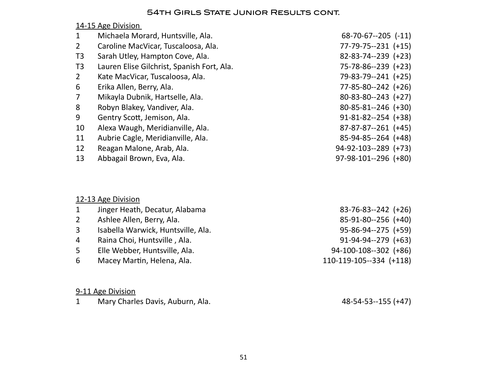# **54TH GIRLS STATE JUNIOR RESULTS CONT.**

# 14-15 Age Division

| $\mathbf 1$    | Michaela Morard, Huntsville, Ala.          | $68-70-67-205$ (-11)       |
|----------------|--------------------------------------------|----------------------------|
| $\overline{2}$ | Caroline MacVicar, Tuscaloosa, Ala.        | $77 - 79 - 75 - 231$ (+15) |
| T <sub>3</sub> | Sarah Utley, Hampton Cove, Ala.            | $82 - 83 - 74 - 239$ (+23) |
| T <sub>3</sub> | Lauren Elise Gilchrist, Spanish Fort, Ala. | 75-78-86--239 (+23)        |
| $\overline{2}$ | Kate MacVicar, Tuscaloosa, Ala.            | 79-83-79--241 (+25)        |
| 6              | Erika Allen, Berry, Ala.                   | $77 - 85 - 80 - 242$ (+26) |
| $\overline{7}$ | Mikayla Dubnik, Hartselle, Ala.            | $80 - 83 - 80 - 243$ (+27) |
| 8              | Robyn Blakey, Vandiver, Ala.               | $80 - 85 - 81 - 246$ (+30) |
| 9              | Gentry Scott, Jemison, Ala.                | $91 - 81 - 82 - 254$ (+38) |
| 10             | Alexa Waugh, Meridianville, Ala.           | $87-87-87-261$ (+45)       |
| 11             | Aubrie Cagle, Meridianville, Ala.          | 85-94-85--264 (+48)        |
| 12             | Reagan Malone, Arab, Ala.                  | $94-92-103-289$ (+73)      |
| 13             | Abbagail Brown, Eva, Ala.                  | $97-98-101-296$ (+80)      |
|                |                                            |                            |

# 12-13 Age Division

| $\mathbf{1}$   | Jinger Heath, Decatur, Alabama     | $83-76-83-242$ (+26)       |
|----------------|------------------------------------|----------------------------|
| $2^{\circ}$    | Ashlee Allen, Berry, Ala.          | 85-91-80--256 (+40)        |
| 3              | Isabella Warwick, Huntsville, Ala. | $95 - 86 - 94 - 275$ (+59) |
| $\overline{4}$ | Raina Choi, Huntsville, Ala.       | $91-94-94-279$ (+63)       |
| 5              | Elle Webber, Huntsville, Ala.      | $94-100-108-302$ (+86)     |
| 6              | Macey Martin, Helena, Ala.         | 110-119-105--334 (+118)    |
|                |                                    |                            |
|                |                                    |                            |

# 9-11 Age Division

|  | Mary Charles Davis, Auburn, Ala. | 48-54-53--155 (+47) |
|--|----------------------------------|---------------------|
|--|----------------------------------|---------------------|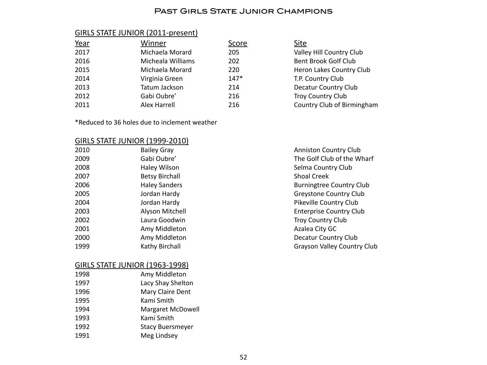#### Past Girls State Junior Champions

#### GIRLS STATE JUNIOR (2011-present)

| Winner            | Score  | Site          |
|-------------------|--------|---------------|
| Michaela Morard   | 205    | Valle         |
| Micheala Williams | 202    | <b>Bent</b>   |
| Michaela Morard   | 220    | Herc          |
| Virginia Green    | $147*$ | <b>T.P.</b> 0 |
| Tatum Jackson     | 214    | Deca          |
| Gabi Oubre'       | 216    | Troy          |
| Alex Harrell      | 216    | Cour          |
|                   |        |               |

\*Reduced to 36 holes due to inclement weather

#### GIRLS STATE JUNIOR (1999-2010)

| 2010 | <b>Bailey Gray</b>    |
|------|-----------------------|
| 2009 | Gabi Oubre'           |
| 2008 | <b>Haley Wilson</b>   |
| 2007 | <b>Betsy Birchall</b> |
| 2006 | <b>Haley Sanders</b>  |
| 2005 | Jordan Hardy          |
| 2004 | Jordan Hardy          |
| 2003 | Alyson Mitchell       |
| 2002 | Laura Goodwin         |
| 2001 | Amy Middleton         |
| 2000 | Amy Middleton         |
| 1999 | Kathy Birchall        |
|      |                       |

#### GIRLS STATE JUNIOR (1963-1998)

| Amy Middleton           |
|-------------------------|
| Lacy Shay Shelton       |
| Mary Claire Dent        |
| Kami Smith              |
| Margaret McDowell       |
| Kami Smith              |
| <b>Stacy Buersmeyer</b> |
| Meg Lindsey             |
|                         |

Anniston Country Club The Golf Club of the Wharf Selma Country Club Shoal Creek Burningtree Country Club Greystone Country Club Pikeville Country Club **Enterprise Country Club** Troy Country Club Azalea City GC Decatur Country Club Grayson Valley Country Club

Valley Hill Country Club Bent Brook Golf Club Heron Lakes Country Club

Country Club of Birmingham

T.P. Country Club Decatur Country Club Troy Country Club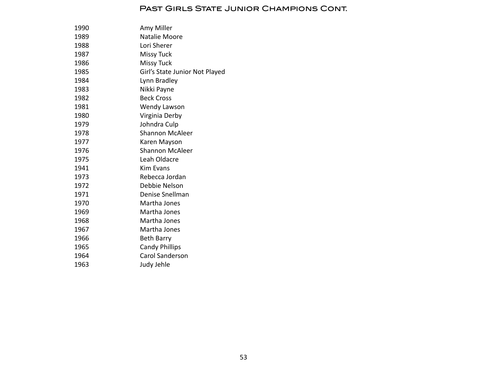#### Past Girls State Junior Champions Cont.

| 1990 | Amy Miller                     |
|------|--------------------------------|
| 1989 | Natalie Moore                  |
| 1988 | Lori Sherer                    |
| 1987 | <b>Missy Tuck</b>              |
| 1986 | <b>Missy Tuck</b>              |
| 1985 | Girl's State Junior Not Played |
| 1984 | Lynn Bradley                   |
| 1983 | Nikki Payne                    |
| 1982 | <b>Beck Cross</b>              |
| 1981 | Wendy Lawson                   |
| 1980 | Virginia Derby                 |
| 1979 | Johndra Culp                   |
| 1978 | <b>Shannon McAleer</b>         |
| 1977 | Karen Mayson                   |
| 1976 | Shannon McAleer                |
| 1975 | Leah Oldacre                   |
| 1941 | Kim Fyans                      |
| 1973 | Rebecca Jordan                 |
| 1972 | Debbie Nelson                  |
| 1971 | Denise Snellman                |
| 1970 | Martha Jones                   |
| 1969 | Martha Jones                   |
| 1968 | Martha Jones                   |
| 1967 | Martha Jones                   |
| 1966 | <b>Beth Barry</b>              |
| 1965 | <b>Candy Phillips</b>          |
| 1964 | Carol Sanderson                |
| 1963 | Judy Jehle                     |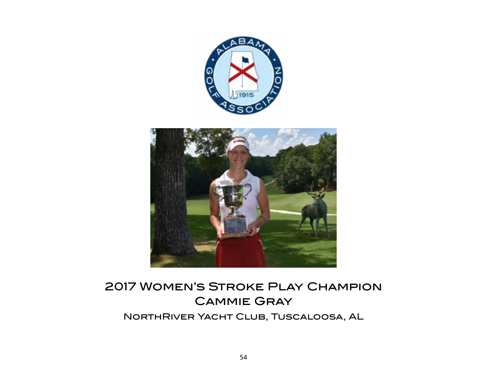



# 2017 Women's Stroke Play Champion Cammie Gray NorthRiver Yacht Club, Tuscaloosa, AL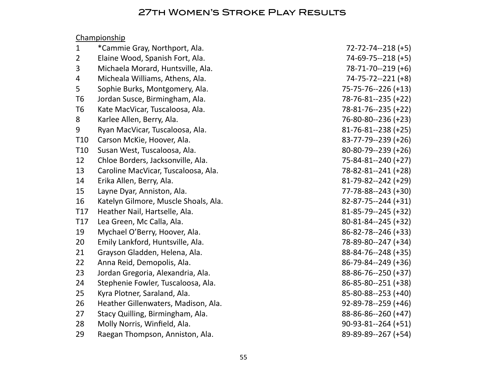# 27th Women's Stroke Play Results

# Championship

| $\mathbf{1}$    | *Cammie Gray, Northport, Ala.        | $72 - 72 - 74 - 218 (+5)$  |
|-----------------|--------------------------------------|----------------------------|
| $\overline{2}$  | Elaine Wood, Spanish Fort, Ala.      | $74-69-75-218 (+5)$        |
| 3               | Michaela Morard, Huntsville, Ala.    | $78-71-70-219 (+6)$        |
| 4               | Micheala Williams, Athens, Ala.      | 74-75-72--221 (+8)         |
| 5               | Sophie Burks, Montgomery, Ala.       | 75-75-76--226 (+13)        |
| T <sub>6</sub>  | Jordan Susce, Birmingham, Ala.       | 78-76-81--235 (+22)        |
| T <sub>6</sub>  | Kate MacVicar, Tuscaloosa, Ala.      | 78-81-76--235 (+22)        |
| 8               | Karlee Allen, Berry, Ala.            | 76-80-80--236 (+23)        |
| 9               | Ryan MacVicar, Tuscaloosa, Ala.      | $81 - 76 - 81 - 238$ (+25) |
| T <sub>10</sub> | Carson McKie, Hoover, Ala.           | 83-77-79--239 (+26)        |
| T <sub>10</sub> | Susan West, Tuscaloosa, Ala.         | $80-80-79-239 (+26)$       |
| 12              | Chloe Borders, Jacksonville, Ala.    | 75-84-81--240 (+27)        |
| 13              | Caroline MacVicar, Tuscaloosa, Ala.  | 78-82-81--241 (+28)        |
| 14              | Erika Allen, Berry, Ala.             | $81-79-82-242 (+29)$       |
| 15              | Layne Dyar, Anniston, Ala.           | 77-78-88--243 (+30)        |
| 16              | Katelyn Gilmore, Muscle Shoals, Ala. | $82 - 87 - 75 - 244 (+31)$ |
| T17             | Heather Nail, Hartselle, Ala.        | $81 - 85 - 79 - 245 (+32)$ |
| T17             | Lea Green, Mc Calla, Ala.            | $80 - 81 - 84 - 245 (+32)$ |
| 19              | Mychael O'Berry, Hoover, Ala.        | 86-82-78--246 (+33)        |
| 20              | Emily Lankford, Huntsville, Ala.     | 78-89-80--247 (+34)        |
| 21              | Grayson Gladden, Helena, Ala.        | 88-84-76--248 (+35)        |
| 22              | Anna Reid, Demopolis, Ala.           | 86-79-84--249 (+36)        |
| 23              | Jordan Gregoria, Alexandria, Ala.    | 88-86-76--250 (+37)        |
| 24              | Stephenie Fowler, Tuscaloosa, Ala.   | 86-85-80--251 (+38)        |
| 25              | Kyra Plotner, Saraland, Ala.         | 85-80-88--253 (+40)        |
| 26              | Heather Gillenwaters, Madison, Ala.  | $92 - 89 - 78 - 259$ (+46) |
| 27              | Stacy Quilling, Birmingham, Ala.     | 88-86-86--260 (+47)        |
| 28              | Molly Norris, Winfield, Ala.         | $90-93-81-264 (+51)$       |
| 29              | Raegan Thompson, Anniston, Ala.      | 89-89-89--267 (+54)        |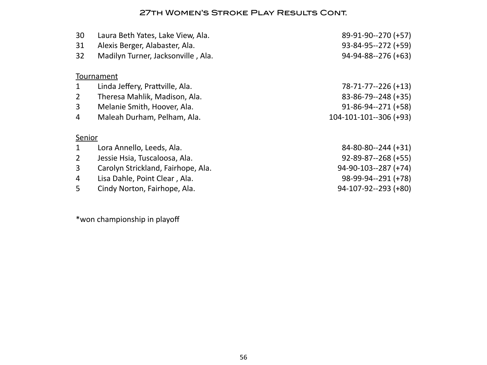### 27th Women's Stroke Play Results Cont.

| 30<br>31<br>32 | Laura Beth Yates, Lake View, Ala.<br>Alexis Berger, Alabaster, Ala.<br>Madilyn Turner, Jacksonville, Ala. | 89-91-90--270 (+57)<br>$93 - 84 - 95 - 272 (+59)$<br>94-94-88--276 (+63) |
|----------------|-----------------------------------------------------------------------------------------------------------|--------------------------------------------------------------------------|
|                |                                                                                                           |                                                                          |
|                | Tournament                                                                                                |                                                                          |
| $\mathbf{1}$   | Linda Jeffery, Prattville, Ala.                                                                           | 78-71-77--226 (+13)                                                      |
| $\overline{2}$ | Theresa Mahlik, Madison, Ala.                                                                             | 83-86-79--248 (+35)                                                      |
| 3              | Melanie Smith, Hoover, Ala.                                                                               | $91 - 86 - 94 - 271 (+58)$                                               |
| 4              | Maleah Durham, Pelham, Ala.                                                                               | 104-101-101--306 (+93)                                                   |
| Senior         |                                                                                                           |                                                                          |
| $\mathbf{1}$   | Lora Annello, Leeds, Ala.                                                                                 | $84 - 80 - 80 - 244 (+31)$                                               |
| $\overline{2}$ | Jessie Hsia, Tuscaloosa, Ala.                                                                             | $92 - 89 - 87 - 268 (+55)$                                               |
| 3              | Carolyn Strickland, Fairhope, Ala.                                                                        | $94-90-103-287 (+74)$                                                    |
| 4              | Lisa Dahle, Point Clear, Ala.                                                                             | 98-99-94--291 (+78)                                                      |
| 5              | Cindy Norton, Fairhope, Ala.                                                                              | 94-107-92--293 (+80)                                                     |

\*won championship in playoff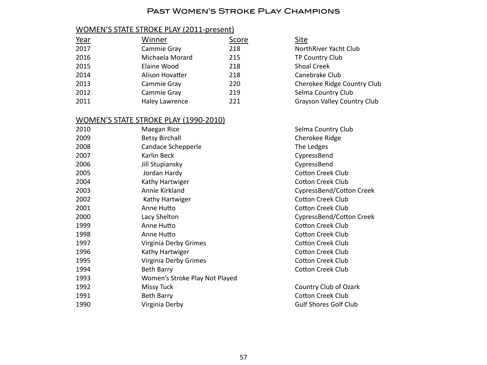#### Past Women's Stroke Play Champions

# WOMEN'S STATE STROKE PLAY (2011-present)

| <u>Year</u> | Winner                | Score | Site                               |
|-------------|-----------------------|-------|------------------------------------|
| 2017        | Cammie Gray           | 218   | NorthRiver Yacht Club              |
| 2016        | Michaela Morard       | 215   | TP Country Club                    |
| 2015        | Elaine Wood           | 218   | <b>Shoal Creek</b>                 |
| 2014        | Alison Hovatter       | 218   | Canebrake Club                     |
| 2013        | Cammie Gray           | 220   | Cherokee Ridge Country Club        |
| 2012        | Cammie Gray           | 219   | Selma Country Club                 |
| 2011        | <b>Haley Lawrence</b> | 221   | <b>Grayson Valley Country Club</b> |

#### WOMEN'S STATE STROKE PLAY (1990-2010)

| 2010 | Maegan Rice                    | Selma Country Club           |
|------|--------------------------------|------------------------------|
| 2009 | <b>Betsy Birchall</b>          | Cherokee Ridge               |
| 2008 | Candace Schepperle             | The Ledges                   |
| 2007 | Karlin Beck                    | CypressBend                  |
| 2006 | Jill Stupiansky                | CypressBend                  |
| 2005 | Jordan Hardy                   | <b>Cotton Creek Club</b>     |
| 2004 | Kathy Hartwiger                | <b>Cotton Creek Club</b>     |
| 2003 | Annie Kirkland                 | CypressBend/Cotton           |
| 2002 | Kathy Hartwiger                | <b>Cotton Creek Club</b>     |
| 2001 | Anne Hutto                     | <b>Cotton Creek Club</b>     |
| 2000 | Lacy Shelton                   | CypressBend/Cotton           |
| 1999 | Anne Hutto                     | <b>Cotton Creek Club</b>     |
| 1998 | Anne Hutto                     | <b>Cotton Creek Club</b>     |
| 1997 | Virginia Derby Grimes          | Cotton Creek Club            |
| 1996 | Kathy Hartwiger                | <b>Cotton Creek Club</b>     |
| 1995 | Virginia Derby Grimes          | <b>Cotton Creek Club</b>     |
| 1994 | <b>Beth Barry</b>              | <b>Cotton Creek Club</b>     |
| 1993 | Women's Stroke Play Not Played |                              |
| 1992 | <b>Missy Tuck</b>              | Country Club of Ozark        |
| 1991 | Beth Barry                     | <b>Cotton Creek Club</b>     |
| 1990 | Virginia Derby                 | <b>Gulf Shores Golf Club</b> |

| NorthRiver Yacht Club              |
|------------------------------------|
| <b>TP Country Club</b>             |
| <b>Shoal Creek</b>                 |
| Canebrake Club                     |
| Cherokee Ridge Country Clul        |
| Selma Country Club                 |
| <b>Grayson Valley Country Club</b> |
|                                    |

Ima Country Club erokee Ridge tton Creek Club tton Creek Club pressBend/Cotton Creek tton Creek Club tton Creek Club pressBend/Cotton Creek tton Creek Club tton Creek Club tton Creek Club tton Creek Club tton Creek Club tton Creek Club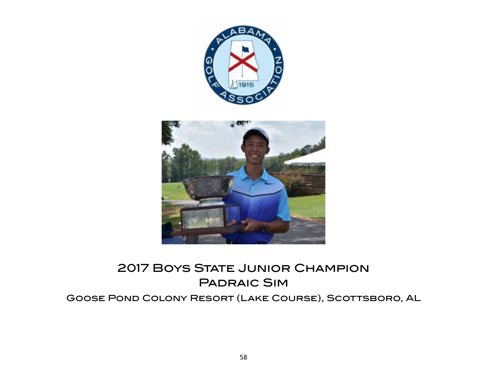

# 2017 Boys State Junior Champion Padraic Sim

# Goose Pond Colony Resort (Lake Course), Scottsboro, AL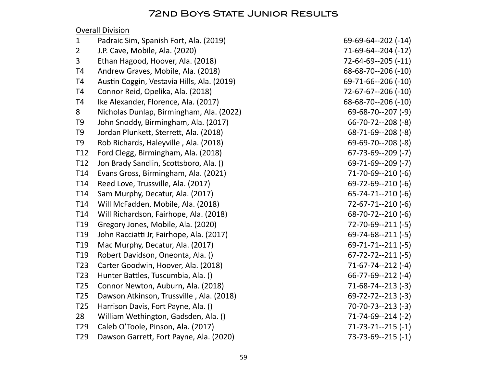# **Overall Division**

|                                            | 71-69-64--204 (-12)            |
|--------------------------------------------|--------------------------------|
| Ethan Hagood, Hoover, Ala. (2018)          | 72-64-69--205 (-11)            |
| Andrew Graves, Mobile, Ala. (2018)         | 68-68-70--206 (-10)            |
| Austin Coggin, Vestavia Hills, Ala. (2019) | 69-71-66--206 (-10)            |
| Connor Reid, Opelika, Ala. (2018)          | 72-67-67--206 (-10)            |
| Ike Alexander, Florence, Ala. (2017)       | 68-68-70--206 (-10)            |
| Nicholas Dunlap, Birmingham, Ala. (2022)   | 69-68-70--207 (-9)             |
| John Snoddy, Birmingham, Ala. (2017)       | 66-70-72--208 (-8)             |
| Jordan Plunkett, Sterrett, Ala. (2018)     | 68-71-69--208 (-8)             |
| Rob Richards, Haleyville, Ala. (2018)      | 69-69-70--208 (-8)             |
| Ford Clegg, Birmingham, Ala. (2018)        | 67-73-69--209 (-7)             |
| Jon Brady Sandlin, Scottsboro, Ala. ()     | 69-71-69--209 (-7)             |
| Evans Gross, Birmingham, Ala. (2021)       | 71-70-69--210 (-6)             |
| Reed Love, Trussville, Ala. (2017)         | 69-72-69--210 (-6)             |
| Sam Murphy, Decatur, Ala. (2017)           | 65-74-71--210 (-6)             |
| Will McFadden, Mobile, Ala. (2018)         | 72-67-71--210 (-6)             |
| Will Richardson, Fairhope, Ala. (2018)     | 68-70-72--210 (-6)             |
| Gregory Jones, Mobile, Ala. (2020)         | 72-70-69--211 (-5)             |
| John Racciatti Jr, Fairhope, Ala. (2017)   | $69 - 74 - 68 - -211$ (-5)     |
| Mac Murphy, Decatur, Ala. (2017)           | 69-71-71--211 (-5)             |
| Robert Davidson, Oneonta, Ala. ()          | $67 - 72 - 72 - 211$ (-5)      |
| Carter Goodwin, Hoover, Ala. (2018)        | 71-67-74--212 (-4)             |
| Hunter Battles, Tuscumbia, Ala. ()         | $66 - 77 - 69 - 212$ (-4)      |
| Connor Newton, Auburn, Ala. (2018)         | 71-68-74--213 (-3)             |
| Dawson Atkinson, Trussville, Ala. (2018)   | 69-72-72--213 (-3)             |
| Harrison Davis, Fort Payne, Ala. ()        | 70-70-73--213 (-3)             |
| William Wethington, Gadsden, Ala. ()       | 71-74-69--214 (-2)             |
| Caleb O'Toole, Pinson, Ala. (2017)         | 71-73-71--215 (-1)             |
| Dawson Garrett, Fort Payne, Ala. (2020)    | 73-73-69--215 (-1)             |
|                                            | J.P. Cave, Mobile, Ala. (2020) |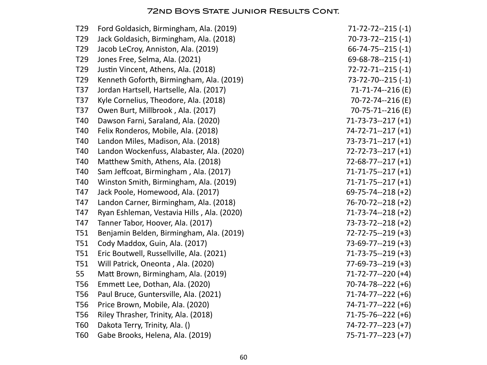| T <sub>29</sub> | Ford Goldasich, Birmingham, Ala. (2019)    | $71 - 72 - 72 - 215$ (-1) |
|-----------------|--------------------------------------------|---------------------------|
| T <sub>29</sub> | Jack Goldasich, Birmingham, Ala. (2018)    | $70-73-72-215(-1)$        |
| T <sub>29</sub> | Jacob LeCroy, Anniston, Ala. (2019)        | $66 - 74 - 75 - 215(-1)$  |
| T <sub>29</sub> | Jones Free, Selma, Ala. (2021)             | $69 - 68 - 78 - 215 (-1)$ |
| T <sub>29</sub> | Justin Vincent, Athens, Ala. (2018)        | $72 - 72 - 71 - 215$ (-1) |
| T <sub>29</sub> | Kenneth Goforth, Birmingham, Ala. (2019)   | $73 - 72 - 70 - 215$ (-1) |
| T37             | Jordan Hartsell, Hartselle, Ala. (2017)    | 71-71-74--216 (E)         |
| T37             | Kyle Cornelius, Theodore, Ala. (2018)      | 70-72-74--216 (E)         |
| T37             | Owen Burt, Millbrook, Ala. (2017)          | 70-75-71--216 (E)         |
| T40             | Dawson Farni, Saraland, Ala. (2020)        | $71-73-73-217 (+1)$       |
| T40             | Felix Ronderos, Mobile, Ala. (2018)        | $74 - 72 - 71 - 217 (+1)$ |
| T40             | Landon Miles, Madison, Ala. (2018)         | $73-73-71-217 (+1)$       |
| T40             | Landon Wockenfuss, Alabaster, Ala. (2020)  | $72 - 72 - 73 - 217 (+1)$ |
| T40             | Matthew Smith, Athens, Ala. (2018)         | $72-68-77-217 (+1)$       |
| T40             | Sam Jeffcoat, Birmingham, Ala. (2017)      | $71 - 71 - 75 - 217 (+1)$ |
| T40             | Winston Smith, Birmingham, Ala. (2019)     | $71 - 71 - 75 - 217 (+1)$ |
| T47             | Jack Poole, Homewood, Ala. (2017)          | $69 - 75 - 74 - 218 (+2)$ |
| T47             | Landon Carner, Birmingham, Ala. (2018)     | $76 - 70 - 72 - 218 (+2)$ |
| T47             | Ryan Eshleman, Vestavia Hills, Ala. (2020) | $71-73-74-218 (+2)$       |
| T47             | Tanner Tabor, Hoover, Ala. (2017)          | $73 - 73 - 72 - 218 (+2)$ |
| <b>T51</b>      | Benjamin Belden, Birmingham, Ala. (2019)   | $72 - 72 - 75 - 219 (+3)$ |
| T51             | Cody Maddox, Guin, Ala. (2017)             | $73-69-77-219 (+3)$       |
| <b>T51</b>      | Eric Boutwell, Russellville, Ala. (2021)   | $71-73-75-219 (+3)$       |
| <b>T51</b>      | Will Patrick, Oneonta, Ala. (2020)         | $77-69-73-219 (+3)$       |
| 55              | Matt Brown, Birmingham, Ala. (2019)        | $71-72-77-220 (+4)$       |
| <b>T56</b>      | Emmett Lee, Dothan, Ala. (2020)            | $70-74-78-222 (+6)$       |
| <b>T56</b>      | Paul Bruce, Guntersville, Ala. (2021)      | $71 - 74 - 77 - 222$ (+6) |
| <b>T56</b>      | Price Brown, Mobile, Ala. (2020)           | $74 - 71 - 77 - 222$ (+6) |
| T <sub>56</sub> | Riley Thrasher, Trinity, Ala. (2018)       | $71 - 75 - 76 - 222$ (+6) |
| <b>T60</b>      | Dakota Terry, Trinity, Ala. ()             | $74 - 72 - 77 - 223$ (+7) |
| T60             | Gabe Brooks, Helena, Ala. (2019)           | $75 - 71 - 77 - 223 (+7)$ |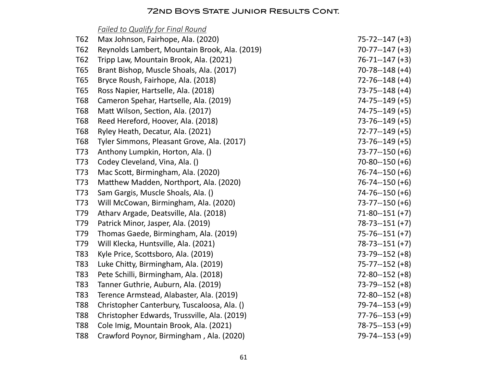# *Failed to Qualify for Final Round*

| T62        | Max Johnson, Fairhope, Ala. (2020)            | $75 - 72 - 147 (+3)$ |
|------------|-----------------------------------------------|----------------------|
| T62        | Reynolds Lambert, Mountain Brook, Ala. (2019) | $70-77-147 (+3)$     |
| T62        | Tripp Law, Mountain Brook, Ala. (2021)        | $76 - 71 - 147 (+3)$ |
| T65        | Brant Bishop, Muscle Shoals, Ala. (2017)      | $70 - 78 - 148 (+4)$ |
| T65        | Bryce Roush, Fairhope, Ala. (2018)            | $72 - 76 - 148$ (+4) |
| T65        | Ross Napier, Hartselle, Ala. (2018)           | $73 - 75 - 148$ (+4) |
| <b>T68</b> | Cameron Spehar, Hartselle, Ala. (2019)        | $74 - 75 - 149 (+5)$ |
| <b>T68</b> | Matt Wilson, Section, Ala. (2017)             | $74 - 75 - 149$ (+5) |
| <b>T68</b> | Reed Hereford, Hoover, Ala. (2018)            | $73 - 76 - 149$ (+5) |
| <b>T68</b> | Ryley Heath, Decatur, Ala. (2021)             | $72 - 77 - 149$ (+5) |
| T68        | Tyler Simmons, Pleasant Grove, Ala. (2017)    | $73 - 76 - 149$ (+5) |
| T73        | Anthony Lumpkin, Horton, Ala. ()              | $73 - 77 - 150$ (+6) |
| T73        | Codey Cleveland, Vina, Ala. ()                | $70 - 80 - 150 (+6)$ |
| T73        | Mac Scott, Birmingham, Ala. (2020)            | $76 - 74 - 150 (+6)$ |
| T73        | Matthew Madden, Northport, Ala. (2020)        | $76 - 74 - 150$ (+6) |
| T73        | Sam Gargis, Muscle Shoals, Ala. ()            | $74 - 76 - 150$ (+6) |
| T73        | Will McCowan, Birmingham, Ala. (2020)         | $73 - 77 - 150$ (+6) |
| T79        | Atharv Argade, Deatsville, Ala. (2018)        | $71 - 80 - 151 (+7)$ |
| T79        | Patrick Minor, Jasper, Ala. (2019)            | $78 - 73 - 151 (+7)$ |
| T79        | Thomas Gaede, Birmingham, Ala. (2019)         | $75 - 76 - 151 (+7)$ |
| T79        | Will Klecka, Huntsville, Ala. (2021)          | $78-73-151 (+7)$     |
| T83        | Kyle Price, Scottsboro, Ala. (2019)           | $73 - 79 - 152$ (+8) |
| T83        | Luke Chitty, Birmingham, Ala. (2019)          | $75 - 77 - 152$ (+8) |
| T83        | Pete Schilli, Birmingham, Ala. (2018)         | $72 - 80 - 152 (+8)$ |
| T83        | Tanner Guthrie, Auburn, Ala. (2019)           | $73 - 79 - 152$ (+8) |
| T83        | Terence Armstead, Alabaster, Ala. (2019)      | $72 - 80 - 152$ (+8) |
| <b>T88</b> | Christopher Canterbury, Tuscaloosa, Ala. ()   | $79 - 74 - 153 (+9)$ |
| <b>T88</b> | Christopher Edwards, Trussville, Ala. (2019)  | $77 - 76 - 153 (+9)$ |
| <b>T88</b> | Cole Imig, Mountain Brook, Ala. (2021)        | $78 - 75 - 153 (+9)$ |
| <b>T88</b> | Crawford Poynor, Birmingham, Ala. (2020)      | $79 - 74 - 153 (+9)$ |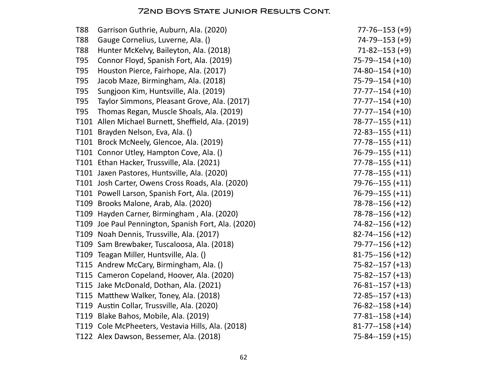| <b>T88</b> | Garrison Guthrie, Auburn, Ala. (2020)               | $77 - 76 - 153 (+9)$  |
|------------|-----------------------------------------------------|-----------------------|
| T88        | Gauge Cornelius, Luverne, Ala. ()                   | $74 - 79 - 153 (+9)$  |
| T88        | Hunter McKelvy, Baileyton, Ala. (2018)              | $71 - 82 - 153 (+9)$  |
| T95        | Connor Floyd, Spanish Fort, Ala. (2019)             | 75-79--154 (+10)      |
| T95        | Houston Pierce, Fairhope, Ala. (2017)               | $74 - 80 - 154 (+10)$ |
| T95        | Jacob Maze, Birmingham, Ala. (2018)                 | $75 - 79 - 154 (+10)$ |
| T95        | Sungjoon Kim, Huntsville, Ala. (2019)               | $77 - 77 - 154 (+10)$ |
| T95        | Taylor Simmons, Pleasant Grove, Ala. (2017)         | $77 - 77 - 154 (+10)$ |
| T95        | Thomas Regan, Muscle Shoals, Ala. (2019)            | $77 - 77 - 154 (+10)$ |
|            | T101 Allen Michael Burnett, Sheffield, Ala. (2019)  | $78 - 77 - 155 (+11)$ |
|            | T101 Brayden Nelson, Eva, Ala. ()                   | $72 - 83 - 155 (+11)$ |
|            | T101 Brock McNeely, Glencoe, Ala. (2019)            | $77 - 78 - 155 (+11)$ |
|            | T101 Connor Utley, Hampton Cove, Ala. ()            | $76 - 79 - 155 (+11)$ |
|            | T101 Ethan Hacker, Trussville, Ala. (2021)          | $77 - 78 - 155 (+11)$ |
|            | T101 Jaxen Pastores, Huntsville, Ala. (2020)        | $77 - 78 - 155 (+11)$ |
|            | T101 Josh Carter, Owens Cross Roads, Ala. (2020)    | 79-76--155 (+11)      |
|            | T101 Powell Larson, Spanish Fort, Ala. (2019)       | $76 - 79 - 155 (+11)$ |
|            | T109 Brooks Malone, Arab, Ala. (2020)               | 78-78--156 (+12)      |
|            | T109 Hayden Carner, Birmingham, Ala. (2020)         | $78 - 78 - 156 (+12)$ |
|            | T109 Joe Paul Pennington, Spanish Fort, Ala. (2020) | $74 - 82 - 156 (+12)$ |
|            | T109 Noah Dennis, Trussville, Ala. (2017)           | $82 - 74 - 156 (+12)$ |
|            | T109 Sam Brewbaker, Tuscaloosa, Ala. (2018)         | 79-77--156 (+12)      |
|            | T109 Teagan Miller, Huntsville, Ala. ()             | $81 - 75 - 156 (+12)$ |
|            | T115 Andrew McCary, Birmingham, Ala. ()             | $75 - 82 - 157 (+13)$ |
|            | T115 Cameron Copeland, Hoover, Ala. (2020)          | $75 - 82 - 157 (+13)$ |
|            | T115 Jake McDonald, Dothan, Ala. (2021)             | $76 - 81 - 157 (+13)$ |
|            | T115 Matthew Walker, Toney, Ala. (2018)             | $72 - 85 - 157 (+13)$ |
|            | T119 Austin Collar, Trussville, Ala. (2020)         | 76-82--158 (+14)      |
|            | T119 Blake Bahos, Mobile, Ala. (2019)               | $77 - 81 - 158$ (+14) |
|            | T119 Cole McPheeters, Vestavia Hills, Ala. (2018)   | $81 - 77 - 158$ (+14) |
|            | T122 Alex Dawson, Bessemer, Ala. (2018)             | 75-84--159 (+15)      |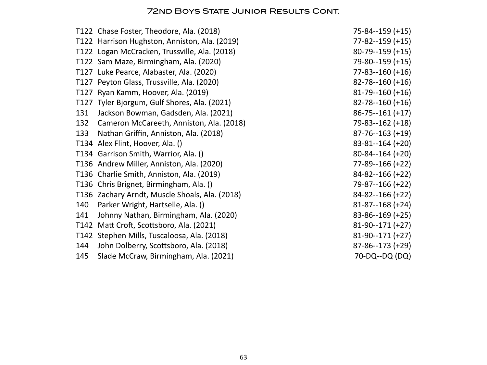|      | T122 Chase Foster, Theodore, Ala. (2018)       | $75 - 84 - 159 (+15)$ |
|------|------------------------------------------------|-----------------------|
|      | T122 Harrison Hughston, Anniston, Ala. (2019)  | $77 - 82 - 159 (+15)$ |
|      | T122 Logan McCracken, Trussville, Ala. (2018)  | $80-79-159 (+15)$     |
|      | T122 Sam Maze, Birmingham, Ala. (2020)         | 79-80--159 (+15)      |
|      | T127 Luke Pearce, Alabaster, Ala. (2020)       | $77 - 83 - 160 (+16)$ |
|      | T127 Peyton Glass, Trussville, Ala. (2020)     | $82 - 78 - 160 (+16)$ |
| T127 | Ryan Kamm, Hoover, Ala. (2019)                 | $81 - 79 - 160 (+16)$ |
| T127 | Tyler Bjorgum, Gulf Shores, Ala. (2021)        | $82 - 78 - 160 (+16)$ |
| 131  | Jackson Bowman, Gadsden, Ala. (2021)           | $86 - 75 - 161 (+17)$ |
| 132  | Cameron McCareeth, Anniston, Ala. (2018)       | 79-83--162 (+18)      |
| 133  | Nathan Griffin, Anniston, Ala. (2018)          | $87 - 76 - 163 (+19)$ |
|      | T134 Alex Flint, Hoover, Ala. ()               | $83 - 81 - 164 (+20)$ |
|      | T134 Garrison Smith, Warrior, Ala. ()          | $80 - 84 - 164 (+20)$ |
|      | T136 Andrew Miller, Anniston, Ala. (2020)      | 77-89--166 (+22)      |
|      | T136 Charlie Smith, Anniston, Ala. (2019)      | $84 - 82 - 166 (+22)$ |
|      | T136 Chris Brignet, Birmingham, Ala. ()        | 79-87--166 (+22)      |
|      | T136 Zachary Arndt, Muscle Shoals, Ala. (2018) | $84 - 82 - 166 (+22)$ |
| 140  | Parker Wright, Hartselle, Ala. ()              | $81 - 87 - 168$ (+24) |
| 141  | Johnny Nathan, Birmingham, Ala. (2020)         | $83 - 86 - 169 (+25)$ |
| T142 | Matt Croft, Scottsboro, Ala. (2021)            | $81-90-171 (+27)$     |
|      | T142 Stephen Mills, Tuscaloosa, Ala. (2018)    | $81-90-171 (+27)$     |
| 144  | John Dolberry, Scottsboro, Ala. (2018)         | $87 - 86 - 173 (+29)$ |
| 145  | Slade McCraw, Birmingham, Ala. (2021)          | 70-DQ--DQ (DQ)        |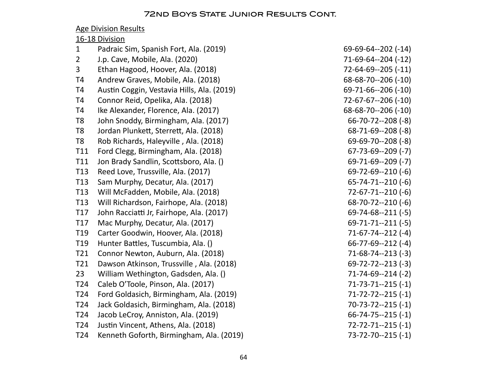|                 | <b>Age Division Results</b>                |                            |
|-----------------|--------------------------------------------|----------------------------|
|                 | 16-18 Division                             |                            |
| $\mathbf{1}$    | Padraic Sim, Spanish Fort, Ala. (2019)     | $69-69-64-202$ (-14)       |
| $\overline{2}$  | J.p. Cave, Mobile, Ala. (2020)             | $71-69-64-204$ (-12)       |
| 3               | Ethan Hagood, Hoover, Ala. (2018)          | 72-64-69--205 (-11)        |
| T <sub>4</sub>  | Andrew Graves, Mobile, Ala. (2018)         | $68 - 68 - 70 - 206 (-10)$ |
| T <sub>4</sub>  | Austin Coggin, Vestavia Hills, Ala. (2019) | 69-71-66--206 (-10)        |
| T <sub>4</sub>  | Connor Reid, Opelika, Ala. (2018)          | 72-67-67--206 (-10)        |
| T <sub>4</sub>  | Ike Alexander, Florence, Ala. (2017)       | $68-68-70-206(-10)$        |
| T <sub>8</sub>  | John Snoddy, Birmingham, Ala. (2017)       | $66 - 70 - 72 - 208$ (-8)  |
| T <sub>8</sub>  | Jordan Plunkett, Sterrett, Ala. (2018)     | $68 - 71 - 69 - 208$ (-8)  |
| T <sub>8</sub>  | Rob Richards, Haleyville, Ala. (2018)      | $69 - 69 - 70 - 208$ (-8)  |
| T11             | Ford Clegg, Birmingham, Ala. (2018)        | $67 - 73 - 69 - 209$ (-7)  |
| T11             | Jon Brady Sandlin, Scottsboro, Ala. ()     | $69 - 71 - 69 - 209$ (-7)  |
| T13             | Reed Love, Trussville, Ala. (2017)         | $69 - 72 - 69 - 210(-6)$   |
| T <sub>13</sub> | Sam Murphy, Decatur, Ala. (2017)           | $65 - 74 - 71 - 210$ (-6)  |
| T <sub>13</sub> | Will McFadden, Mobile, Ala. (2018)         | 72-67-71--210 (-6)         |
| T <sub>13</sub> | Will Richardson, Fairhope, Ala. (2018)     | $68 - 70 - 72 - 210 (-6)$  |
| T17             | John Racciatti Jr, Fairhope, Ala. (2017)   | $69 - 74 - 68 - -211(-5)$  |
| T17             | Mac Murphy, Decatur, Ala. (2017)           | $69 - 71 - 71 - 211 (-5)$  |
| T <sub>19</sub> | Carter Goodwin, Hoover, Ala. (2018)        | 71-67-74--212 (-4)         |
| T <sub>19</sub> | Hunter Battles, Tuscumbia, Ala. ()         | $66 - 77 - 69 - 212$ (-4)  |
| T21             | Connor Newton, Auburn, Ala. (2018)         | $71-68-74-213$ (-3)        |
| T21             | Dawson Atkinson, Trussville, Ala. (2018)   | $69 - 72 - 72 - 213$ (-3)  |
| 23              | William Wethington, Gadsden, Ala. ()       | 71-74-69--214 (-2)         |
| T <sub>24</sub> | Caleb O'Toole, Pinson, Ala. (2017)         | $71 - 73 - 71 - 215$ (-1)  |
| T <sub>24</sub> | Ford Goldasich, Birmingham, Ala. (2019)    | 71-72-72--215 (-1)         |
| T24             | Jack Goldasich, Birmingham, Ala. (2018)    | $70-73-72-215(-1)$         |
| T24             | Jacob LeCroy, Anniston, Ala. (2019)        | $66 - 74 - 75 - 215 (-1)$  |
| T24             | Justin Vincent, Athens, Ala. (2018)        | $72 - 72 - 71 - 215$ (-1)  |
| T24             | Kenneth Goforth, Birmingham, Ala. (2019)   | 73-72-70--215 (-1)         |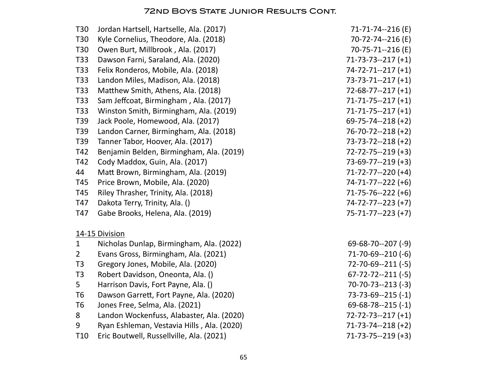| T <sub>30</sub> | Jordan Hartsell, Hartselle, Ala. (2017)    | 71-71-74--216 (E)         |
|-----------------|--------------------------------------------|---------------------------|
| T30             | Kyle Cornelius, Theodore, Ala. (2018)      | 70-72-74--216 (E)         |
| T30             | Owen Burt, Millbrook, Ala. (2017)          | 70-75-71--216 (E)         |
| T33             | Dawson Farni, Saraland, Ala. (2020)        | $71-73-73-217 (+1)$       |
| T33             | Felix Ronderos, Mobile, Ala. (2018)        | $74 - 72 - 71 - 217 (+1)$ |
| T33             | Landon Miles, Madison, Ala. (2018)         | $73 - 73 - 71 - 217 (+1)$ |
| T33             | Matthew Smith, Athens, Ala. (2018)         | $72-68-77-217 (+1)$       |
| T33             | Sam Jeffcoat, Birmingham, Ala. (2017)      | $71 - 71 - 75 - 217 (+1)$ |
| T33             | Winston Smith, Birmingham, Ala. (2019)     | $71 - 71 - 75 - 217 (+1)$ |
| T39             | Jack Poole, Homewood, Ala. (2017)          | $69 - 75 - 74 - 218 (+2)$ |
| T39             | Landon Carner, Birmingham, Ala. (2018)     | $76 - 70 - 72 - 218 (+2)$ |
| T39             | Tanner Tabor, Hoover, Ala. (2017)          | $73 - 73 - 72 - 218$ (+2) |
| T42             | Benjamin Belden, Birmingham, Ala. (2019)   | $72 - 72 - 75 - 219 (+3)$ |
| T42             | Cody Maddox, Guin, Ala. (2017)             | $73-69-77-219 (+3)$       |
| 44              | Matt Brown, Birmingham, Ala. (2019)        | $71 - 72 - 77 - 220$ (+4) |
| T45             | Price Brown, Mobile, Ala. (2020)           | $74 - 71 - 77 - 222$ (+6) |
| T45             | Riley Thrasher, Trinity, Ala. (2018)       | $71-75-76-222$ (+6)       |
| T47             | Dakota Terry, Trinity, Ala. ()             | 74-72-77--223 (+7)        |
| T47             | Gabe Brooks, Helena, Ala. (2019)           | 75-71-77--223 (+7)        |
|                 | 14-15 Division                             |                           |
| $\mathbf{1}$    | Nicholas Dunlap, Birmingham, Ala. (2022)   | $69 - 68 - 70 - 207 (-9)$ |
| $2^{\circ}$     | Evans Gross, Birmingham, Ala. (2021)       | $71-70-69-210(-6)$        |
| T <sub>3</sub>  | Gregory Jones, Mobile, Ala. (2020)         | $72 - 70 - 69 - 211 (-5)$ |
| T <sub>3</sub>  | Robert Davidson, Oneonta, Ala. ()          | $67 - 72 - 72 - 211(-5)$  |
| 5               | Harrison Davis, Fort Payne, Ala. ()        | $70-70-73-213(-3)$        |
| T <sub>6</sub>  | Dawson Garrett, Fort Payne, Ala. (2020)    | $73 - 73 - 69 - 215 (-1)$ |
| T <sub>6</sub>  | Jones Free, Selma, Ala. (2021)             | $69 - 68 - 78 - 215 (-1)$ |
| 8               | Landon Wockenfuss, Alabaster, Ala. (2020)  | $72 - 72 - 73 - 217 (+1)$ |
| 9               | Ryan Eshleman, Vestavia Hills, Ala. (2020) | $71-73-74-218 (+2)$       |
| T <sub>10</sub> | Eric Boutwell, Russellville, Ala. (2021)   | $71 - 73 - 75 - 219 (+3)$ |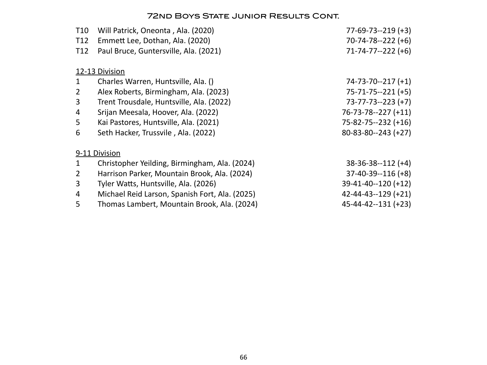| <b>T10</b>      | Will Patrick, Oneonta, Ala. (2020)             | $77-69-73-219 (+3)$        |
|-----------------|------------------------------------------------|----------------------------|
| T <sub>12</sub> | Emmett Lee, Dothan, Ala. (2020)                | $70 - 74 - 78 - -222$ (+6) |
| T <sub>12</sub> | Paul Bruce, Guntersville, Ala. (2021)          | $71 - 74 - 77 - 222$ (+6)  |
|                 | 12-13 Division                                 |                            |
| $\mathbf{1}$    | Charles Warren, Huntsville, Ala. ()            | $74 - 73 - 70 - 217 (+1)$  |
| $\overline{2}$  | Alex Roberts, Birmingham, Ala. (2023)          | $75 - 71 - 75 - 221 (+5)$  |
| 3               | Trent Trousdale, Huntsville, Ala. (2022)       | $73 - 77 - 73 - 223 (+7)$  |
| 4               | Srijan Meesala, Hoover, Ala. (2022)            | 76-73-78--227 (+11)        |
| 5               | Kai Pastores, Huntsville, Ala. (2021)          | 75-82-75--232 (+16)        |
| 6               | Seth Hacker, Trussvile, Ala. (2022)            | $80 - 83 - 80 - 243 (+27)$ |
|                 | 9-11 Division                                  |                            |
| 1               | Christopher Yeilding, Birmingham, Ala. (2024)  | $38-36-38-112 (+4)$        |
| 2               | Harrison Parker, Mountain Brook, Ala. (2024)   | $37-40-39-116 (+8)$        |
| 3               | Tyler Watts, Huntsville, Ala. (2026)           | $39-41-40-120 (+12)$       |
| 4               | Michael Reid Larson, Spanish Fort, Ala. (2025) | $42 - 44 - 43 - 129$ (+21) |
| 5               | Thomas Lambert, Mountain Brook, Ala. (2024)    | 45-44-42--131 (+23)        |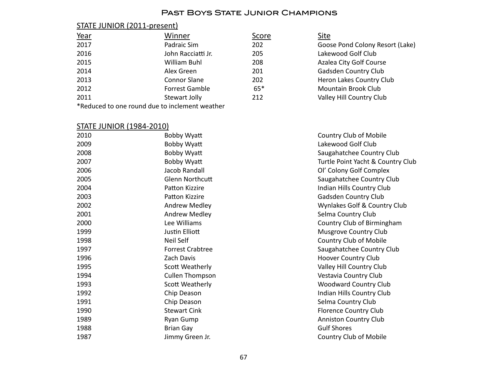### Past Boys State Junior Champions

# STATE JUNIOR (2011-present)

| <u>Year</u>                                    | Winner              | Score | Site                            |
|------------------------------------------------|---------------------|-------|---------------------------------|
| 2017                                           | Padraic Sim         | 202   | Goose Pond Colony Resort (Lake) |
| 2016                                           | John Racciatti Jr.  | 205   | Lakewood Golf Club              |
| 2015                                           | William Buhl        | 208   | Azalea City Golf Course         |
| 2014                                           | Alex Green          | 201   | Gadsden Country Club            |
| 2013                                           | <b>Connor Slane</b> | 202   | Heron Lakes Country Club        |
| 2012                                           | Forrest Gamble      | $65*$ | <b>Mountain Brook Club</b>      |
| 2011                                           | Stewart Jolly       | 212   | Valley Hill Country Club        |
| *Reduced to one round due to inclement weather |                     |       |                                 |

# STATE JUNIOR (1984-2010)

| 2010 | Bobby Wyatt             | <b>Country Club of Mobile</b>     |
|------|-------------------------|-----------------------------------|
| 2009 | Bobby Wyatt             | Lakewood Golf Club                |
| 2008 | Bobby Wyatt             | Saugahatchee Country Club         |
| 2007 | Bobby Wyatt             | Turtle Point Yacht & Country Club |
| 2006 | Jacob Randall           | Ol' Colony Golf Complex           |
| 2005 | <b>Glenn Northcutt</b>  | Saugahatchee Country Club         |
| 2004 | Patton Kizzire          | Indian Hills Country Club         |
| 2003 | Patton Kizzire          | Gadsden Country Club              |
| 2002 | Andrew Medley           | Wynlakes Golf & Country Club      |
| 2001 | Andrew Medley           | Selma Country Club                |
| 2000 | Lee Williams            | Country Club of Birmingham        |
| 1999 | Justin Elliott          | <b>Musgrove Country Club</b>      |
| 1998 | Neil Self               | <b>Country Club of Mobile</b>     |
| 1997 | <b>Forrest Crabtree</b> | Saugahatchee Country Club         |
| 1996 | Zach Davis              | Hoover Country Club               |
| 1995 | Scott Weatherly         | Valley Hill Country Club          |
| 1994 | <b>Cullen Thompson</b>  | Vestavia Country Club             |
| 1993 | Scott Weatherly         | <b>Woodward Country Club</b>      |
| 1992 | Chip Deason             | Indian Hills Country Club         |
| 1991 | Chip Deason             | Selma Country Club                |
| 1990 | <b>Stewart Cink</b>     | <b>Florence Country Club</b>      |
| 1989 | Ryan Gump               | <b>Anniston Country Club</b>      |
| 1988 | <b>Brian Gay</b>        | <b>Gulf Shores</b>                |
| 1987 | Jimmy Green Jr.         | Country Club of Mobile            |
|      |                         |                                   |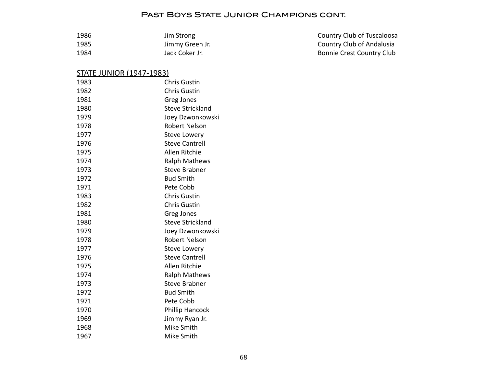#### PAST BOYS STATE JUNIOR CHAMPIONS CONT.

| 1986 | Jim Strong      | Country Club of Tuscaloosa |
|------|-----------------|----------------------------|
| 1985 | Jimmy Green Jr. | Country Club of Andalusia  |
| 1984 | Jack Coker Jr.  | Bonnie Crest Country Club  |

# STATE JUNIOR (1947-1983)

| 1983 | <b>Chris Gustin</b>     |
|------|-------------------------|
| 1982 | <b>Chris Gustin</b>     |
| 1981 | Greg Jones              |
| 1980 | <b>Steve Strickland</b> |
| 1979 | Joey Dzwonkowski        |
| 1978 | <b>Robert Nelson</b>    |
| 1977 | <b>Steve Lowery</b>     |
| 1976 | <b>Steve Cantrell</b>   |
| 1975 | Allen Ritchie           |
| 1974 | Ralph Mathews           |
| 1973 | <b>Steve Brabner</b>    |
| 1972 | <b>Bud Smith</b>        |
| 1971 | Pete Cobb               |
| 1983 | Chris Gustin            |
| 1982 | Chris Gustin            |
| 1981 | Greg Jones              |
| 1980 | <b>Steve Strickland</b> |
| 1979 | Joey Dzwonkowski        |
| 1978 | <b>Robert Nelson</b>    |
| 1977 | <b>Steve Lowery</b>     |
| 1976 | <b>Steve Cantrell</b>   |
| 1975 | Allen Ritchie           |
| 1974 | Ralph Mathews           |
| 1973 | <b>Steve Brabner</b>    |
| 1972 | <b>Bud Smith</b>        |
| 1971 | Pete Cobb               |
| 1970 | <b>Phillip Hancock</b>  |
| 1969 | Jimmy Ryan Jr.          |
| 1968 | Mike Smith              |
| 1967 | Mike Smith              |
|      |                         |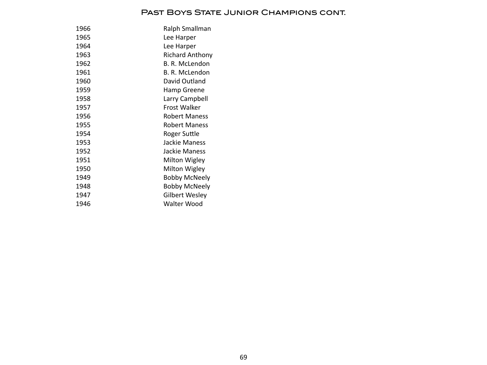#### PAST BOYS STATE JUNIOR CHAMPIONS CONT.

| 1966 | Ralph Smallman         |
|------|------------------------|
| 1965 | Lee Harper             |
| 1964 | Lee Harper             |
| 1963 | <b>Richard Anthony</b> |
| 1962 | B. R. McLendon         |
| 1961 | B. R. McLendon         |
| 1960 | David Outland          |
| 1959 | Hamp Greene            |
| 1958 | Larry Campbell         |
| 1957 | Frost Walker           |
| 1956 | Robert Maness          |
| 1955 | Robert Maness          |
| 1954 | Roger Suttle           |
| 1953 | Jackie Maness          |
| 1952 | Jackie Maness          |
| 1951 | Milton Wigley          |
| 1950 | Milton Wigley          |
| 1949 | Bobby McNeely          |
| 1948 | Bobby McNeely          |
| 1947 | <b>Gilbert Wesley</b>  |
| 1946 | Walter Wood            |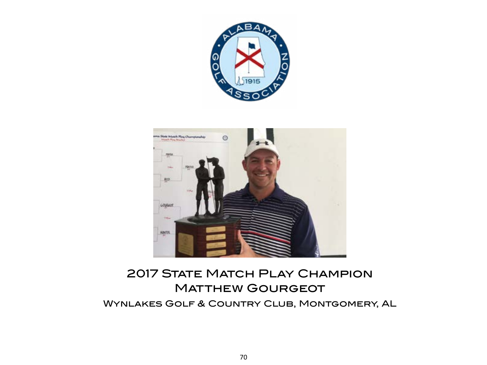



# **2017 STATE MATCH PLAY CHAMPION MATTHEW GOURGEOT** Wynlakes Golf & Country Club, Montgomery, AL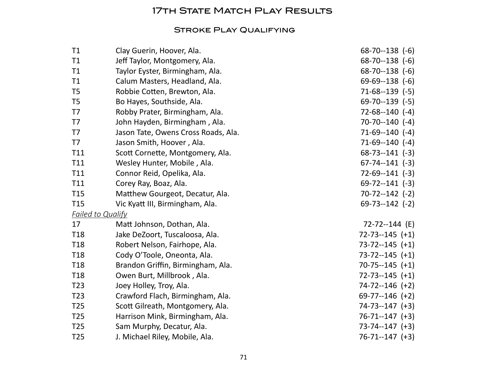# **17TH STATE MATCH PLAY RESULTS**

#### Stroke Play Qualifying

| T1              | Clay Guerin, Hoover, Ala.           | $68 - 70 - 138$ (-6)   |
|-----------------|-------------------------------------|------------------------|
| T1              | Jeff Taylor, Montgomery, Ala.       | $68 - 70 - 138$ (-6)   |
| T1              | Taylor Eyster, Birmingham, Ala.     | $68 - 70 - 138$ (-6)   |
| T1              | Calum Masters, Headland, Ala.       | $69-69-138$ $(-6)$     |
| T <sub>5</sub>  | Robbie Cotten, Brewton, Ala.        | $71-68-139$ $(-5)$     |
| T <sub>5</sub>  | Bo Hayes, Southside, Ala.           | $69 - 70 - 139$ (-5)   |
| T7              | Robby Prater, Birmingham, Ala.      | $72-68-140$ (-4)       |
| T7              | John Hayden, Birmingham, Ala.       | $70-70-140$ (-4)       |
| T7              | Jason Tate, Owens Cross Roads, Ala. | $71-69-140$ $(-4)$     |
| T7              | Jason Smith, Hoover, Ala.           | $71-69-140$ (-4)       |
| T11             | Scott Cornette, Montgomery, Ala.    | $68 - 73 - 141$ (-3)   |
| T11             | Wesley Hunter, Mobile, Ala.         | $67 - 74 - 141$ $(-3)$ |
| T11             | Connor Reid, Opelika, Ala.          | $72-69-141$ $(-3)$     |
| T11             | Corey Ray, Boaz, Ala.               | $69 - 72 - 141$ $(-3)$ |
| T <sub>15</sub> | Matthew Gourgeot, Decatur, Ala.     | $70-72-142$ (-2)       |
| T <sub>15</sub> | Vic Kyatt III, Birmingham, Ala.     | $69 - 73 - 142$ (-2)   |
|                 | <b>Failed to Qualify</b>            |                        |
| 17              | Matt Johnson, Dothan, Ala.          | $72 - 72 - 144$ (E)    |
| <b>T18</b>      | Jake DeZoort, Tuscaloosa, Ala.      | $72 - 73 - 145 (+1)$   |
| T <sub>18</sub> | Robert Nelson, Fairhope, Ala.       | $73-72-145 (+1)$       |
| T <sub>18</sub> | Cody O'Toole, Oneonta, Ala.         | $73-72-145 (+1)$       |
| T <sub>18</sub> | Brandon Griffin, Birmingham, Ala.   | $70-75-145 (+1)$       |
| T <sub>18</sub> | Owen Burt, Millbrook, Ala.          | $72 - 73 - 145$ (+1)   |
| T <sub>23</sub> | Joey Holley, Troy, Ala.             | $74 - 72 - 146$ (+2)   |
| T <sub>23</sub> | Crawford Flach, Birmingham, Ala.    | $69-77-146 (+2)$       |
| T <sub>25</sub> | Scott Gilreath, Montgomery, Ala.    | $74 - 73 - 147$ $(+3)$ |
| T <sub>25</sub> | Harrison Mink, Birmingham, Ala.     | $76 - 71 - 147$ (+3)   |
| T <sub>25</sub> | Sam Murphy, Decatur, Ala.           | $73 - 74 - 147 (+3)$   |
| T <sub>25</sub> | J. Michael Riley, Mobile, Ala.      | $76 - 71 - 147$ (+3)   |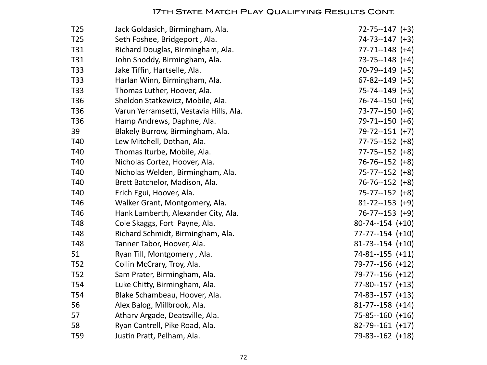#### **17TH STATE MATCH PLAY QUALIFYING RESULTS CONT.**

| T <sub>25</sub> | Jack Goldasich, Birmingham, Ala.        | $72 - 75 - 147 (+3)$    |
|-----------------|-----------------------------------------|-------------------------|
| T <sub>25</sub> | Seth Foshee, Bridgeport, Ala.           | $74-73-147$ $(+3)$      |
| T31             | Richard Douglas, Birmingham, Ala.       | $77 - 71 - 148$ (+4)    |
| T31             | John Snoddy, Birmingham, Ala.           | $73 - 75 - 148$ (+4)    |
| T33             | Jake Tiffin, Hartselle, Ala.            | $70-79-149$ (+5)        |
| T33             | Harlan Winn, Birmingham, Ala.           | $67 - 82 - 149$ (+5)    |
| <b>T33</b>      | Thomas Luther, Hoover, Ala.             | $75-74-149$ (+5)        |
| T <sub>36</sub> | Sheldon Statkewicz, Mobile, Ala.        | $76 - 74 - 150$ (+6)    |
| T36             | Varun Yerramsetti, Vestavia Hills, Ala. | $73 - 77 - 150$ (+6)    |
| T <sub>36</sub> | Hamp Andrews, Daphne, Ala.              | $79-71-150 (+6)$        |
| 39              | Blakely Burrow, Birmingham, Ala.        | $79 - 72 - 151 (+7)$    |
| T40             | Lew Mitchell, Dothan, Ala.              | $77 - 75 - 152$ (+8)    |
| T40             | Thomas Iturbe, Mobile, Ala.             | $77 - 75 - 152$ (+8)    |
| T40             | Nicholas Cortez, Hoover, Ala.           | $76 - 76 - 152$ (+8)    |
| T40             | Nicholas Welden, Birmingham, Ala.       | $75 - 77 - 152$ (+8)    |
| T40             | Brett Batchelor, Madison, Ala.          | $76 - 76 - 152$ (+8)    |
| T40             | Erich Egui, Hoover, Ala.                | $75 - 77 - 152$ (+8)    |
| T46             | Walker Grant, Montgomery, Ala.          | $81 - 72 - 153$ (+9)    |
| T46             | Hank Lamberth, Alexander City, Ala.     | $76 - 77 - 153$ (+9)    |
| T48             | Cole Skaggs, Fort Payne, Ala.           | $80-74-154$ $(+10)$     |
| T48             | Richard Schmidt, Birmingham, Ala.       | $77 - 77 - 154$ $(+10)$ |
| T48             | Tanner Tabor, Hoover, Ala.              | $81-73-154$ (+10)       |
| 51              | Ryan Till, Montgomery, Ala.             | 74-81--155 (+11)        |
| T <sub>52</sub> | Collin McCrary, Troy, Ala.              | 79-77--156 (+12)        |
| T <sub>52</sub> | Sam Prater, Birmingham, Ala.            | 79-77--156 (+12)        |
| <b>T54</b>      | Luke Chitty, Birmingham, Ala.           | $77 - 80 - 157$ $(+13)$ |
| <b>T54</b>      | Blake Schambeau, Hoover, Ala.           | $74 - 83 - 157$ $(+13)$ |
| 56              | Alex Balog, Millbrook, Ala.             | $81 - 77 - 158$ (+14)   |
| 57              | Atharv Argade, Deatsville, Ala.         | $75 - 85 - 160$ $(+16)$ |
| 58              | Ryan Cantrell, Pike Road, Ala.          | $82-79-161$ (+17)       |
| T59             | Justin Pratt, Pelham, Ala.              | 79-83--162 (+18)        |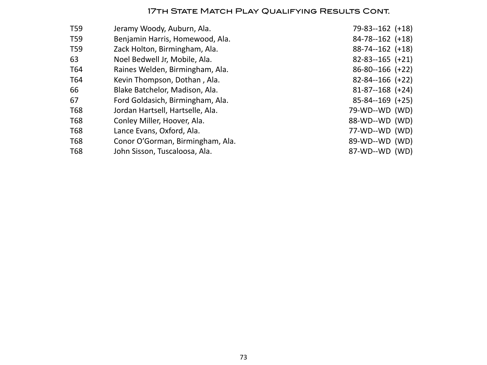#### **17TH STATE MATCH PLAY QUALIFYING RESULTS CONT.**

| T59 | Jeramy Woody, Auburn, Ala.       | $79 - 83 - 162$ (+18) |
|-----|----------------------------------|-----------------------|
| T59 | Benjamin Harris, Homewood, Ala.  | $84-78-162$ (+18)     |
| T59 | Zack Holton, Birmingham, Ala.    | $88 - 74 - 162$ (+18) |
| 63  | Noel Bedwell Jr, Mobile, Ala.    | $82 - 83 - 165$ (+21) |
| T64 | Raines Welden, Birmingham, Ala.  | $86 - 80 - 166$ (+22) |
| T64 | Kevin Thompson, Dothan, Ala.     | $82 - 84 - 166$ (+22) |
| 66  | Blake Batchelor, Madison, Ala.   | $81 - 87 - 168$ (+24) |
| 67  | Ford Goldasich, Birmingham, Ala. | $85 - 84 - 169$ (+25) |
| T68 | Jordan Hartsell, Hartselle, Ala. | 79-WD--WD (WD)        |
| T68 | Conley Miller, Hoover, Ala.      | 88-WD--WD (WD)        |
| T68 | Lance Evans, Oxford, Ala.        | 77-WD--WD (WD)        |
| T68 | Conor O'Gorman, Birmingham, Ala. | 89-WD--WD (WD)        |
| T68 | John Sisson, Tuscaloosa, Ala.    | 87-WD--WD (WD)        |
|     |                                  |                       |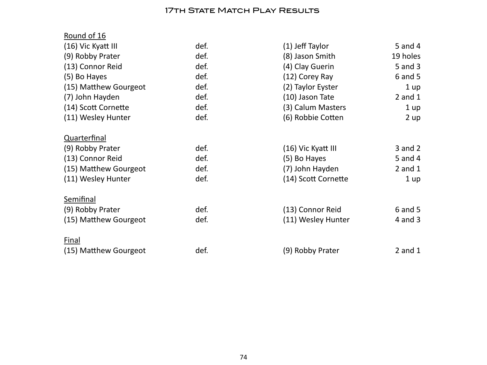## **17TH STATE MATCH PLAY RESULTS**

| Round of 16           |      |                     |             |
|-----------------------|------|---------------------|-------------|
| (16) Vic Kyatt III    | def. | (1) Jeff Taylor     | $5$ and $4$ |
| (9) Robby Prater      | def. | (8) Jason Smith     | 19 holes    |
| (13) Connor Reid      | def. | (4) Clay Guerin     | 5 and 3     |
| (5) Bo Hayes          | def. | (12) Corey Ray      | $6$ and $5$ |
| (15) Matthew Gourgeot | def. | (2) Taylor Eyster   | 1 up        |
| (7) John Hayden       | def. | (10) Jason Tate     | $2$ and $1$ |
| (14) Scott Cornette   | def. | (3) Calum Masters   | 1 up        |
| (11) Wesley Hunter    | def. | (6) Robbie Cotten   | 2 up        |
| Quarterfinal          |      |                     |             |
| (9) Robby Prater      | def. | (16) Vic Kyatt III  | $3$ and $2$ |
| (13) Connor Reid      | def. | (5) Bo Hayes        | 5 and 4     |
| (15) Matthew Gourgeot | def. | (7) John Hayden     | $2$ and $1$ |
| (11) Wesley Hunter    | def. | (14) Scott Cornette | 1 up        |
| Semifinal             |      |                     |             |
| (9) Robby Prater      | def. | (13) Connor Reid    | $6$ and $5$ |
| (15) Matthew Gourgeot | def. | (11) Wesley Hunter  | $4$ and $3$ |
| <b>Final</b>          |      |                     |             |
| (15) Matthew Gourgeot | def. | (9) Robby Prater    | $2$ and $1$ |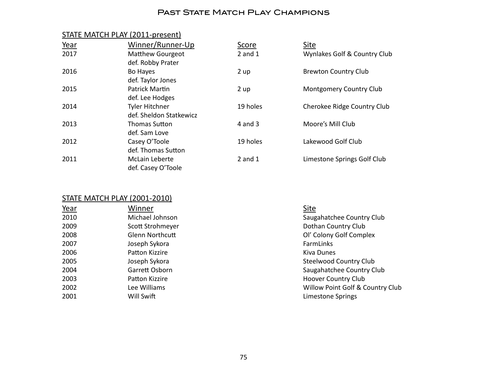#### PAST STATE MATCH PLAY CHAMPIONS

#### STATE MATCH PLAY (2011-present)

| Year | Winner/Runner-Up        | <b>Score</b> | <b>Site</b>                  |
|------|-------------------------|--------------|------------------------------|
| 2017 | <b>Matthew Gourgeot</b> | $2$ and $1$  | Wynlakes Golf & Country Club |
|      | def. Robby Prater       |              |                              |
| 2016 | Bo Hayes                | 2 up         | <b>Brewton Country Club</b>  |
|      | def. Taylor Jones       |              |                              |
| 2015 | Patrick Martin          | 2 up         | Montgomery Country Club      |
|      | def. Lee Hodges         |              |                              |
| 2014 | <b>Tyler Hitchner</b>   | 19 holes     | Cherokee Ridge Country Club  |
|      | def. Sheldon Statkewicz |              |                              |
| 2013 | Thomas Sutton           | $4$ and $3$  | Moore's Mill Club            |
|      | def. Sam Love           |              |                              |
| 2012 | Casey O'Toole           | 19 holes     | Lakewood Golf Club           |
|      | def. Thomas Sutton      |              |                              |
| 2011 | McLain Leberte          | $2$ and $1$  | Limestone Springs Golf Club  |
|      | def. Casey O'Toole      |              |                              |

#### STATE MATCH PLAY (2001-2010)

| Winner                 | Site             |
|------------------------|------------------|
| Michael Johnson        | Saugahato        |
| Scott Strohmeyer       | Dothan Co        |
| <b>Glenn Northcutt</b> | Ol' Colony       |
| Joseph Sykora          | FarmLinks        |
| Patton Kizzire         | Kiva Dune        |
| Joseph Sykora          | Steelwood        |
| Garrett Osborn         | Saugahato        |
| Patton Kizzire         | Hoover Co        |
| Lee Williams           | <b>Willow Po</b> |
| Will Swift             | Limestone        |
|                        |                  |

**2010 Michael Saugahatchee Country Club 2009 Example 2009 Constructed Stronger Country Club** Ol' Colony Golf Complex Kiva Dunes Steelwood Country Club Saugahatchee Country Club Hoover Country Club Willow Point Golf & Country Club Limestone Springs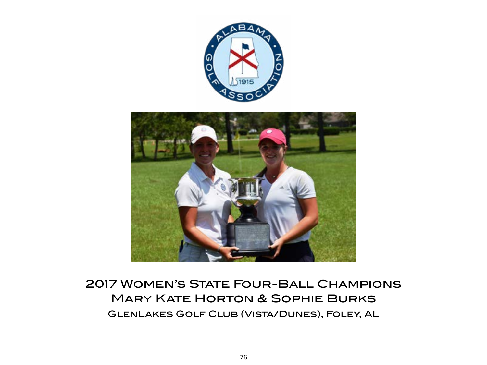

# 2017 Women's State Four-Ball Champions Mary Kate Horton & Sophie Burks GlenLakes Golf Club (Vista/Dunes), Foley, AL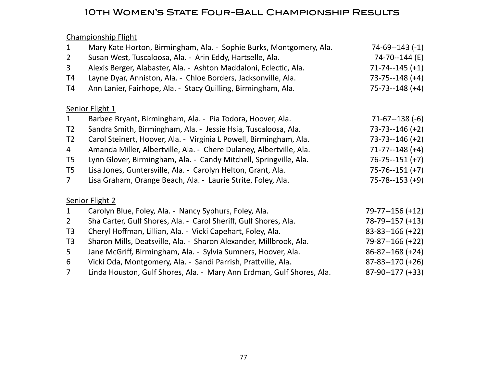## 10th Women's State Four-Ball Championship Results

Championship Flight

| $\mathbf{1}$   | Mary Kate Horton, Birmingham, Ala. - Sophie Burks, Montgomery, Ala.   | $74-69-143(-1)$       |
|----------------|-----------------------------------------------------------------------|-----------------------|
| $\overline{2}$ | Susan West, Tuscaloosa, Ala. - Arin Eddy, Hartselle, Ala.             | 74-70--144 (E)        |
| 3              | Alexis Berger, Alabaster, Ala. - Ashton Maddaloni, Eclectic, Ala.     | $71 - 74 - 145 (+1)$  |
| T4             | Layne Dyar, Anniston, Ala. - Chloe Borders, Jacksonville, Ala.        | $73 - 75 - 148 (+4)$  |
| T4             | Ann Lanier, Fairhope, Ala. - Stacy Quilling, Birmingham, Ala.         | $75 - 73 - 148 (+4)$  |
|                | Senior Flight 1                                                       |                       |
| $\mathbf{1}$   | Barbee Bryant, Birmingham, Ala. - Pia Todora, Hoover, Ala.            | $71-67-138(-6)$       |
| T <sub>2</sub> | Sandra Smith, Birmingham, Ala. - Jessie Hsia, Tuscaloosa, Ala.        | $73 - 73 - 146 (+2)$  |
| T <sub>2</sub> | Carol Steinert, Hoover, Ala. - Virginia L Powell, Birmingham, Ala.    | $73 - 73 - 146 (+2)$  |
| 4              | Amanda Miller, Albertville, Ala. - Chere Dulaney, Albertville, Ala.   | $71 - 77 - 148$ (+4)  |
| T <sub>5</sub> | Lynn Glover, Birmingham, Ala. - Candy Mitchell, Springville, Ala.     | $76 - 75 - 151 (+7)$  |
| T <sub>5</sub> | Lisa Jones, Guntersville, Ala. - Carolyn Helton, Grant, Ala.          | $75 - 76 - 151 (+7)$  |
| $7^{\circ}$    | Lisa Graham, Orange Beach, Ala. - Laurie Strite, Foley, Ala.          | $75 - 78 - 153 (+9)$  |
|                | Senior Flight 2                                                       |                       |
| $\mathbf{1}$   | Carolyn Blue, Foley, Ala. - Nancy Syphurs, Foley, Ala.                | 79-77--156 (+12)      |
| $\overline{2}$ | Sha Carter, Gulf Shores, Ala. - Carol Sheriff, Gulf Shores, Ala.      | $78-79-157 (+13)$     |
| T <sub>3</sub> | Cheryl Hoffman, Lillian, Ala. - Vicki Capehart, Foley, Ala.           | $83 - 83 - 166 (+22)$ |
| T <sub>3</sub> | Sharon Mills, Deatsville, Ala. - Sharon Alexander, Millbrook, Ala.    | 79-87--166 (+22)      |
| 5 <sup>1</sup> | Jane McGriff, Birmingham, Ala. - Sylvia Sumners, Hoover, Ala.         | $86 - 82 - 168 (+24)$ |
| 6              | Vicki Oda, Montgomery, Ala. - Sandi Parrish, Prattville, Ala.         | $87 - 83 - 170 (+26)$ |
| $\overline{7}$ | Linda Houston, Gulf Shores, Ala. - Mary Ann Erdman, Gulf Shores, Ala. | 87-90--177 (+33)      |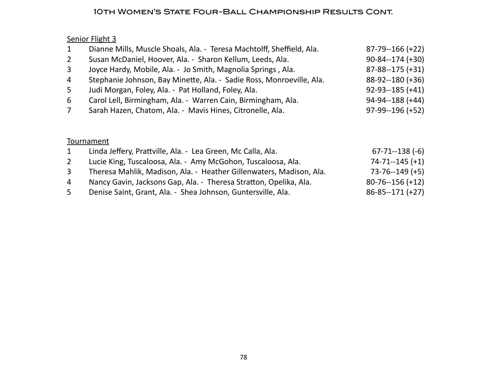#### 10th Women's State Four-Ball Championship Results Cont.

## Senior Flight 3

| $\mathbf{1}$   | Dianne Mills, Muscle Shoals, Ala. - Teresa Machtolff, Sheffield, Ala. | $87 - 79 - 166 (+22)$ |
|----------------|-----------------------------------------------------------------------|-----------------------|
| $2^{\circ}$    | Susan McDaniel, Hoover, Ala. - Sharon Kellum, Leeds, Ala.             | $90 - 84 - 174 (+30)$ |
| $\mathbf{3}$   | Joyce Hardy, Mobile, Ala. - Jo Smith, Magnolia Springs, Ala.          | $87 - 88 - 175 (+31)$ |
| $\overline{4}$ | Stephanie Johnson, Bay Minette, Ala. - Sadie Ross, Monroeville, Ala.  | $88-92-180 (+36)$     |
| 5              | Judi Morgan, Foley, Ala. - Pat Holland, Foley, Ala.                   | $92-93-185 (+41)$     |
| 6              | Carol Lell, Birmingham, Ala. - Warren Cain, Birmingham, Ala.          | $94 - 94 - 188$ (+44) |
|                | Sarah Hazen, Chatom, Ala. - Mavis Hines, Citronelle, Ala.             | $97-99-196 (+52)$     |

## **Tournament**

|   | Linda Jeffery, Prattville, Ala. - Lea Green, Mc Calla, Ala.         | $67 - 71 - 138$ (-6)  |
|---|---------------------------------------------------------------------|-----------------------|
|   | Lucie King, Tuscaloosa, Ala. - Amy McGohon, Tuscaloosa, Ala.        | $74 - 71 - 145 (+1)$  |
|   | Theresa Mahlik, Madison, Ala. - Heather Gillenwaters, Madison, Ala. | $73 - 76 - 149$ (+5)  |
| 4 | Nancy Gavin, Jacksons Gap, Ala. - Theresa Stratton, Opelika, Ala.   | $80 - 76 - 156 (+12)$ |
| 5 | Denise Saint, Grant, Ala. - Shea Johnson, Guntersville, Ala.        | $86 - 85 - 171 (+27)$ |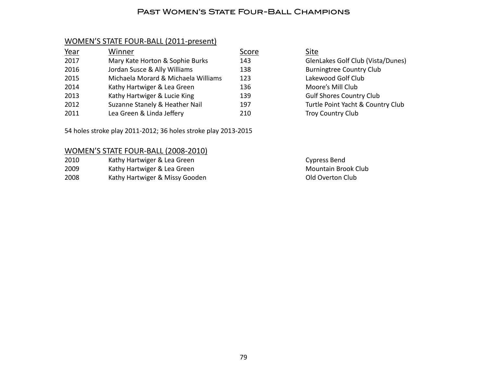#### Past Women's State Four-Ball Champions

#### WOMEN'S STATE FOUR-BALL (2011-present)

| Year | Winner                              | Score | Site        |
|------|-------------------------------------|-------|-------------|
| 2017 | Mary Kate Horton & Sophie Burks     | 143   | Gler        |
| 2016 | Jordan Susce & Ally Williams        | 138   | <b>Burr</b> |
| 2015 | Michaela Morard & Michaela Williams | 123   | Lake        |
| 2014 | Kathy Hartwiger & Lea Green         | 136   | Moc         |
| 2013 | Kathy Hartwiger & Lucie King        | 139   | Gulf        |
| 2012 | Suzanne Stanely & Heather Nail      | 197   | Turt        |
| 2011 | Lea Green & Linda Jeffery           | 210   | Troy        |

54 holes stroke play 2011-2012; 36 holes stroke play 2013-2015

#### WOMEN'S STATE FOUR-BALL (2008-2010)

| 2010 | Kathy Hartwiger & Lea Green    |
|------|--------------------------------|
| 2009 | Kathy Hartwiger & Lea Green    |
| 2008 | Kathy Hartwiger & Missy Gooden |

GlenLakes Golf Club (Vista/Dunes) Burningtree Country Club Lakewood Golf Club Moore's Mill Club Gulf Shores Country Club Turtle Point Yacht & Country Club Troy Country Club

> Cypress Bend Mountain Brook Club Old Overton Club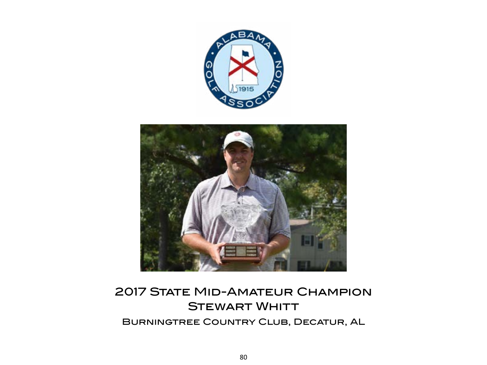



# **2017 STATE MID-AMATEUR CHAMPION STEWART WHITT** Burningtree Country Club, Decatur, AL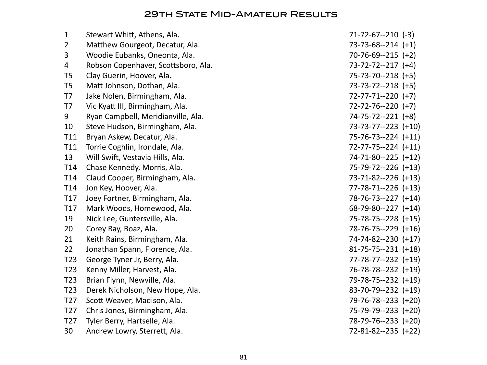## 29TH STATE MID-AMATEUR RESULTS

|                                     | $71-72-67-210$ (-3)                                            |
|-------------------------------------|----------------------------------------------------------------|
|                                     | $73-73-68-214$ $(+1)$                                          |
| Woodie Eubanks, Oneonta, Ala.       | $70-76-69-215 (+2)$                                            |
| Robson Copenhaver, Scottsboro, Ala. | $73 - 72 - 72 - 217$ (+4)                                      |
| Clay Guerin, Hoover, Ala.           | $75 - 73 - 70 - 218$ (+5)                                      |
| Matt Johnson, Dothan, Ala.          | $73-73-72-218$ (+5)                                            |
| Jake Nolen, Birmingham, Ala.        | $72 - 77 - 71 - 220$ (+7)                                      |
| Vic Kyatt III, Birmingham, Ala.     | $72 - 72 - 76 - 220$ (+7)                                      |
| Ryan Campbell, Meridianville, Ala.  | $74 - 75 - 72 - 221$ (+8)                                      |
| Steve Hudson, Birmingham, Ala.      | 73-73-77--223 (+10)                                            |
| Bryan Askew, Decatur, Ala.          | 75-76-73--224 (+11)                                            |
| Torrie Coghlin, Irondale, Ala.      | $72-77-75-224$ $(+11)$                                         |
| Will Swift, Vestavia Hills, Ala.    | 74-71-80--225 (+12)                                            |
| Chase Kennedy, Morris, Ala.         | 75-79-72--226 (+13)                                            |
| Claud Cooper, Birmingham, Ala.      | 73-71-82--226 (+13)                                            |
| Jon Key, Hoover, Ala.               | $77 - 78 - 71 - 226$ (+13)                                     |
| Joey Fortner, Birmingham, Ala.      | 78-76-73--227 (+14)                                            |
| Mark Woods, Homewood, Ala.          | $68-79-80-227$ (+14)                                           |
| Nick Lee, Guntersville, Ala.        | 75-78-75--228 (+15)                                            |
| Corey Ray, Boaz, Ala.               | 78-76-75--229 (+16)                                            |
| Keith Rains, Birmingham, Ala.       | 74-74-82--230 (+17)                                            |
| Jonathan Spann, Florence, Ala.      | $81 - 75 - 75 - 231$ (+18)                                     |
| George Tyner Jr, Berry, Ala.        | 77-78-77--232 (+19)                                            |
| Kenny Miller, Harvest, Ala.         | 76-78-78--232 (+19)                                            |
| Brian Flynn, Newville, Ala.         | 79-78-75--232 (+19)                                            |
| Derek Nicholson, New Hope, Ala.     | 83-70-79--232 (+19)                                            |
| Scott Weaver, Madison, Ala.         | 79-76-78--233 (+20)                                            |
| Chris Jones, Birmingham, Ala.       | 75-79-79--233 (+20)                                            |
| Tyler Berry, Hartselle, Ala.        | 78-79-76--233 (+20)                                            |
| Andrew Lowry, Sterrett, Ala.        | $72 - 81 - 82 - 235$ (+22)                                     |
|                                     | Stewart Whitt, Athens, Ala.<br>Matthew Gourgeot, Decatur, Ala. |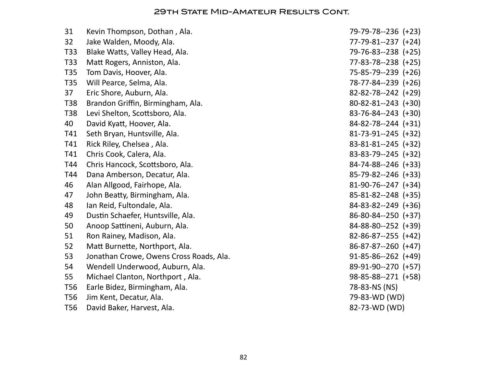#### 29th State Mid-Amateur Results Cont.

| 31         | Kevin Thompson, Dothan, Ala.            | 79-79-78--236 (+23)        |
|------------|-----------------------------------------|----------------------------|
| 32         | Jake Walden, Moody, Ala.                | $77 - 79 - 81 - 237$ (+24) |
| T33        | Blake Watts, Valley Head, Ala.          | 79-76-83--238 (+25)        |
| T33        | Matt Rogers, Anniston, Ala.             | $77 - 83 - 78 - 238$ (+25) |
| T35        | Tom Davis, Hoover, Ala.                 | 75-85-79--239 (+26)        |
| T35        | Will Pearce, Selma, Ala.                | 78-77-84--239 (+26)        |
| 37         | Eric Shore, Auburn, Ala.                | $82 - 82 - 78 - 242$ (+29) |
| <b>T38</b> | Brandon Griffin, Birmingham, Ala.       | $80 - 82 - 81 - 243$ (+30) |
| T38        | Levi Shelton, Scottsboro, Ala.          | $83 - 76 - 84 - 243$ (+30) |
| 40         | David Kyatt, Hoover, Ala.               | $84 - 82 - 78 - 244$ (+31) |
| T41        | Seth Bryan, Huntsville, Ala.            | $81-73-91-245$ (+32)       |
| T41        | Rick Riley, Chelsea, Ala.               | $83 - 81 - 81 - 245$ (+32) |
| T41        | Chris Cook, Calera, Ala.                | 83-83-79--245 (+32)        |
| T44        | Chris Hancock, Scottsboro, Ala.         | 84-74-88--246 (+33)        |
| T44        | Dana Amberson, Decatur, Ala.            | 85-79-82--246 (+33)        |
| 46         | Alan Allgood, Fairhope, Ala.            | $81-90-76-247$ (+34)       |
| 47         | John Beatty, Birmingham, Ala.           | 85-81-82--248 (+35)        |
| 48         | Ian Reid, Fultondale, Ala.              | $84 - 83 - 82 - 249$ (+36) |
| 49         | Dustin Schaefer, Huntsville, Ala.       | $86 - 80 - 84 - 250$ (+37) |
| 50         | Anoop Sattineni, Auburn, Ala.           | 84-88-80--252 (+39)        |
| 51         | Ron Rainey, Madison, Ala.               | $82 - 86 - 87 - 255$ (+42) |
| 52         | Matt Burnette, Northport, Ala.          | $86-87-87-260 (+47)$       |
| 53         | Jonathan Crowe, Owens Cross Roads, Ala. | $91-85-86-262$ (+49)       |
| 54         | Wendell Underwood, Auburn, Ala.         | 89-91-90--270 (+57)        |
| 55         | Michael Clanton, Northport, Ala.        | 98-85-88--271 (+58)        |
| <b>T56</b> | Earle Bidez, Birmingham, Ala.           | 78-83-NS (NS)              |
| <b>T56</b> | Jim Kent, Decatur, Ala.                 | 79-83-WD (WD)              |
| <b>T56</b> | David Baker, Harvest, Ala.              | 82-73-WD (WD)              |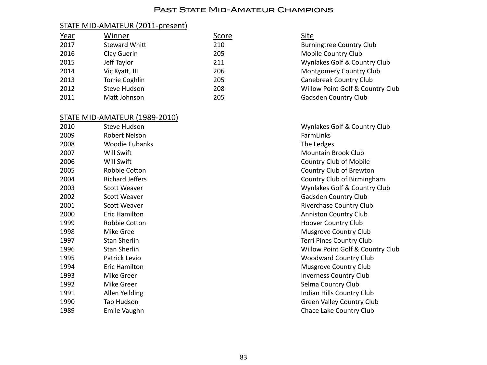#### PAST STATE MID-AMATEUR CHAMPIONS

#### STATE MID-AMATEUR (2011-present)

| Year | Winner              | Score | <u>Site</u> |
|------|---------------------|-------|-------------|
| 2017 | Steward Whitt       | 210   | <b>Burr</b> |
| 2016 | Clay Guerin         | 205   | Mob         |
| 2015 | Jeff Taylor         | 211   | Wyn         |
| 2014 | Vic Kyatt, III      | 206   | Mor         |
| 2013 | Torrie Coghlin      | 205   | Cano        |
| 2012 | <b>Steve Hudson</b> | 208   | Will        |
| 2011 | Matt Johnson        | 205   | Gad:        |

#### STATE MID-AMATEUR (1989-2010)

| 2010 | <b>Steve Hudson</b>    | Wynlakes           |
|------|------------------------|--------------------|
| 2009 | Robert Nelson          | FarmLinks          |
| 2008 | <b>Woodie Eubanks</b>  | The Ledge          |
| 2007 | Will Swift             | Mountain           |
| 2006 | Will Swift             | Country C          |
| 2005 | Robbie Cotton          | Country C          |
| 2004 | <b>Richard Jeffers</b> | Country C          |
| 2003 | Scott Weaver           | Wynlakes           |
| 2002 | Scott Weaver           | Gadsden 0          |
| 2001 | Scott Weaver           | Riverchase         |
| 2000 | Eric Hamilton          | Anniston (         |
| 1999 | Robbie Cotton          | Hoover Co          |
| 1998 | Mike Gree              | <b>Musgrove</b>    |
| 1997 | <b>Stan Sherlin</b>    | <b>Terri Pines</b> |
| 1996 | <b>Stan Sherlin</b>    | Willow Po          |
| 1995 | Patrick Levio          | Woodwar            |
| 1994 | Eric Hamilton          | <b>Musgrove</b>    |
| 1993 | Mike Greer             | <i>Inverness</i>   |
| 1992 | Mike Greer             | Selma Cou          |
| 1991 | Allen Yeilding         | <b>Indian Hill</b> |
| 1990 | Tab Hudson             | Green Vall         |
| 1989 | Emile Vaughn           | Chace Lak          |

## **Burningtree Country Club** Mobile Country Club Wynlakes Golf & Country Club Montgomery Country Club Canebreak Country Club Willow Point Golf & Country Club Gadsden Country Club

Wynlakes Golf & Country Club The Ledges Mountain Brook Club Country Club of Mobile Country Club of Brewton Country Club of Birmingham Wynlakes Golf & Country Club Gadsden Country Club Riverchase Country Club Anniston Country Club Hoover Country Club Musgrove Country Club Terri Pines Country Club Willow Point Golf & Country Club **Woodward Country Club** Musgrove Country Club **Inverness Country Club** Selma Country Club Indian Hills Country Club Green Valley Country Club Chace Lake Country Club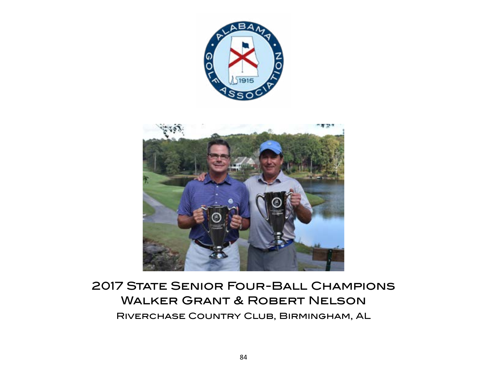



# 2017 STATE SENIOR FOUR-BALL CHAMPIONS Walker Grant & Robert Nelson Riverchase Country Club, Birmingham, AL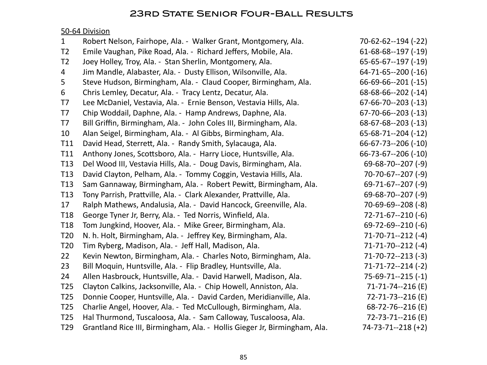## 23rd State Senior Four-Ball Results

## 50-64 Division

| $\mathbf{1}$    | Robert Nelson, Fairhope, Ala. - Walker Grant, Montgomery, Ala.            | 70-62-62--194 (-22)         |
|-----------------|---------------------------------------------------------------------------|-----------------------------|
| T <sub>2</sub>  | Emile Vaughan, Pike Road, Ala. - Richard Jeffers, Mobile, Ala.            | $61-68-68-197$ (-19)        |
| T <sub>2</sub>  | Joey Holley, Troy, Ala. - Stan Sherlin, Montgomery, Ala.                  | $65 - 65 - 67 - 197 (-19)$  |
| 4               | Jim Mandle, Alabaster, Ala. - Dusty Ellison, Wilsonville, Ala.            | $64 - 71 - 65 - 200$ (-16)  |
| 5               | Steve Hudson, Birmingham, Ala. - Claud Cooper, Birmingham, Ala.           | $66-69-66-201(-15)$         |
| 6               | Chris Lemley, Decatur, Ala. - Tracy Lentz, Decatur, Ala.                  | $68-68-66-202$ (-14)        |
| T7              | Lee McDaniel, Vestavia, Ala. - Ernie Benson, Vestavia Hills, Ala.         | $67-66-70-203$ (-13)        |
| T7              | Chip Woddail, Daphne, Ala. - Hamp Andrews, Daphne, Ala.                   | $67 - 70 - 66 - -203 (-13)$ |
| T7              | Bill Griffin, Birmingham, Ala. - John Coles III, Birmingham, Ala.         | $68-67-68-203$ (-13)        |
| 10              | Alan Seigel, Birmingham, Ala. - Al Gibbs, Birmingham, Ala.                | $65-68-71-204$ (-12)        |
| T11             | David Head, Sterrett, Ala. - Randy Smith, Sylacauga, Ala.                 | $66 - 67 - 73 - 206 (-10)$  |
| T11             | Anthony Jones, Scottsboro, Ala. - Harry Lioce, Huntsville, Ala.           | $66 - 73 - 67 - 206 (-10)$  |
| T <sub>13</sub> | Del Wood III, Vestavia Hills, Ala. - Doug Davis, Birmingham, Ala.         | $69 - 68 - 70 - 207$ (-9)   |
| T13             | David Clayton, Pelham, Ala. - Tommy Coggin, Vestavia Hills, Ala.          | $70-70-67-207(-9)$          |
| T13             | Sam Gannaway, Birmingham, Ala. - Robert Pewitt, Birmingham, Ala.          | $69 - 71 - 67 - 207$ (-9)   |
| T13             | Tony Parrish, Prattville, Ala. - Clark Alexander, Prattville, Ala.        | $69 - 68 - 70 - 207$ (-9)   |
| 17              | Ralph Mathews, Andalusia, Ala. - David Hancock, Greenville, Ala.          | $70 - 69 - 69 - 208$ (-8)   |
| T <sub>18</sub> | George Tyner Jr, Berry, Ala. - Ted Norris, Winfield, Ala.                 | $72 - 71 - 67 - 210$ (-6)   |
| T <sub>18</sub> | Tom Jungkind, Hoover, Ala. - Mike Greer, Birmingham, Ala.                 | $69 - 72 - 69 - 210 (-6)$   |
| T <sub>20</sub> | N. h. Holt, Birmingham, Ala. - Jeffrey Key, Birmingham, Ala.              | $71 - 70 - 71 - 212$ (-4)   |
| T20             | Tim Ryberg, Madison, Ala. - Jeff Hall, Madison, Ala.                      | $71 - 71 - 70 - 212$ (-4)   |
| 22              | Kevin Newton, Birmingham, Ala. - Charles Noto, Birmingham, Ala.           | $71 - 70 - 72 - 213$ (-3)   |
| 23              | Bill Moquin, Huntsville, Ala. - Flip Bradley, Huntsville, Ala.            | $71 - 71 - 72 - 214$ (-2)   |
| 24              | Allen Hasbrouck, Huntsville, Ala. - David Harwell, Madison, Ala.          | $75-69-71-215(-1)$          |
| T <sub>25</sub> | Clayton Calkins, Jacksonville, Ala. - Chip Howell, Anniston, Ala.         | 71-71-74--216 (E)           |
| T <sub>25</sub> | Donnie Cooper, Huntsville, Ala. - David Carden, Meridianville, Ala.       | 72-71-73--216 (E)           |
| T <sub>25</sub> | Charlie Angel, Hoover, Ala. - Ted McCullough, Birmingham, Ala.            | 68-72-76--216 (E)           |
| T <sub>25</sub> | Hal Thurmond, Tuscaloosa, Ala. - Sam Calloway, Tuscaloosa, Ala.           | 72-73-71--216 (E)           |
| T <sub>29</sub> | Grantland Rice III, Birmingham, Ala. - Hollis Gieger Jr, Birmingham, Ala. | $74 - 73 - 71 - 218$ (+2)   |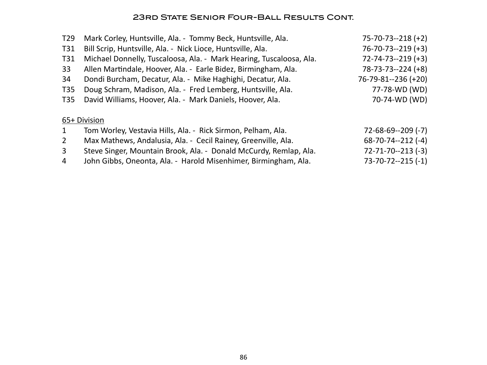## 23rd State Senior Four-Ball Results Cont.

| T <sub>29</sub> | Mark Corley, Huntsville, Ala. - Tommy Beck, Huntsville, Ala.        | $75 - 70 - 73 - 218 (+2)$ |
|-----------------|---------------------------------------------------------------------|---------------------------|
| T31             | Bill Scrip, Huntsville, Ala. - Nick Lioce, Huntsville, Ala.         | $76 - 70 - 73 - 219 (+3)$ |
| T31             | Michael Donnelly, Tuscaloosa, Ala. - Mark Hearing, Tuscaloosa, Ala. | $72 - 74 - 73 - 219 (+3)$ |
| 33              | Allen Martindale, Hoover, Ala. - Earle Bidez, Birmingham, Ala.      | $78 - 73 - 73 - 224 (+8)$ |
| 34              | Dondi Burcham, Decatur, Ala. - Mike Haghighi, Decatur, Ala.         | 76-79-81--236 (+20)       |
| T <sub>35</sub> | Doug Schram, Madison, Ala. - Fred Lemberg, Huntsville, Ala.         | 77-78-WD (WD)             |
| T35             | David Williams, Hoover, Ala. - Mark Daniels, Hoover, Ala.           | 70-74-WD (WD)             |
|                 | 65+ Division                                                        |                           |
| $\mathbf{1}$    | Tom Worley, Vestavia Hills, Ala. - Rick Sirmon, Pelham, Ala.        | $72 - 68 - 69 - 209$ (-7) |
| $\overline{2}$  | Max Mathews, Andalusia, Ala. - Cecil Rainey, Greenville, Ala.       | $68-70-74-212$ (-4)       |
| $\overline{3}$  | Steve Singer, Mountain Brook, Ala. - Donald McCurdy, Remlap, Ala.   | $72 - 71 - 70 - 213$ (-3) |
| $\overline{4}$  | John Gibbs, Oneonta, Ala. - Harold Misenhimer, Birmingham, Ala.     | $73 - 70 - 72 - 215 (-1)$ |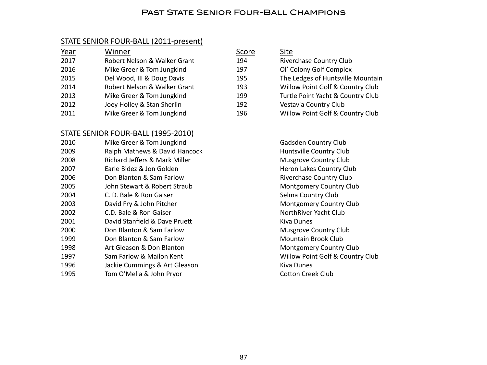#### PAST STATE SENIOR FOUR-BALL CHAMPIONS

#### STATE SENIOR FOUR-BALL (2011-present)

| Year | Winner                       | Score | Site                              |
|------|------------------------------|-------|-----------------------------------|
| 2017 | Robert Nelson & Walker Grant | 194   | <b>Riverchase Country Club</b>    |
| 2016 | Mike Greer & Tom Jungkind    | 197   | Ol' Colony Golf Complex           |
| 2015 | Del Wood, III & Doug Davis   | 195   | The Ledges of Huntsville Mountain |
| 2014 | Robert Nelson & Walker Grant | 193   | Willow Point Golf & Country Club  |
| 2013 | Mike Greer & Tom Jungkind    | 199   | Turtle Point Yacht & Country Club |
| 2012 | Joey Holley & Stan Sherlin   | 192   | Vestavia Country Club             |
| 2011 | Mike Greer & Tom Jungkind    | 196   | Willow Point Golf & Country Club  |

#### STATE SENIOR FOUR-BALL (1995-2010)

| 2010 | Mike Greer & Tom Jungkind     |
|------|-------------------------------|
| 2009 | Ralph Mathews & David Hancocl |
| 2008 | Richard Jeffers & Mark Miller |
| 2007 | Earle Bidez & Jon Golden      |
| 2006 | Don Blanton & Sam Farlow      |
| 2005 | John Stewart & Robert Straub  |
| 2004 | C. D. Bale & Ron Gaiser       |
| 2003 | David Fry & John Pitcher      |
| 2002 | C.D. Bale & Ron Gaiser        |
| 2001 | David Stanfield & Dave Pruett |
| 2000 | Don Blanton & Sam Farlow      |
| 1999 | Don Blanton & Sam Farlow      |
| 1998 | Art Gleason & Don Blanton     |
| 1997 | Sam Farlow & Mailon Kent      |
| 1996 | Jackie Cummings & Art Gleason |
| 1995 | Tom O'Melia & John Pryor      |

| ore            | Site                              |
|----------------|-----------------------------------|
| 4              | Riverchase Country Club           |
| 7              | Ol' Colony Golf Complex           |
| 5              | The Ledges of Huntsville Mountain |
| 3              | Willow Point Golf & Country Club  |
| 9              | Turtle Point Yacht & Country Club |
| $\overline{2}$ | Vestavia Country Club             |
| 6              | Willow Point Golf & Country Club  |
|                |                                   |

Gadsden Country Club **2009 Runtsville Country Club Huntsville Country Club** Musgrove Country Club Heron Lakes Country Club Riverchase Country Club Montgomery Country Club Selma Country Club Montgomery Country Club NorthRiver Yacht Club Kiva Dunes Musgrove Country Club Mountain Brook Club Montgomery Country Club Willow Point Golf & Country Club Kiva Dunes Cotton Creek Club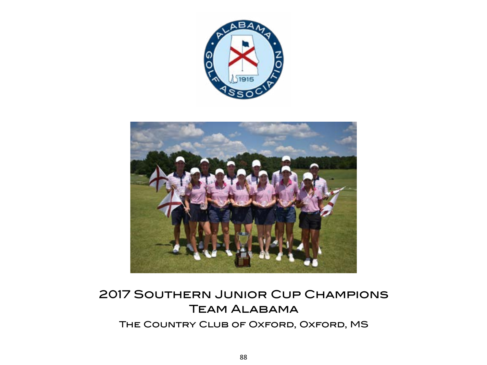



# 2017 Southern Junior Cup Champions Team Alabama

The Country Club of Oxford, Oxford, MS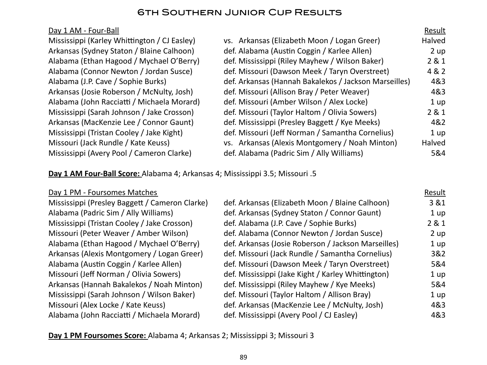## 6th Southern Junior Cup Results

| Day 1 AM - Four-Ball                         |                                                       | Result |
|----------------------------------------------|-------------------------------------------------------|--------|
| Mississippi (Karley Whittington / CJ Easley) | vs. Arkansas (Elizabeth Moon / Logan Greer)           | Halved |
| Arkansas (Sydney Staton / Blaine Calhoon)    | def. Alabama (Austin Coggin / Karlee Allen)           | 2 up   |
| Alabama (Ethan Hagood / Mychael O'Berry)     | def. Mississippi (Riley Mayhew / Wilson Baker)        | 2 & 1  |
| Alabama (Connor Newton / Jordan Susce)       | def. Missouri (Dawson Meek / Taryn Overstreet)        | 4 & 2  |
| Alabama (J.P. Cave / Sophie Burks)           | def. Arkansas (Hannah Bakalekos / Jackson Marseilles) | 4&3    |
| Arkansas (Josie Roberson / McNulty, Josh)    | def. Missouri (Allison Bray / Peter Weaver)           | 4&3    |
| Alabama (John Racciatti / Michaela Morard)   | def. Missouri (Amber Wilson / Alex Locke)             | 1 up   |
| Mississippi (Sarah Johnson / Jake Crosson)   | def. Missouri (Taylor Haltom / Olivia Sowers)         | 2 & 1  |
| Arkansas (MacKenzie Lee / Connor Gaunt)      | def. Mississippi (Presley Baggett / Kye Meeks)        | 4&2    |
| Mississippi (Tristan Cooley / Jake Kight)    | def. Missouri (Jeff Norman / Samantha Cornelius)      | 1 up   |
| Missouri (Jack Rundle / Kate Keuss)          | vs. Arkansas (Alexis Montgomery / Noah Minton)        | Halved |
| Mississippi (Avery Pool / Cameron Clarke)    | def. Alabama (Padric Sim / Ally Williams)             | 5&4    |

**Day 1 AM Four-Ball Score:** Alabama 4; Arkansas 4; Mississippi 3.5; Missouri .5

## Day 1 PM - Foursomes Matches Result Mississippi (Presley Baggett / Cameron Clarke) def. Arkansas (Elizabeth Moon / Blaine Calhoon) 3 &1 Alabama (Padric Sim / Ally Williams) def. Arkansas (Sydney Staton / Connor Gaunt) 1 up Mississippi (Tristan Cooley / Jake Crosson) def. Alabama (J.P. Cave / Sophie Burks) 2 & 1 Missouri (Peter Weaver / Amber Wilson) by def. Alabama (Connor Newton / Jordan Susce) 2 up Alabama (Ethan Hagood / Mychael O'Berry) def. Arkansas (Josie Roberson / Jackson Marseilles) 1 up Arkansas (Alexis Montgomery / Logan Greer) def. Missouri (Jack Rundle / Samantha Cornelius) 3&2 Alabama (Austin Coggin / Karlee Allen) def. Missouri (Dawson Meek / Taryn Overstreet) 5&4 Missouri (Jeff Norman / Olivia Sowers) def. Mississippi (Jake Kight / Karley Whittington) 1 up Arkansas (Hannah Bakalekos / Noah Minton) def. Mississippi (Riley Mayhew / Kye Meeks) 5&4 Mississippi (Sarah Johnson / Wilson Baker) def. Missouri (Taylor Haltom / Allison Bray) 1 up Missouri (Alex Locke / Kate Keuss) def. Arkansas (MacKenzie Lee / McNulty, Josh) 4&3 Alabama (John Racciatti / Michaela Morard) def. Mississippi (Avery Pool / CJ Easley) 4&3

**Day 1 PM Foursomes Score:** Alabama 4; Arkansas 2; Mississippi 3; Missouri 3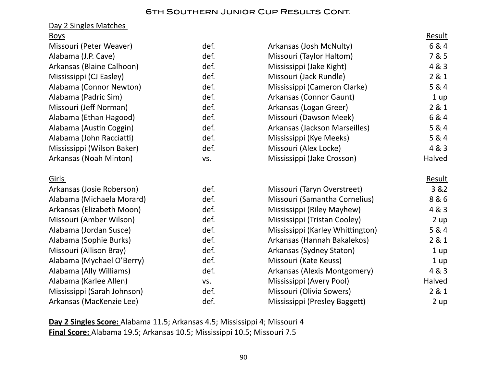#### 6th Southern Junior Cup Results Cont.

#### Day 2 Singles Matches

| <b>Boys</b>                 |      |                                  | <u>Result</u> |
|-----------------------------|------|----------------------------------|---------------|
| Missouri (Peter Weaver)     | def. | Arkansas (Josh McNulty)          | 6&4           |
| Alabama (J.P. Cave)         | def. | Missouri (Taylor Haltom)         | 7 & 5         |
| Arkansas (Blaine Calhoon)   | def. | Mississippi (Jake Kight)         | 4 & 3         |
| Mississippi (CJ Easley)     | def. | Missouri (Jack Rundle)           | 281           |
| Alabama (Connor Newton)     | def. | Mississippi (Cameron Clarke)     | 5 & 4         |
| Alabama (Padric Sim)        | def. | Arkansas (Connor Gaunt)          | 1 up          |
| Missouri (Jeff Norman)      | def. | Arkansas (Logan Greer)           | 2 & 1         |
| Alabama (Ethan Hagood)      | def. | Missouri (Dawson Meek)           | 6 & 4         |
| Alabama (Austin Coggin)     | def. | Arkansas (Jackson Marseilles)    | 5 & 4         |
| Alabama (John Racciatti)    | def. | Mississippi (Kye Meeks)          | 5 & 4         |
| Mississippi (Wilson Baker)  | def. | Missouri (Alex Locke)            | 4 & 3         |
| Arkansas (Noah Minton)      | VS.  | Mississippi (Jake Crosson)       | Halved        |
| Girls                       |      |                                  | <b>Result</b> |
| Arkansas (Josie Roberson)   | def. | Missouri (Taryn Overstreet)      | 3 & 2         |
| Alabama (Michaela Morard)   | def. | Missouri (Samantha Cornelius)    | 8&6           |
| Arkansas (Elizabeth Moon)   | def. | Mississippi (Riley Mayhew)       | 4 & 3         |
| Missouri (Amber Wilson)     | def. | Mississippi (Tristan Cooley)     | 2 up          |
| Alabama (Jordan Susce)      | def. | Mississippi (Karley Whittington) | 5 & 4         |
| Alabama (Sophie Burks)      | def. | Arkansas (Hannah Bakalekos)      | 281           |
| Missouri (Allison Bray)     | def. | Arkansas (Sydney Staton)         | 1 up          |
| Alabama (Mychael O'Berry)   | def. | Missouri (Kate Keuss)            | 1 up          |
| Alabama (Ally Williams)     | def. | Arkansas (Alexis Montgomery)     | 4 & 3         |
| Alabama (Karlee Allen)      | VS.  | Mississippi (Avery Pool)         | Halved        |
| Mississippi (Sarah Johnson) | def. | Missouri (Olivia Sowers)         | 2 & 1         |
| Arkansas (MacKenzie Lee)    | def. | Mississippi (Presley Baggett)    | 2 up          |

**Day 2 Singles Score:** Alabama 11.5; Arkansas 4.5; Mississippi 4; Missouri 4 **Final Score:** Alabama 19.5; Arkansas 10.5; Mississippi 10.5; Missouri 7.5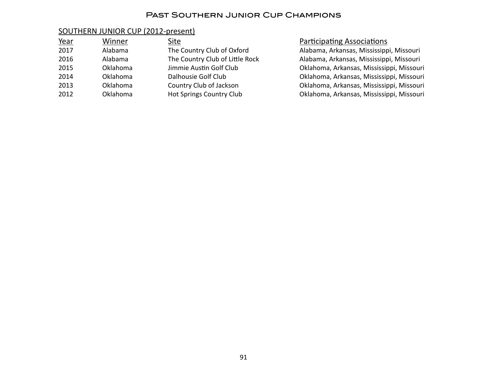#### Past Southern Junior Cup Champions

#### SOUTHERN JUNIOR CUP (2012-present)

| Year | Winner   | Site                            |
|------|----------|---------------------------------|
| 2017 | Alabama  | The Country Club of Oxford      |
| 2016 | Alabama  | The Country Club of Little Rock |
| 2015 | Oklahoma | Jimmie Austin Golf Club         |
| 2014 | Oklahoma | Dalhousie Golf Club             |
| 2013 | Oklahoma | Country Club of Jackson         |
| 2012 | Oklahoma | <b>Hot Springs Country Club</b> |

Participating Associations

Alabama, Arkansas, Mississippi, Missouri Alabama, Arkansas, Mississippi, Missouri Oklahoma, Arkansas, Mississippi, Missouri Oklahoma, Arkansas, Mississippi, Missouri Oklahoma, Arkansas, Mississippi, Missouri Oklahoma, Arkansas, Mississippi, Missouri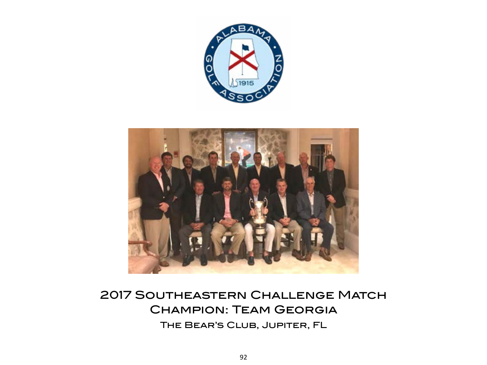



# 2017 Southeastern Challenge Match Champion: Team Georgia The Bear's Club, Jupiter, FL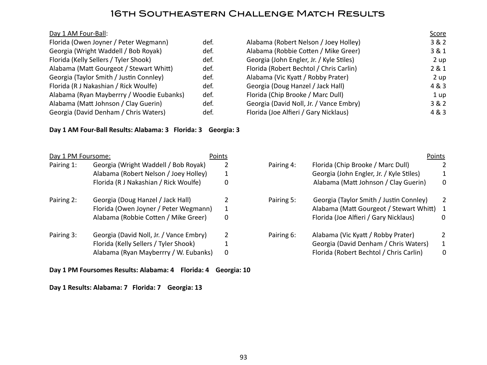## 16th Southeastern Challenge Match Results

| Florida (Owen Joyner / Peter Wegmann)     | def. |
|-------------------------------------------|------|
| Georgia (Wright Waddell / Bob Royak)      | def. |
| Florida (Kelly Sellers / Tyler Shook)     | def. |
| Alabama (Matt Gourgeot / Stewart Whitt)   | def. |
| Georgia (Taylor Smith / Justin Connley)   | def. |
| Florida (R J Nakashian / Rick Woulfe)     | def. |
| Alabama (Ryan Mayberrry / Woodie Eubanks) | def. |
| Alabama (Matt Johnson / Clay Guerin)      | def. |
| Georgia (David Denham / Chris Waters)     | def. |

#### **Day 1 AM Four-Ball Results: Alabama: 3 Florida: 3 Georgia: 3**

| Day 1 PM Foursome: |                                         | Points |            | Points                                   |                |
|--------------------|-----------------------------------------|--------|------------|------------------------------------------|----------------|
| Pairing 1:         | Georgia (Wright Waddell / Bob Royak)    |        | Pairing 4: | Florida (Chip Brooke / Marc Dull)        | 2              |
|                    | Alabama (Robert Nelson / Joey Holley)   |        |            | Georgia (John Engler, Jr. / Kyle Stiles) |                |
|                    | Florida (R J Nakashian / Rick Woulfe)   | 0      |            | Alabama (Matt Johnson / Clay Guerin)     | 0              |
| Pairing 2:         | Georgia (Doug Hanzel / Jack Hall)       |        | Pairing 5: | Georgia (Taylor Smith / Justin Connley)  | $\overline{2}$ |
|                    | Florida (Owen Joyner / Peter Wegmann)   | 1      |            | Alabama (Matt Gourgeot / Stewart Whitt)  | 1              |
|                    | Alabama (Robbie Cotten / Mike Greer)    | 0      |            | Florida (Joe Alfieri / Gary Nicklaus)    | $\Omega$       |
| Pairing 3:         | Georgia (David Noll, Jr. / Vance Embry) | 2      | Pairing 6: | Alabama (Vic Kyatt / Robby Prater)       | 2              |
|                    | Florida (Kelly Sellers / Tyler Shook)   |        |            | Georgia (David Denham / Chris Waters)    | 1              |
|                    | Alabama (Ryan Mayberrry / W. Eubanks)   | 0      |            | Florida (Robert Bechtol / Chris Carlin)  | 0              |

## **Day 1 PM Foursomes Results: Alabama: 4 Florida: 4 Georgia: 10**

#### **Day 1 Results: Alabama: 7 Florida: 7 Georgia: 13**

|      |                                          | <b>Score</b> |
|------|------------------------------------------|--------------|
| def. | Alabama (Robert Nelson / Joey Holley)    | 3 & 2        |
| def. | Alabama (Robbie Cotten / Mike Greer)     | 3 & 1        |
| def. | Georgia (John Engler, Jr. / Kyle Stiles) | 2 up         |
| def. | Florida (Robert Bechtol / Chris Carlin)  | 2 & 1        |
| def. | Alabama (Vic Kyatt / Robby Prater)       | 2 up         |
| def. | Georgia (Doug Hanzel / Jack Hall)        | 4 & 3        |
| def. | Florida (Chip Brooke / Marc Dull)        | 1 up         |
| def. | Georgia (David Noll, Jr. / Vance Embry)  | 3 & 2        |
| def. | Florida (Joe Alfieri / Gary Nicklaus)    | 4 & 3        |
|      |                                          |              |

|    | <u>ivi Foursome:</u>                    | PUILLS       |            | PUILLS                                    |                |
|----|-----------------------------------------|--------------|------------|-------------------------------------------|----------------|
| 1: | Georgia (Wright Waddell / Bob Royak)    |              | Pairing 4: | Florida (Chip Brooke / Marc Dull)         | 2              |
|    | Alabama (Robert Nelson / Joey Holley)   |              |            | Georgia (John Engler, Jr. / Kyle Stiles)  | 1              |
|    | Florida (R J Nakashian / Rick Woulfe)   | 0            |            | Alabama (Matt Johnson / Clay Guerin)      | $\overline{0}$ |
| 2: | Georgia (Doug Hanzel / Jack Hall)       |              | Pairing 5: | Georgia (Taylor Smith / Justin Connley)   | 2              |
|    | Florida (Owen Joyner / Peter Wegmann)   | 1            |            | Alabama (Matt Gourgeot / Stewart Whitt) 1 |                |
|    | Alabama (Robbie Cotten / Mike Greer)    | 0            |            | Florida (Joe Alfieri / Gary Nicklaus)     | $\Omega$       |
| 3: | Georgia (David Noll, Jr. / Vance Embry) |              | Pairing 6: | Alabama (Vic Kyatt / Robby Prater)        | $\mathcal{P}$  |
|    | Florida (Kelly Sellers / Tyler Shook)   |              |            | Georgia (David Denham / Chris Waters)     | $\mathbf{1}$   |
|    | Alabama (Ryan Mayberrry / W. Eubanks)   | $\mathbf{0}$ |            | Florida (Robert Bechtol / Chris Carlin)   | $\Omega$       |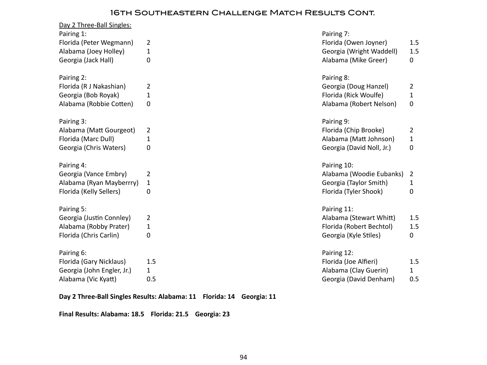## 16th Southeastern Challenge Match Results Cont.

| Day 2 Three-Ball Singles:<br>Pairing 1: |                | Pairing 7:                |              |
|-----------------------------------------|----------------|---------------------------|--------------|
| Florida (Peter Wegmann)                 | $\overline{2}$ | Florida (Owen Joyner)     | 1.5          |
| Alabama (Joey Holley)                   | 1              | Georgia (Wright Waddell)  | 1.5          |
| Georgia (Jack Hall)                     | 0              | Alabama (Mike Greer)      | 0            |
| Pairing 2:                              |                | Pairing 8:                |              |
| Florida (R J Nakashian)                 | $\overline{2}$ | Georgia (Doug Hanzel)     | 2            |
| Georgia (Bob Royak)                     | 1              | Florida (Rick Woulfe)     | 1            |
| Alabama (Robbie Cotten)                 | 0              | Alabama (Robert Nelson)   | $\mathbf 0$  |
| Pairing 3:                              |                | Pairing 9:                |              |
| Alabama (Matt Gourgeot)                 | $\overline{2}$ | Florida (Chip Brooke)     | 2            |
| Florida (Marc Dull)                     | 1              | Alabama (Matt Johnson)    | 1            |
| Georgia (Chris Waters)                  | 0              | Georgia (David Noll, Jr.) | $\mathbf 0$  |
|                                         |                |                           |              |
| Pairing 4:                              |                | Pairing 10:               |              |
| Georgia (Vance Embry)                   | 2              | Alabama (Woodie Eubanks)  | 2            |
| Alabama (Ryan Mayberrry)                | $\mathbf{1}$   | Georgia (Taylor Smith)    | 1            |
| Florida (Kelly Sellers)                 | 0              | Florida (Tyler Shook)     | $\mathbf 0$  |
| Pairing 5:                              |                | Pairing 11:               |              |
| Georgia (Justin Connley)                | 2              | Alabama (Stewart Whitt)   | 1.5          |
| Alabama (Robby Prater)                  | 1              | Florida (Robert Bechtol)  | 1.5          |
| Florida (Chris Carlin)                  | 0              | Georgia (Kyle Stiles)     | $\mathbf{0}$ |
| Pairing 6:                              |                | Pairing 12:               |              |
| Florida (Gary Nicklaus)                 | 1.5            | Florida (Joe Alfieri)     | 1.5          |
| Georgia (John Engler, Jr.)              | $\mathbf{1}$   | Alabama (Clay Guerin)     | $\mathbf{1}$ |

**Day 2 Three-Ball Singles Results: Alabama: 11 Florida: 14 Georgia: 11**

**Final Results: Alabama: 18.5 Florida: 21.5 Georgia: 23**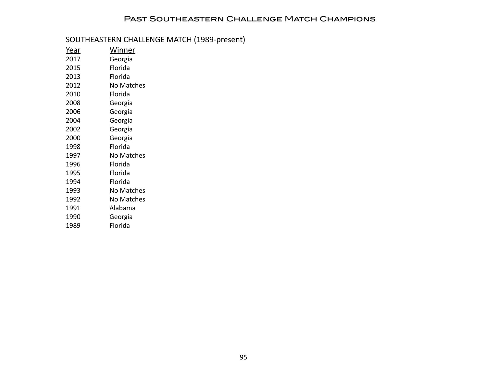## Past Southeastern Challenge Match Champions

## SOUTHEASTERN CHALLENGE MATCH (1989-present)

| <u>Year</u> | <u>Winner</u>     |
|-------------|-------------------|
| 2017        | Georgia           |
| 2015        | Florida           |
| 2013        | Florida           |
| 2012        | No Matches        |
| 2010        | Florida           |
| 2008        | Georgia           |
| 2006        | Georgia           |
| 2004        | Georgia           |
| 2002        | Georgia           |
| 2000        | Georgia           |
| 1998        | Florida           |
| 1997        | <b>No Matches</b> |
| 1996        | Florida           |
| 1995        | Florida           |
| 1994        | Florida           |
| 1993        | No Matches        |
| 1992        | No Matches        |
| 1991        | Alabama           |
| 1990        | Georgia           |
| 1989        | Florida           |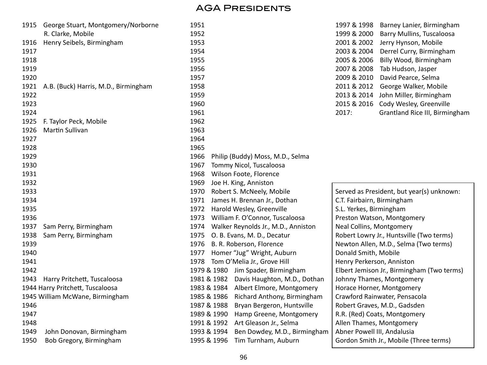| 1915 | George Stuart, Montgomery/Norborne   | 1951                                        | 1997 & 1998<br>Barney Lanier, Birmingham   |
|------|--------------------------------------|---------------------------------------------|--------------------------------------------|
|      | R. Clarke, Mobile                    | 1952                                        | 1999 & 2000<br>Barry Mullins, Tuscaloosa   |
| 1916 | Henry Seibels, Birmingham            | 1953                                        | 2001 & 2002<br>Jerry Hynson, Mobile        |
| 1917 |                                      | 1954                                        | 2003 & 2004<br>Derrel Curry, Birmingham    |
| 1918 |                                      | 1955                                        | 2005 & 2006<br>Billy Wood, Birmingham      |
| 1919 |                                      | 1956                                        | 2007 & 2008<br>Tab Hudson, Jasper          |
| 1920 |                                      | 1957                                        | 2009 & 2010<br>David Pearce, Selma         |
| 1921 | A.B. (Buck) Harris, M.D., Birmingham | 1958                                        | 2011 & 2012<br>George Walker, Mobile       |
| 1922 |                                      | 1959                                        | 2013 & 2014<br>John Miller, Birmingham     |
| 1923 |                                      | 1960                                        | 2015 & 2016<br>Cody Wesley, Greenville     |
| 1924 |                                      | 1961                                        | 2017:<br>Grantland Rice III, Birmingham    |
| 1925 | F. Taylor Peck, Mobile               | 1962                                        |                                            |
| 1926 | Martin Sullivan                      | 1963                                        |                                            |
| 1927 |                                      | 1964                                        |                                            |
| 1928 |                                      | 1965                                        |                                            |
| 1929 |                                      | 1966<br>Philip (Buddy) Moss, M.D., Selma    |                                            |
| 1930 |                                      | 1967<br>Tommy Nicol, Tuscaloosa             |                                            |
| 1931 |                                      | Wilson Foote, Florence<br>1968              |                                            |
| 1932 |                                      | Joe H. King, Anniston<br>1969               |                                            |
| 1933 |                                      | Robert S. McNeely, Mobile<br>1970           | Served as President, but year(s) unknown:  |
| 1934 |                                      | James H. Brennan Jr., Dothan<br>1971        | C.T. Fairbairn, Birmingham                 |
| 1935 |                                      | Harold Wesley, Greenville<br>1972           | S.L. Yerkes, Birmingham                    |
| 1936 |                                      | William F. O'Connor, Tuscaloosa<br>1973     | Preston Watson, Montgomery                 |
| 1937 | Sam Perry, Birmingham                | Walker Reynolds Jr., M.D., Anniston<br>1974 | Neal Collins, Montgomery                   |
| 1938 | Sam Perry, Birmingham                | O. B. Evans, M. D., Decatur<br>1975         | Robert Lowry Jr., Huntsville (Two terms)   |
| 1939 |                                      | B. R. Roberson, Florence<br>1976            | Newton Allen, M.D., Selma (Two terms)      |
| 1940 |                                      | Homer "Jug" Wright, Auburn<br>1977          | Donald Smith, Mobile                       |
| 1941 |                                      | Tom O'Melia Jr., Grove Hill<br>1978         | Henry Perkerson, Anniston                  |
| 1942 |                                      | 1979 & 1980 Jim Spader, Birmingham          | Elbert Jemison Jr., Birmingham (Two terms) |
| 1943 | Harry Pritchett, Tuscaloosa          | 1981 & 1982<br>Davis Haughton, M.D., Dothan | Johnny Thames, Montgomery                  |
|      | 1944 Harry Pritchett, Tuscaloosa     | Albert Elmore, Montgomery<br>1983 & 1984    | Horace Horner, Montgomery                  |
|      | 1945 William McWane, Birmingham      | 1985 & 1986<br>Richard Anthony, Birmingham  | Crawford Rainwater, Pensacola              |
| 1946 |                                      | 1987 & 1988<br>Bryan Bergeron, Huntsville   | Robert Graves, M.D., Gadsden               |
| 1947 |                                      | 1989 & 1990<br>Hamp Greene, Montgomery      | R.R. (Red) Coats, Montgomery               |
| 1948 |                                      | Art Gleason Jr., Selma<br>1991 & 1992       | Allen Thames, Montgomery                   |
| 1949 | John Donovan, Birmingham             | Ben Dowdey, M.D., Birmingham<br>1993 & 1994 | Abner Powell III, Andalusia                |
| 1950 | Bob Gregory, Birmingham              | Tim Turnham, Auburn<br>1995 & 1996          | Gordon Smith Jr., Mobile (Three terms)     |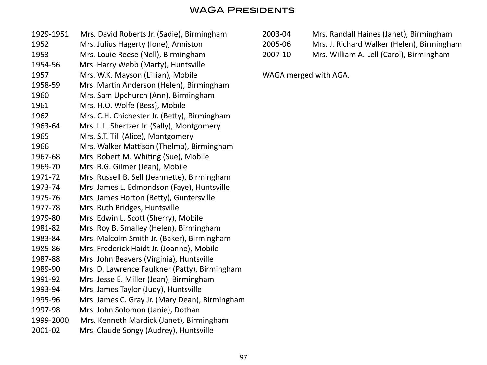## WAGA Presidents

- 1929-1951 Mrs. David Roberts Jr. (Sadie), Birmingham 1952 Mrs. Julius Hagerty (Ione), Anniston 1953 Mrs. Louie Reese (Nell), Birmingham 1954-56 Mrs. Harry Webb (Marty), Huntsville 1957 Mrs. W.K. Mayson (Lillian), Mobile 1958-59 Mrs. Martin Anderson (Helen), Birmingham 1960 Mrs. Sam Upchurch (Ann), Birmingham 1961 Mrs. H.O. Wolfe (Bess), Mobile 1962 Mrs. C.H. Chichester Jr. (Betty), Birmingham 1963-64 Mrs. L.L. Shertzer Jr. (Sally), Montgomery 1965 Mrs. S.T. Till (Alice), Montgomery 1966 Mrs. Walker Mattison (Thelma), Birmingham 1967-68 Mrs. Robert M. Whiting (Sue), Mobile 1969-70 Mrs. B.G. Gilmer (Jean), Mobile 1971-72 Mrs. Russell B. Sell (Jeannette), Birmingham 1973-74 Mrs. James L. Edmondson (Faye), Huntsville 1975-76 Mrs. James Horton (Betty), Guntersville 1977-78 Mrs. Ruth Bridges, Huntsville 1979-80 Mrs. Edwin L. Scott (Sherry), Mobile 1981-82 Mrs. Roy B. Smalley (Helen), Birmingham 1983-84 Mrs. Malcolm Smith Jr. (Baker), Birmingham 1985-86 Mrs. Frederick Haidt Jr. (Joanne), Mobile 1987-88 Mrs. John Beavers (Virginia), Huntsville 1989-90 Mrs. D. Lawrence Faulkner (Patty), Birmingham 1991-92 Mrs. Jesse E. Miller (Jean), Birmingham 1993-94 Mrs. James Taylor (Judy), Huntsville 1995-96 Mrs. James C. Gray Jr. (Mary Dean), Birmingham 1997-98 Mrs. John Solomon (Janie), Dothan 1999-2000 Mrs. Kenneth Mardick (Janet), Birmingham
- 2001-02 Mrs. Claude Songy (Audrey), Huntsville

| 2003-04 | Mrs. Randall Haines (Janet), Birmingham    |
|---------|--------------------------------------------|
| 2005-06 | Mrs. J. Richard Walker (Helen), Birmingham |
| 2007-10 | Mrs. William A. Lell (Carol), Birmingham   |

WAGA merged with AGA.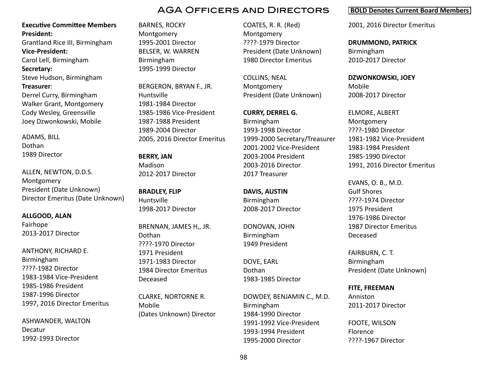#### **Executive Committee Members President:**

Grantland Rice III, Birmingham

**Vice-President:**

Carol Lell, Birmingham **Secretary:**

Steve Hudson, Birmingham **Treasurer**:

Derrel Curry, Birmingham Walker Grant, Montgomery Cody Wesley, Greensville Joey Dzwonkowski, Mobile

ADAMS, BILL Dothan 1989 Director

ALLEN, NEWTON, D.D.S. Montgomery President (Date Unknown) Director Emeritus (Date Unknown)

**ALLGOOD, ALAN** Fairhope 2013-2017 Director

ANTHONY, RICHARD E. Birmingham ????-1982 Director 1983-1984 Vice-President 1985-1986 President 1987-1996 Director 1997, 2016 Director Emeritus

ASHWANDER, WALTON Decatur 1992-1993 Director

BARNES, ROCKY Montgomery 1995-2001 Director BELSER, W. WARREN Birmingham 1995-1999 Director

BERGERON, BRYAN F., JR. Huntsville 1981-1984 Director 1985-1986 Vice-President 1987-1988 President 1989-2004 Director 2005, 2016 Director Emeritus

**BERRY, JAN** Madison 2012-2017 Director

**BRADLEY, FLIP** Huntsville 1998-2017 Director

BRENNAN, JAMES H,, JR. Dothan ????-1970 Director 1971 President 1971-1983 Director 1984 Director Emeritus Deceased

CLARKE, NORTORNE R. Mobile (Dates Unknown) Director COATES, R. R. (Red) Montgomery ????-1979 Director President (Date Unknown) 1980 Director Emeritus

COLLINS, NEAL Montgomery President (Date Unknown)

**CURRY, DERREL G.** Birmingham 1993-1998 Director 1999-2000 Secretary/Treasurer 2001-2002 Vice-President 2003-2004 President 2003-2016 Director 2017 Treasurer

**DAVIS, AUSTIN** Birmingham 2008-2017 Director

DONOVAN, JOHN Birmingham 1949 President

DOVE, EARL Dothan 1983-1985 Director

DOWDEY, BENJAMIN C., M.D. Birmingham 1984-1990 Director 1991-1992 Vice-President 1993-1994 President 1995-2000 Director

#### **BOLD Denotes Current Board Members**

2001, 2016 Director Emeritus

**DRUMMOND, PATRICK**

Birmingham 2010-2017 Director

**DZWONKOWSKI, JOEY** Mobile 2008-2017 Director

ELMORE, ALBERT Montgomery ????-1980 Director 1981-1982 Vice-President 1983-1984 President 1985-1990 Director 1991, 2016 Director Emeritus

EVANS, O. B., M.D. Gulf Shores ????-1974 Director 1975 President 1976-1986 Director 1987 Director Emeritus Deceased

FAIRBURN, C. T. Birmingham President (Date Unknown)

**FITE, FREEMAN** Anniston 2011-2017 Director

FOOTE, WILSON Florence ????-1967 Director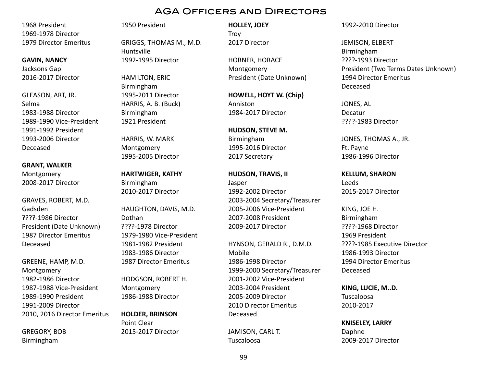1968 President 1969-1978 Director 1979 Director Emeritus

#### **GAVIN, NANCY**

Jacksons Gap 2016-2017 Director

GLEASON, ART, JR. Selma 1983-1988 Director 1989-1990 Vice-President 1991-1992 President 1993-2006 Director Deceased

#### **GRANT, WALKER** Montgomery

2008-2017 Director

GRAVES, ROBERT, M.D. Gadsden ????-1986 Director President (Date Unknown) 1987 Director Emeritus Deceased

GREENE, HAMP, M.D. Montgomery 1982-1986 Director 1987-1988 Vice-President 1989-1990 President 1991-2009 Director 2010, 2016 Director Emeritus

GREGORY, BOB Birmingham

#### 1950 President

GRIGGS, THOMAS M., M.D. Huntsville 1992-1995 Director

HAMILTON, ERIC Birmingham 1995-2011 Director HARRIS, A. B. (Buck) Birmingham 1921 President

HARRIS, W. MARK Montgomery 1995-2005 Director

**HARTWIGER, KATHY** Birmingham 2010-2017 Director

HAUGHTON, DAVIS, M.D. Dothan ????-1978 Director 1979-1980 Vice-President 1981-1982 President 1983-1986 Director 1987 Director Emeritus

HODGSON, ROBERT H. Montgomery 1986-1988 Director

**HOLDER, BRINSON** Point Clear 2015-2017 Director **HOLLEY, JOEY Troy** 2017 Director

HORNER, HORACE Montgomery President (Date Unknown)

**HOWELL, HOYT W. (Chip)** Anniston 1984-2017 Director

**HUDSON, STEVE M.** Birmingham 1995-2016 Director 2017 Secretary

#### **HUDSON, TRAVIS, II**

Jasper 1992-2002 Director 2003-2004 Secretary/Treasurer 2005-2006 Vice-President 2007-2008 President 2009-2017 Director

HYNSON, GERALD R., D.M.D. Mobile 1986-1998 Director 1999-2000 Secretary/Treasurer 2001-2002 Vice-President 2003-2004 President 2005-2009 Director 2010 Director Emeritus Deceased

JAMISON, CARL T. Tuscaloosa

#### 1992-2010 Director

JEMISON, ELBERT Birmingham ????-1993 Director President (Two Terms Dates Unknown) 1994 Director Emeritus Deceased

JONES, AL Decatur ????-1983 Director

JONES, THOMAS A., JR. Ft. Payne 1986-1996 Director

#### **KELLUM, SHARON**

Leeds 2015-2017 Director

KING, JOE H. Birmingham ????-1968 Director 1969 President ????-1985 Executive Director 1986-1993 Director 1994 Director Emeritus Deceased

**KING, LUCIE, M..D.**

Tuscaloosa 2010-2017

#### **KNISELEY, LARRY** Daphne

2009-2017 Director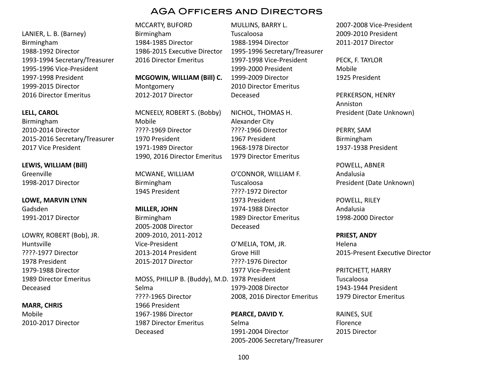LANIER, L. B. (Barney) Birmingham 1988-1992 Director 1993-1994 Secretary/Treasurer 1995-1996 Vice-President 1997-1998 President 1999-2015 Director 2016 Director Emeritus

**LELL, CAROL** Birmingham 2010-2014 Director 2015-2016 Secretary/Treasurer 2017 Vice President

**LEWIS, WILLIAM (Bill)** Greenville 1998-2017 Director

**LOWE, MARVIN LYNN** Gadsden 1991-2017 Director

LOWRY, ROBERT (Bob), JR. Huntsville ????-1977 Director 1978 President 1979-1988 Director 1989 Director Emeritus Deceased

**MARR, CHRIS** Mobile 2010-2017 Director

MCCARTY, BUFORD Birmingham 1984-1985 Director 1986-2015 Executive Director 2016 Director Emeritus

**MCGOWIN, WILLIAM (Bill) C.** Montgomery 2012-2017 Director

MCNEELY, ROBERT S. (Bobby) Mobile ????-1969 Director 1970 President 1971-1989 Director 1990, 2016 Director Emeritus

MCWANE, WILLIAM Birmingham 1945 President

**MILLER, JOHN** Birmingham 2005-2008 Director 2009-2010, 2011-2012 Vice-President 2013-2014 President 2015-2017 Director

MOSS, PHILLIP B. (Buddy), M.D. 1978 President Selma ????-1965 Director 1966 President 1967-1986 Director 1987 Director Emeritus Deceased

MULLINS, BARRY L. Tuscaloosa 1988-1994 Director 1995-1996 Secretary/Treasurer 1997-1998 Vice-President 1999-2000 President 1999-2009 Director 2010 Director Emeritus Deceased

NICHOL, THOMAS H. Alexander City ????-1966 Director 1967 President 1968-1978 Director 1979 Director Emeritus

O'CONNOR, WILLIAM F. Tuscaloosa ????-1972 Director 1973 President 1974-1988 Director 1989 Director Emeritus Deceased

O'MELIA, TOM, JR. Grove Hill ????-1976 Director 1977 Vice-President 1979-2008 Director 2008, 2016 Director Emeritus

> **PEARCE, DAVID Y.** Selma 1991-2004 Director 2005-2006 Secretary/Treasurer

2007-2008 Vice-President 2009-2010 President 2011-2017 Director

PECK, F. TAYLOR Mobile 1925 President

PERKERSON, HENRY Anniston President (Date Unknown)

PERRY, SAM Birmingham 1937-1938 President

POWELL, ABNER Andalusia President (Date Unknown)

POWELL, RILEY Andalusia 1998-2000 Director

**PRIEST, ANDY** Helena 2015-Present Executive Director

PRITCHETT, HARRY Tuscaloosa 1943-1944 President 1979 Director Emeritus

RAINES, SUE Florence 2015 Director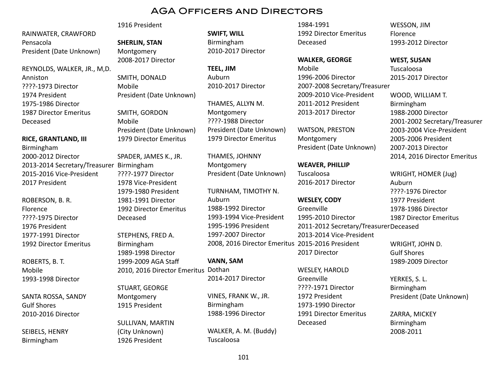RAINWATER, CRAWFORD Pensacola President (Date Unknown)

REYNOLDS, WALKER, JR., M,D. Anniston ????-1973 Director 1974 President 1975-1986 Director 1987 Director Emeritus Deceased

#### **RICE, GRANTLAND, III**

Birmingham 2000-2012 Director 2013-2014 Secretary/Treasurer Birmingham 2015-2016 Vice-President 2017 President

ROBERSON, B. R. Florence ????-1975 Director 1976 President 1977-1991 Director 1992 Director Emeritus

ROBERTS, B. T. Mobile 1993-1998 Director

SANTA ROSSA, SANDY Gulf Shores 2010-2016 Director

SEIBELS, HENRY Birmingham

#### 1916 President

**SHERLIN, STAN** Montgomery 2008-2017 Director

SMITH, DONALD Mobile President (Date Unknown)

SMITH, GORDON Mobile President (Date Unknown) 1979 Director Emeritus

SPADER, JAMES K., JR. ????-1977 Director 1978 Vice-President 1979-1980 President 1981-1991 Director 1992 Director Emeritus Deceased

STEPHENS, FRED A. Birmingham 1989-1998 Director 1999-2009 AGA Staff 2010, 2016 Director Emeritus

STUART, GEORGE Montgomery 1915 President

SULLIVAN, MARTIN (City Unknown) 1926 President

**SWIFT, WILL** Birmingham 2010-2017 Director

**TEEL, JIM** Auburn 2010-2017 Director

THAMES, ALLYN M. Montgomery ????-1988 Director President (Date Unknown) 1979 Director Emeritus

THAMES, JOHNNY Montgomery President (Date Unknown)

TURNHAM, TIMOTHY N. Auburn 1988-1992 Director 1993-1994 Vice-President 1995-1996 President 1997-2007 Director 2008, 2016 Director Emeritus 2015-2016 President

**VANN, SAM**

Dothan 2014-2017 Director

VINES, FRANK W., JR. Birmingham 1988-1996 Director

WALKER, A. M. (Buddy) Tuscaloosa

1984-1991 1992 Director Emeritus Deceased

**WALKER, GEORGE**

Mobile 1996-2006 Director 2007-2008 Secretary/Treasurer 2009-2010 Vice-President 2011-2012 President 2013-2017 Director

WATSON, PRESTON Montgomery President (Date Unknown)

**WEAVER, PHILLIP** Tuscaloosa 2016-2017 Director

**WESLEY, CODY** Greenville 1995-2010 Director 2011-2012 Secretary/Treasurer Deceased 2013-2014 Vice-President 2017 Director

WESLEY, HAROLD Greenville ????-1971 Director 1972 President 1973-1990 Director 1991 Director Emeritus Deceased

WESSON, JIM Florence 1993-2012 Director

**WEST, SUSAN**

Tuscaloosa 2015-2017 Director

WOOD, WILLIAM T. Birmingham 1988-2000 Director 2001-2002 Secretary/Treasurer 2003-2004 Vice-President 2005-2006 President 2007-2013 Director 2014, 2016 Director Emeritus

WRIGHT, HOMER (Jug) Auburn ????-1976 Director 1977 President 1978-1986 Director 1987 Director Emeritus

WRIGHT, JOHN D. Gulf Shores 1989-2009 Director

YERKES, S. L. Birmingham President (Date Unknown)

ZARRA, MICKEY Birmingham 2008-2011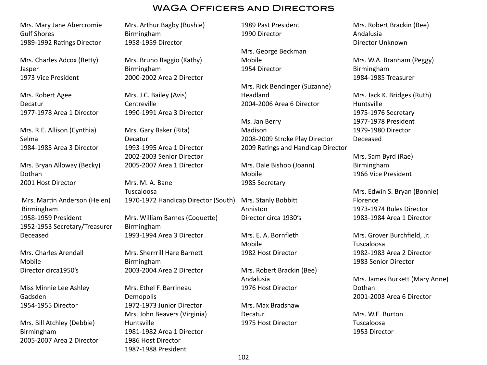Mrs. Mary Jane Abercromie Gulf Shores 1989-1992 Ratings Director

Mrs. Charles Adcox (Betty) Jasper 1973 Vice President

Mrs. Robert Agee Decatur 1977-1978 Area 1 Director

Mrs. R.E. Allison (Cynthia) Selma 1984-1985 Area 3 Director

Mrs. Bryan Alloway (Becky) Dothan 2001 Host Director

Mrs. Martin Anderson (Helen) Birmingham 1958-1959 President 1952-1953 Secretary/Treasurer Deceased

Mrs. Charles Arendall Mobile Director circa1950's

Miss Minnie Lee Ashley Gadsden 1954-1955 Director

Mrs. Bill Atchley (Debbie) Birmingham 2005-2007 Area 2 Director Mrs. Arthur Bagby (Bushie) Birmingham 1958-1959 Director

Mrs. Bruno Baggio (Kathy) Birmingham 2000-2002 Area 2 Director

Mrs. J.C. Bailey (Avis) **Centreville** 1990-1991 Area 3 Director

Mrs. Gary Baker (Rita) Decatur 1993-1995 Area 1 Director 2002-2003 Senior Director 2005-2007 Area 1 Director

Mrs. M. A. Bane Tuscaloosa 1970-1972 Handicap Director (South) Mrs. William Barnes (Coquette) Birmingham 1993-1994 Area 3 Director

Mrs. Sherrrill Hare Barnett Birmingham 2003-2004 Area 2 Director

Mrs. Ethel F. Barrineau Demopolis 1972-1973 Junior Director Mrs. John Beavers (Virginia) Huntsville 1981-1982 Area 1 Director 1986 Host Director 1987-1988 President

1989 Past President 1990 Director

Mrs. George Beckman Mobile 1954 Director

Mrs. Rick Bendinger (Suzanne) Headland 2004-2006 Area 6 Director

Ms. Jan Berry Madison 2008-2009 Stroke Play Director 2009 Ratings and Handicap Director

Mrs. Dale Bishop (Joann) Mobile 1985 Secretary

Mrs. Stanly Bobbitt Anniston Director circa 1930's

Mrs. E. A. Bornfleth Mobile 1982 Host Director

Mrs. Robert Brackin (Bee) Andalusia 1976 Host Director

Mrs. Max Bradshaw Decatur 1975 Host Director

Mrs. Robert Brackin (Bee) Andalusia Director Unknown

Mrs. W.A. Branham (Peggy) Birmingham 1984-1985 Treasurer

Mrs. Jack K. Bridges (Ruth) Huntsville 1975-1976 Secretary 1977-1978 President 1979-1980 Director Deceased

Mrs. Sam Byrd (Rae) Birmingham 1966 Vice President

Mrs. Edwin S. Bryan (Bonnie) Florence 1973-1974 Rules Director 1983-1984 Area 1 Director

Mrs. Grover Burchfield, Jr. Tuscaloosa 1982-1983 Area 2 Director 1983 Senior Director

Mrs. James Burkett (Mary Anne) Dothan 2001-2003 Area 6 Director

Mrs. W.E. Burton Tuscaloosa 1953 Director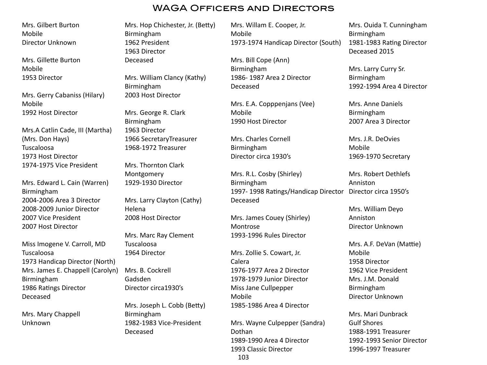Mrs. Gilbert Burton Mobile Director Unknown

Mrs. Gillette Burton Mobile 1953 Director

Mrs. Gerry Cabaniss (Hilary) Mobile 1992 Host Director

Mrs.A Catlin Cade, III (Martha) (Mrs. Don Hays) Tuscaloosa 1973 Host Director 1974-1975 Vice President

Mrs. Edward L. Cain (Warren) Birmingham 2004-2006 Area 3 Director 2008-2009 Junior Director 2007 Vice President 2007 Host Director

Miss Imogene V. Carroll, MD Tuscaloosa 1973 Handicap Director (North) Mrs. James E. Chappell (Carolyn) Birmingham 1986 Ratings Director Deceased

Mrs. Mary Chappell Unknown

Mrs. Hop Chichester, Jr. (Betty) Birmingham 1962 President 1963 Director Deceased

Mrs. William Clancy (Kathy) Birmingham 2003 Host Director

Mrs. George R. Clark Birmingham 1963 Director 1966 SecretaryTreasurer 1968-1972 Treasurer

Mrs. Thornton Clark Montgomery 1929-1930 Director

Mrs. Larry Clayton (Cathy) Helena 2008 Host Director

Mrs. Marc Ray Clement Tuscaloosa 1964 Director

Mrs. B. Cockrell Gadsden Director circa1930's

Mrs. Joseph L. Cobb (Betty) Birmingham 1982-1983 Vice-President Deceased

Mrs. Willam E. Cooper, Jr. Mobile 1973-1974 Handicap Director (South)

Mrs. Bill Cope (Ann) Birmingham 1986- 1987 Area 2 Director Deceased

Mrs. E.A. Copppenjans (Vee) Mobile 1990 Host Director

Mrs. Charles Cornell Birmingham Director circa 1930's

Mrs. R.L. Cosby (Shirley) Birmingham 1997- 1998 Ratings/Handicap Director Director circa 1950's Deceased Anniston

Mrs. James Couey (Shirley) Montrose 1993-1996 Rules Director

Mrs. Zollie S. Cowart, Jr. Calera 1976-1977 Area 2 Director 1978-1979 Junior Director Miss Jane Cullpepper Mobile 1985-1986 Area 4 Director

Mrs. Wayne Culpepper (Sandra) Dothan 1989-1990 Area 4 Director 1993 Classic Director

Mrs. Ouida T. Cunningham Birmingham 1981-1983 Rating Director Deceased 2015

Mrs. Larry Curry Sr. Birmingham 1992-1994 Area 4 Director

Mrs. Anne Daniels Birmingham 2007 Area 3 Director

Mrs. J.R. DeOvies Mobile 1969-1970 Secretary

Mrs. Robert Dethlefs

Mrs. William Deyo Anniston Director Unknown

Mrs. A.F. DeVan (Mattie) Mobile 1958 Director 1962 Vice President Mrs. J.M. Donald Birmingham Director Unknown

Mrs. Mari Dunbrack Gulf Shores 1988-1991 Treasurer 1992-1993 Senior Director 1996-1997 Treasurer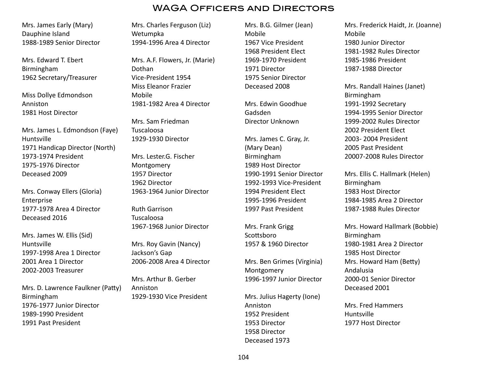Mrs. James Early (Mary) Dauphine Island 1988-1989 Senior Director

Mrs. Edward T. Ebert Birmingham 1962 Secretary/Treasurer

Miss Dollye Edmondson Anniston 1981 Host Director

Mrs. James L. Edmondson (Faye) Huntsville 1971 Handicap Director (North) 1973-1974 President 1975-1976 Director Deceased 2009

Mrs. Conway Ellers (Gloria) Enterprise 1977-1978 Area 4 Director Deceased 2016

Mrs. James W. Ellis (Sid) Huntsville 1997-1998 Area 1 Director 2001 Area 1 Director 2002-2003 Treasurer

Mrs. D. Lawrence Faulkner (Patty) Birmingham 1976-1977 Junior Director 1989-1990 President 1991 Past President

Mrs. Charles Ferguson (Liz) Wetumpka 1994-1996 Area 4 Director

Mrs. A.F. Flowers, Jr. (Marie) Dothan Vice-President 1954 Miss Eleanor Frazier Mobile 1981-1982 Area 4 Director

Mrs. Sam Friedman Tuscaloosa 1929-1930 Director

Mrs. Lester.G. Fischer Montgomery 1957 Director 1962 Director 1963-1964 Junior Director

Ruth Garrison Tuscaloosa 1967-1968 Junior Director

Mrs. Roy Gavin (Nancy) Jackson's Gap 2006-2008 Area 4 Director

Mrs. Arthur B. Gerber Anniston 1929-1930 Vice President Mrs. B.G. Gilmer (Jean) Mobile 1967 Vice President 1968 President Elect 1969-1970 President 1971 Director 1975 Senior Director Deceased 2008

Mrs. Edwin Goodhue Gadsden Director Unknown

Mrs. James C. Gray, Jr. (Mary Dean) Birmingham 1989 Host Director 1990-1991 Senior Director 1992-1993 Vice-President 1994 President Elect 1995-1996 President 1997 Past President

Mrs. Frank Grigg Scottsboro 1957 & 1960 Director

Mrs. Ben Grimes (Virginia) Montgomery 1996-1997 Junior Director

Mrs. Julius Hagerty (Ione) Anniston 1952 President 1953 Director 1958 Director Deceased 1973

Mrs. Frederick Haidt, Jr. (Joanne) Mobile 1980 Junior Director 1981-1982 Rules Director 1985-1986 President 1987-1988 Director

Mrs. Randall Haines (Janet) Birmingham 1991-1992 Secretary 1994-1995 Senior Director 1999-2002 Rules Director 2002 President Elect 2003- 2004 President 2005 Past President 20007-2008 Rules Director

Mrs. Ellis C. Hallmark (Helen) Birmingham 1983 Host Director 1984-1985 Area 2 Director 1987-1988 Rules Director

Mrs. Howard Hallmark (Bobbie) Birmingham 1980-1981 Area 2 Director 1985 Host Director Mrs. Howard Ham (Betty) Andalusia 2000-01 Senior Director Deceased 2001

Mrs. Fred Hammers Huntsville 1977 Host Director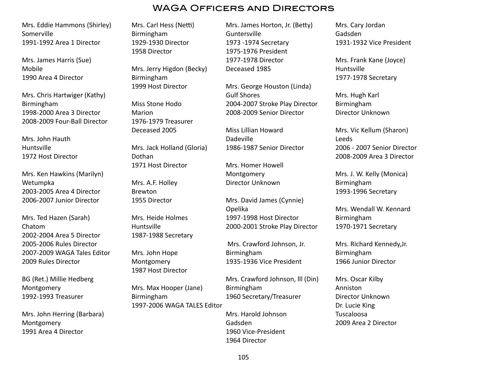Mrs. Eddie Hammons (Shirley) Somerville 1991-1992 Area 1 Director

Mrs. James Harris (Sue) Mobile 1990 Area 4 Director

Mrs. Chris Hartwiger (Kathy) Birmingham 1998-2000 Area 3 Director 2008-2009 Four-Ball Director

Mrs. John Hauth Huntsville 1972 Host Director

Mrs. Ken Hawkins (Marilyn) Wetumpka 2003-2005 Area 4 Director 2006-2007 Junior Director

Mrs. Ted Hazen (Sarah) Chatom 2002-2004 Area 5 Director 2005-2006 Rules Director 2007-2009 WAGA Tales Editor 2009 Rules Director

BG (Ret.) Millie Hedberg Montgomery 1992-1993 Treasurer

Mrs. John Herring (Barbara) Montgomery 1991 Area 4 Director

Mrs. Carl Hess (Netti) Birmingham 1929-1930 Director 1958 Director

Mrs. Jerry Higdon (Becky) Birmingham 1999 Host Director

Miss Stone Hodo Marion 1976-1979 Treasurer Deceased 2005

Mrs. Jack Holland (Gloria) Dothan 1971 Host Director

Mrs. A.F. Holley Brewton 1955 Director

Mrs. Heide Holmes Huntsville 1987-1988 Secretary

Mrs. John Hope Montgomery 1987 Host Director

Mrs. Max Hooper (Jane) Birmingham 1997-2006 WAGA TALES Editor

Mrs. James Horton, Jr. (Betty) Guntersville 1973 -1974 Secretary 1975-1976 President 1977-1978 Director Deceased 1985

Mrs. George Houston (Linda) Gulf Shores 2004-2007 Stroke Play Director 2008-2009 Senior Director

Miss Lillian Howard Dadeville 1986-1987 Senior Director

Mrs. Homer Howell Montgomery Director Unknown

Mrs. David James (Cynnie) Opelika 1997-1998 Host Director 2000-2001 Stroke Play Director

 Mrs. Crawford Johnson, Jr. Birmingham 1935-1936 Vice President

Mrs. Crawford Johnson, lll (Din) Birmingham 1960 Secretary/Treasurer

Mrs. Harold Johnson Gadsden 1960 Vice-President 1964 Director

Mrs. Cary Jordan Gadsden 1931-1932 Vice President

Mrs. Frank Kane (Joyce) Huntsville 1977-1978 Secretary

Mrs. Hugh Karl Birmingham Director Unknown

Mrs. Vic Kellum (Sharon) Leeds 2006 - 2007 Senior Director 2008-2009 Area 3 Director

Mrs. J. W. Kelly (Monica) Birmingham 1993-1996 Secretary

Mrs. Wendall W. Kennard Birmingham 1970-1971 Secretary

Mrs. Richard Kennedy,Jr. Birmingham 1966 Junior Director

Mrs. Oscar Kilby Anniston Director Unknown Dr. Lucie King Tuscaloosa 2009 Area 2 Director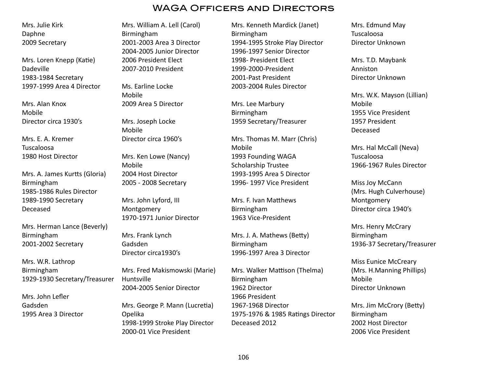Mrs. Julie Kirk Daphne 2009 Secretary

Mrs. Loren Knepp (Katie) Dadeville 1983-1984 Secretary 1997-1999 Area 4 Director

Mrs. Alan Knox Mobile Director circa 1930's

Mrs. E. A. Kremer Tuscaloosa 1980 Host Director

Mrs. A. James Kurtts (Gloria) Birmingham 1985-1986 Rules Director 1989-1990 Secretary Deceased

Mrs. Herman Lance (Beverly) Birmingham 2001-2002 Secretary

Mrs. W.R. Lathrop Birmingham 1929-1930 Secretary/Treasurer

Mrs. John Lefler Gadsden 1995 Area 3 Director Mrs. William A. Lell (Carol) Birmingham 2001-2003 Area 3 Director 2004-2005 Junior Director 2006 President Elect 2007-2010 President

Ms. Earline Locke Mobile 2009 Area 5 Director

Mrs. Joseph Locke Mobile

Director circa 1960's

Mrs. Ken Lowe (Nancy) Mobile 2004 Host Director 2005 - 2008 Secretary

Mrs. John Lyford, III Montgomery 1970-1971 Junior Director

Mrs. Frank Lynch Gadsden Director circa1930's

Mrs. Fred Makismowski (Marie) Huntsville 2004-2005 Senior Director

Mrs. George P. Mann (Lucretia) Opelika 1998-1999 Stroke Play Director 2000-01 Vice President

Mrs. Kenneth Mardick (Janet) Birmingham 1994-1995 Stroke Play Director 1996-1997 Senior Director 1998- President Elect 1999-2000-President 2001-Past President 2003-2004 Rules Director

Mrs. Lee Marbury Birmingham 1959 Secretary/Treasurer

Mrs. Thomas M. Marr (Chris) Mobile 1993 Founding WAGA Scholarship Trustee 1993-1995 Area 5 Director 1996- 1997 Vice President

Mrs. F. Ivan Matthews Birmingham 1963 Vice-President

Mrs. J. A. Mathews (Betty) Birmingham 1996-1997 Area 3 Director

Mrs. Walker Mattison (Thelma) Birmingham 1962 Director 1966 President 1967-1968 Director 1975-1976 & 1985 Ratings Director Deceased 2012

Mrs. Edmund May Tuscaloosa Director Unknown

Mrs. T.D. Maybank Anniston Director Unknown

Mrs. W.K. Mayson (Lillian) Mobile 1955 Vice President 1957 President Deceased

Mrs. Hal McCall (Neva) Tuscaloosa 1966-1967 Rules Director

Miss Joy McCann (Mrs. Hugh Culverhouse) Montgomery Director circa 1940's

Mrs. Henry McCrary Birmingham 1936-37 Secretary/Treasurer

Miss Eunice McCreary (Mrs. H.Manning Phillips) Mobile Director Unknown

Mrs. Jim McCrory (Betty) Birmingham 2002 Host Director 2006 Vice President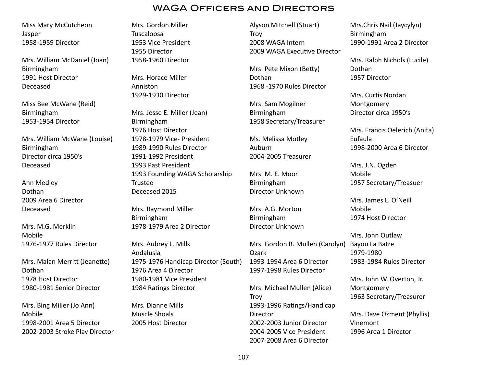Miss Mary McCutcheon Jasper 1958-1959 Director

Mrs. William McDaniel (Joan) Birmingham 1991 Host Director Deceased

Miss Bee McWane (Reid) Birmingham 1953-1954 Director

Mrs. William McWane (Louise) Birmingham Director circa 1950's Deceased

Ann Medley Dothan 2009 Area 6 Director Deceased

Mrs. M.G. Merklin Mobile 1976-1977 Rules Director

Mrs. Malan Merritt (Jeanette) Dothan 1978 Host Director 1980-1981 Senior Director

Mrs. Bing Miller (Jo Ann) Mobile 1998-2001 Area 5 Director 2002-2003 Stroke Play Director Mrs. Gordon Miller Tuscaloosa 1953 Vice President 1955 Director 1958-1960 Director

Mrs. Horace Miller Anniston 1929-1930 Director

Mrs. Jesse E. Miller (Jean) Birmingham 1976 Host Director 1978-1979 Vice- President 1989-1990 Rules Director 1991-1992 President 1993 Past President 1993 Founding WAGA Scholarship Trustee Deceased 2015

Mrs. Raymond Miller Birmingham 1978-1979 Area 2 Director

Mrs. Aubrey L. Mills Andalusia 1975-1976 Handicap Director (South) 1976 Area 4 Director 1980-1981 Vice President 1984 Ratings Director

Mrs. Dianne Mills Muscle Shoals 2005 Host Director

Alyson Mitchell (Stuart) **Troy** 2008 WAGA Intern 2009 WAGA Executive Director

Mrs. Pete Mixon (Betty) Dothan 1968 -1970 Rules Director

Mrs. Sam Mogilner Birmingham 1958 Secretary/Treasurer

Ms. Melissa Motley Auburn 2004-2005 Treasurer

Mrs. M. E. Moor Birmingham Director Unknown

Mrs. A.G. Morton Birmingham Director Unknown

Mrs. Gordon R. Mullen (Carolyn) Ozark 1993-1994 Area 6 Director 1997-1998 Rules Director

Mrs. Michael Mullen (Alice) **Troy** 1993-1996 Ratings/Handicap Director 2002-2003 Junior Director 2004-2005 Vice President 2007-2008 Area 6 Director

Mrs.Chris Nail (Jaycylyn) Birmingham 1990-1991 Area 2 Director

Mrs. Ralph Nichols (Lucile) Dothan 1957 Director

Mrs. Curtis Nordan Montgomery Director circa 1950's

Mrs. Francis Oelerich (Anita) Eufaula 1998-2000 Area 6 Director

Mrs. J.N. Ogden Mobile 1957 Secretary/Treasuer

Mrs. James L. O'Neill Mobile 1974 Host Director

Mrs. John Outlaw Bayou La Batre 1979-1980 1983-1984 Rules Director

Mrs. John W. Overton, Jr. Montgomery 1963 Secretary/Treasurer

Mrs. Dave Ozment (Phyllis) Vinemont 1996 Area 1 Director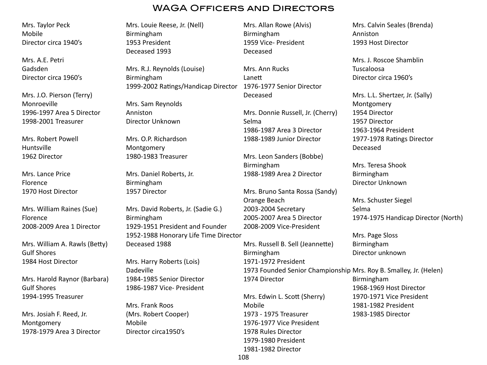Mrs. Taylor Peck Mobile Director circa 1940's

Mrs. A.E. Petri Gadsden Director circa 1960's

Mrs. J.O. Pierson (Terry) Monroeville 1996-1997 Area 5 Director 1998-2001 Treasurer

Mrs. Robert Powell Huntsville 1962 Director

Mrs. Lance Price Florence 1970 Host Director

Mrs. William Raines (Sue) Florence 2008-2009 Area 1 Director

Mrs. William A. Rawls (Betty) Gulf Shores 1984 Host Director

Mrs. Harold Raynor (Barbara) Gulf Shores 1994-1995 Treasurer

Mrs. Josiah F. Reed, Jr. Montgomery 1978-1979 Area 3 Director Mrs. Louie Reese, Jr. (Nell) Birmingham 1953 President Deceased 1993

Mrs. R.J. Reynolds (Louise) Birmingham 1999-2002 Ratings/Handicap Director 1976-1977 Senior Director

Mrs. Sam Reynolds Anniston Director Unknown

Mrs. O.P. Richardson Montgomery 1980-1983 Treasurer

Mrs. Daniel Roberts, Jr. Birmingham 1957 Director

Mrs. David Roberts, Jr. (Sadie G.) Birmingham 1929-1951 President and Founder 1952-1988 Honorary Life Time Director Deceased 1988

Mrs. Harry Roberts (Lois) Dadeville 1984-1985 Senior Director 1986-1987 Vice- President

Mrs. Frank Roos (Mrs. Robert Cooper) Mobile Director circa1950's

Mrs. Allan Rowe (Alvis) Birmingham 1959 Vice- President Deceased

Mrs. Ann Rucks Lanett Deceased

Mrs. Donnie Russell, Jr. (Cherry) Selma 1986-1987 Area 3 Director 1988-1989 Junior Director

Mrs. Leon Sanders (Bobbe) Birmingham 1988-1989 Area 2 Director

Mrs. Bruno Santa Rossa (Sandy) Orange Beach 2003-2004 Secretary 2005-2007 Area 5 Director 2008-2009 Vice-President

Mrs. Russell B. Sell (Jeannette) Birmingham 1971-1972 President 1973 Founded Senior Championship Mrs. Roy B. Smalley, Jr. (Helen)

1974 Director

Mrs. Edwin L. Scott (Sherry) Mobile 1973 - 1975 Treasurer 1976-1977 Vice President 1978 Rules Director 1979-1980 President 1981-1982 Director

Mrs. Calvin Seales (Brenda) Anniston 1993 Host Director

Mrs. J. Roscoe Shamblin Tuscaloosa Director circa 1960's

Mrs. L.L. Shertzer, Jr. (Sally) Montgomery 1954 Director 1957 Director 1963-1964 President 1977-1978 Ratings Director Deceased

Mrs. Teresa Shook Birmingham Director Unknown

Mrs. Schuster Siegel Selma 1974-1975 Handicap Director (North)

Mrs. Page Sloss Birmingham Director unknown

Birmingham 1968-1969 Host Director 1970-1971 Vice President 1981-1982 President 1983-1985 Director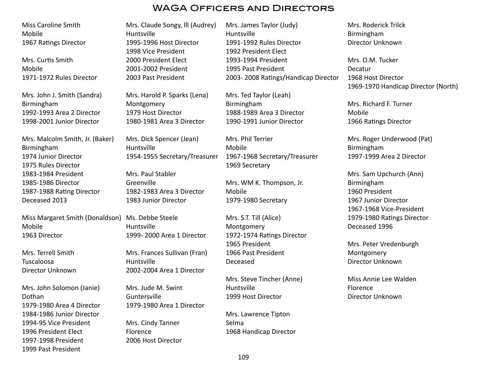## WAGA Officers and Directors

Miss Caroline Smith Mobile 1967 Ratings Director

Mrs. Curtis Smith Mobile 1971-1972 Rules Director

Mrs. John J. Smith (Sandra) Birmingham 1992-1993 Area 2 Director 1998-2001 Junior Director

Mrs. Malcolm Smith, Jr. (Baker) Birmingham 1974 Junior Director 1975 Rules Director 1983-1984 President 1985-1986 Director 1987-1988 Rating Director Deceased 2013

Miss Margaret Smith (Donaldson) Ms. Debbe Steele Mobile 1963 Director

Mrs. Terrell Smith Tuscaloosa Director Unknown

Mrs. John Solomon (Janie) Dothan 1979-1980 Area 4 Director 1984-1986 Junior Director 1994-95 Vice President 1996 President Elect 1997-1998 President 1999 Past President

Mrs. Claude Songy, lll (Audrey) Huntsville 1995-1996 Host Director 1998 Vice President 2000 President Elect 2001-2002 President 2003 Past President

Mrs. Harold P. Sparks (Lena) Montgomery 1979 Host Director 1980-1981 Area 3 Director

Mrs. Dick Spencer (Jean) Huntsville 1954-1955 Secretary/Treasurer

Mrs. Paul Stabler **Greenville** 1982-1983 Area 3 Director 1983 Junior Director

Huntsville 1999- 2000 Area 1 Director

Mrs. Frances Sullivan (Fran) Huntsville 2002-2004 Area 1 Director

Mrs. Jude M. Swint Guntersville 1979-1980 Area 1 Director

Mrs. Cindy Tanner Florence 2006 Host Director Mrs. James Taylor (Judy) Huntsville 1991-1992 Rules Director 1992 President Elect 1993-1994 President 1995 Past President 2003- 2008 Ratings/Handicap Director

Mrs. Ted Taylor (Leah) Birmingham 1988-1989 Area 3 Director 1990-1991 Junior Director

Mrs. Phil Terrier Mobile 1967-1968 Secretary/Treasurer 1969 Secretary

Mrs. WM K. Thompson, Jr. Mobile 1979-1980 Secretary

Mrs. S.T. Till (Alice) Montgomery 1972-1974 Ratings Director 1965 President 1966 Past President Deceased

Mrs. Steve Tincher (Anne) Huntsville 1999 Host Director

Mrs. Lawrence Tipton Selma 1968 Handicap Director Mrs. Roderick Trilck Birmingham Director Unknown

Mrs. O.M. Tucker Decatur 1968 Host Director 1969-1970 Handicap Director (North)

Mrs. Richard F. Turner Mobile 1966 Ratings Director

Mrs. Roger Underwood (Pat) Birmingham 1997-1999 Area 2 Director

Mrs. Sam Upchurch (Ann) Birmingham 1960 President 1967 Junior Director 1967-1968 Vice-President 1979-1980 Ratings Director Deceased 1996

Mrs. Peter Vredenburgh Montgomery Director Unknown

Miss Annie Lee Walden Florence Director Unknown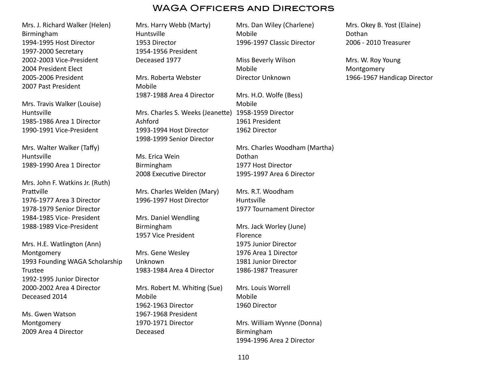# WAGA Officers and Directors

Mrs. J. Richard Walker (Helen) Birmingham 1994-1995 Host Director 1997-2000 Secretary 2002-2003 Vice-President 2004 President Elect 2005-2006 President 2007 Past President

Mrs. Travis Walker (Louise) Huntsville 1985-1986 Area 1 Director 1990-1991 Vice-President

Mrs. Walter Walker (Taffy) Huntsville 1989-1990 Area 1 Director

Mrs. John F. Watkins Jr. (Ruth) Prattville 1976-1977 Area 3 Director 1978-1979 Senior Director 1984-1985 Vice- President 1988-1989 Vice-President

Mrs. H.E. Watlington (Ann) Montgomery 1993 Founding WAGA Scholarship Trustee 1992-1995 Junior Director 2000-2002 Area 4 Director Deceased 2014

Ms. Gwen Watson Montgomery 2009 Area 4 Director Mrs. Harry Webb (Marty) Huntsville 1953 Director 1954-1956 President Deceased 1977

Mrs. Roberta Webster Mobile 1987-1988 Area 4 Director

Mrs. Charles S. Weeks (Jeanette) 1958-1959 Director Ashford 1993-1994 Host Director 1998-1999 Senior Director

Ms. Erica Wein Birmingham 2008 Executive Director

Mrs. Charles Welden (Mary) 1996-1997 Host Director

Mrs. Daniel Wendling Birmingham 1957 Vice President

Mrs. Gene Wesley Unknown 1983-1984 Area 4 Director

Mrs. Robert M. Whiting (Sue) Mobile 1962-1963 Director 1967-1968 President 1970-1971 Director Deceased

Mrs. Dan Wiley (Charlene) Mobile 1996-1997 Classic Director

Miss Beverly Wilson Mobile Director Unknown

Mrs. H.O. Wolfe (Bess) Mobile 1961 President 1962 Director

Mrs. Charles Woodham (Martha) Dothan 1977 Host Director 1995-1997 Area 6 Director

Mrs. R.T. Woodham Huntsville 1977 Tournament Director

Mrs. Jack Worley (June) Florence 1975 Junior Director 1976 Area 1 Director 1981 Junior Director 1986-1987 Treasurer

Mrs. Louis Worrell Mobile 1960 Director

Mrs. William Wynne (Donna) Birmingham 1994-1996 Area 2 Director

Mrs. Okey B. Yost (Elaine) Dothan 2006 - 2010 Treasurer

Mrs. W. Roy Young Montgomery 1966-1967 Handicap Director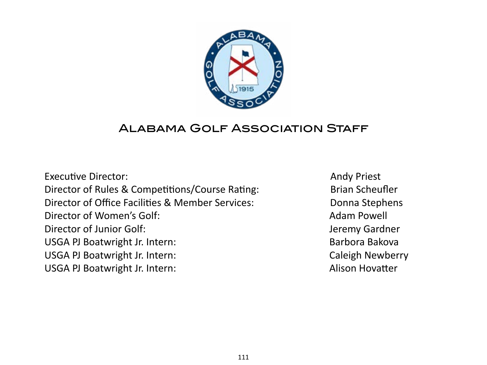

# Alabama Golf Association Staff

Executive Director: Breaking the set of the set of the set of the set of the set of the set of the set of the set of the set of the set of the set of the set of the set of the set of the set of the set of the set of t Director of Rules & Competitions/Course Rating: **Brian Scheufler** Director of Office Facilities & Member Services: Donna Stephens Director of Women's Golf: Now a set of the Manuscriptus Adam Powell Director of Junior Golf: Sandbook and Director of Junior Golf: Sandbook and Director of Junior Golf: USGA PJ Boatwright Jr. Intern: **Barbora Bakova Barbora Bakova** USGA PJ Boatwright Jr. Intern: Caleigh Newberry USGA PJ Boatwright Jr. Intern: **Alison Hovatter** *MISGA PJ* Boatwright Jr. Intern: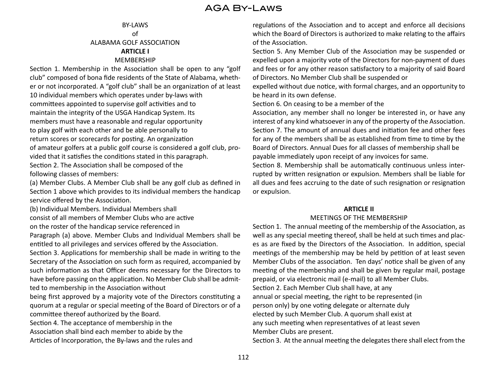# AGA By-Laws

#### BY-LAWS of ALABAMA GOLF ASSOCIATION **ARTICLE I** MEMBERSHIP

Section 1. Membership in the Association shall be open to any "golf club" composed of bona fide residents of the State of Alabama, whether or not incorporated. A "golf club" shall be an organization of at least 10 individual members which operates under by-laws with committees appointed to supervise golf activities and to maintain the integrity of the USGA Handicap System. Its members must have a reasonable and regular opportunity to play golf with each other and be able personally to return scores or scorecards for posting. An organization of amateur golfers at a public golf course is considered a golf club, provided that it satisfies the conditions stated in this paragraph. Section 2. The Association shall be composed of the following classes of members:

(a) Member Clubs. A Member Club shall be any golf club as defined in Section 1 above which provides to its individual members the handicap service offered by the Association.

(b) Individual Members. Individual Members shall

consist of all members of Member Clubs who are active

on the roster of the handicap service referenced in

Paragraph (a) above. Member Clubs and Individual Members shall be entitled to all privileges and services offered by the Association.

Section 3. Applications for membership shall be made in writing to the Secretary of the Association on such form as required, accompanied by such information as that Officer deems necessary for the Directors to have before passing on the application. No Member Club shall be admitted to membership in the Association without

being first approved by a majority vote of the Directors constituting a quorum at a regular or special meeting of the Board of Directors or of a committee thereof authorized by the Board.

Section 4. The acceptance of membership in the

Association shall bind each member to abide by the

Articles of Incorporation, the By-laws and the rules and

regulations of the Association and to accept and enforce all decisions which the Board of Directors is authorized to make relating to the affairs of the Association.

Section 5. Any Member Club of the Association may be suspended or expelled upon a majority vote of the Directors for non-payment of dues and fees or for any other reason satisfactory to a majority of said Board of Directors. No Member Club shall be suspended or

expelled without due notice, with formal charges, and an opportunity to be heard in its own defense.

Section 6. On ceasing to be a member of the

Association, any member shall no longer be interested in, or have any interest of any kind whatsoever in any of the property of the Association. Section 7. The amount of annual dues and initiation fee and other fees for any of the members shall be as established from time to time by the Board of Directors. Annual Dues for all classes of membership shall be payable immediately upon receipt of any invoices for same.

Section 8. Membership shall be automatically continuous unless interrupted by written resignation or expulsion. Members shall be liable for all dues and fees accruing to the date of such resignation or resignation or expulsion.

#### **ARTICLE II**

#### MEETINGS OF THE MEMBERSHIP

Section 1. The annual meeting of the membership of the Association, as well as any special meeting thereof, shall be held at such times and places as are fixed by the Directors of the Association. In addition, special meetings of the membership may be held by petition of at least seven Member Clubs of the association. Ten days' notice shall be given of any meeting of the membership and shall be given by regular mail, postage prepaid, or via electronic mail (e-mail) to all Member Clubs. Section 2. Each Member Club shall have, at any annual or special meeting, the right to be represented (in person only) by one voting delegate or alternate duly elected by such Member Club. A quorum shall exist at any such meeting when representatives of at least seven Member Clubs are present.

Section 3. At the annual meeting the delegates there shall elect from the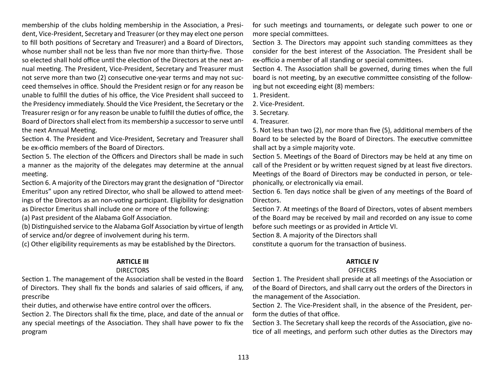membership of the clubs holding membership in the Association, a President, Vice-President, Secretary and Treasurer (or they may elect one person to fill both positions of Secretary and Treasurer) and a Board of Directors, whose number shall not be less than five nor more than thirty-five. Those so elected shall hold office until the election of the Directors at the next annual meeting. The President, Vice-President, Secretary and Treasurer must not serve more than two (2) consecutive one-year terms and may not succeed themselves in office. Should the President resign or for any reason be unable to fulfill the duties of his office, the Vice President shall succeed to the Presidency immediately. Should the Vice President, the Secretary or the Treasurer resign or for any reason be unable to fulfill the duties of office, the Board of Directors shall elect from its membership a successor to serve until the next Annual Meeting.

Section 4. The President and Vice-President, Secretary and Treasurer shall be ex-officio members of the Board of Directors.

Section 5. The election of the Officers and Directors shall be made in such a manner as the majority of the delegates may determine at the annual meeting.

Section 6. A majority of the Directors may grant the designation of "Director Emeritus" upon any retired Director, who shall be allowed to attend meetings of the Directors as an non-voting participant. Eligibility for designation as Director Emeritus shall include one or more of the following:

(a) Past president of the Alabama Golf Association.

(b) Distinguished service to the Alabama Golf Association by virtue of length

of service and/or degree of involvement during his term.

(c) Other eligibility requirements as may be established by the Directors.

#### **ARTICLE III**

#### DIRECTORS

Section 1. The management of the Association shall be vested in the Board of Directors. They shall fix the bonds and salaries of said officers, if any, prescribe

their duties, and otherwise have entire control over the officers.

Section 2. The Directors shall fix the time, place, and date of the annual or any special meetings of the Association. They shall have power to fix the program

for such meetings and tournaments, or delegate such power to one or more special committees.

Section 3. The Directors may appoint such standing committees as they consider for the best interest of the Association. The President shall be ex-officio a member of all standing or special committees.

Section 4. The Association shall be governed, during times when the full board is not meeting, by an executive committee consisting of the following but not exceeding eight (8) members:

1. President.

2. Vice-President.

3. Secretary.

4. Treasurer.

5. Not less than two (2), nor more than five (5), additional members of the Board to be selected by the Board of Directors. The executive committee shall act by a simple majority vote.

Section 5. Meetings of the Board of Directors may be held at any time on call of the President or by written request signed by at least five directors. Meetings of the Board of Directors may be conducted in person, or telephonically, or electronically via email.

Section 6. Ten days notice shall be given of any meetings of the Board of Directors.

Section 7. At meetings of the Board of Directors, votes of absent members of the Board may be received by mail and recorded on any issue to come before such meetings or as provided in Article VI.

Section 8. A majority of the Directors shall

constitute a quorum for the transaction of business.

## **ARTICLE IV**

## **OFFICERS**

Section 1. The President shall preside at all meetings of the Association or of the Board of Directors, and shall carry out the orders of the Directors in the management of the Association.

Section 2. The Vice-President shall, in the absence of the President, perform the duties of that office.

Section 3. The Secretary shall keep the records of the Association, give notice of all meetings, and perform such other duties as the Directors may